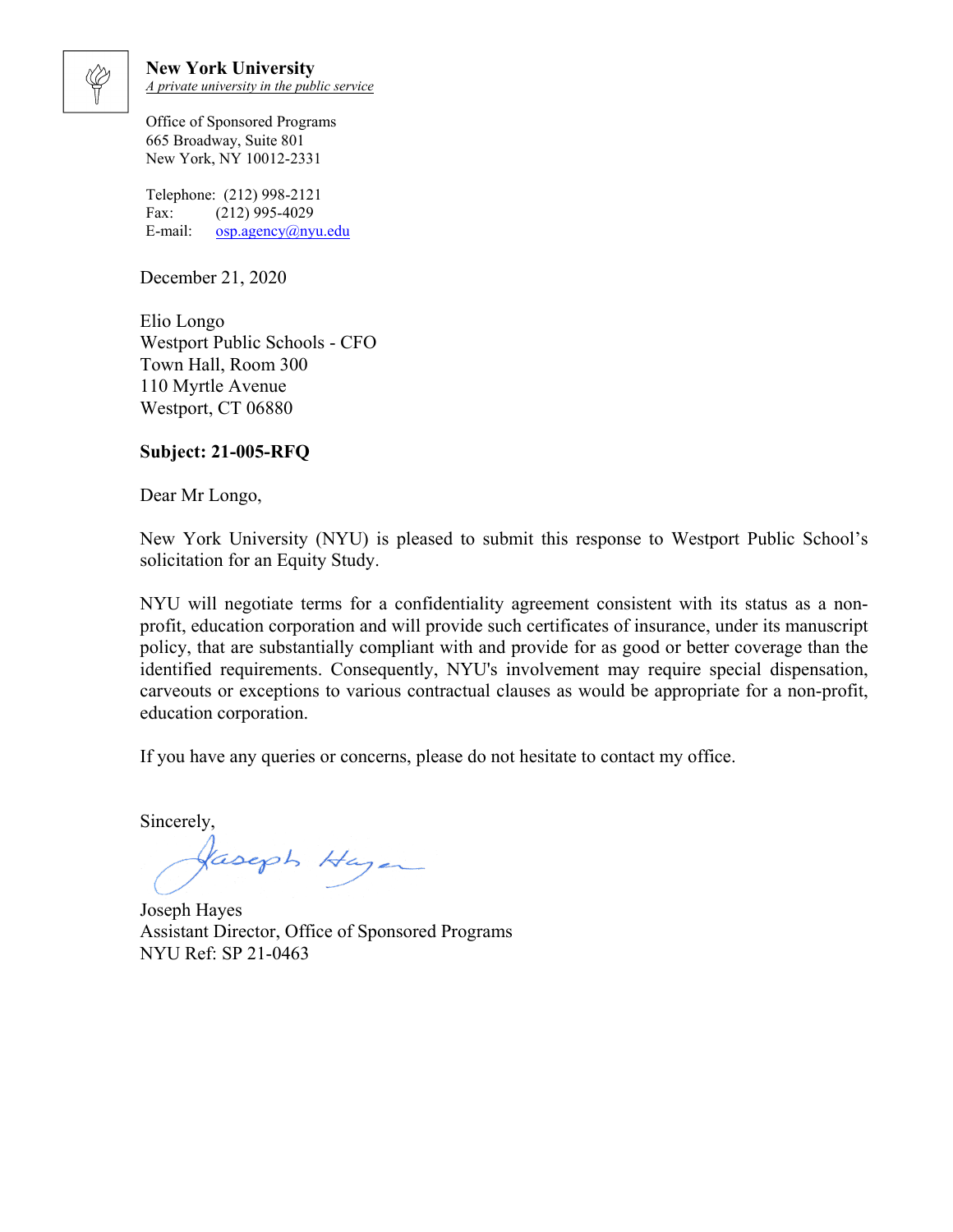

**New York University** *A private university in the public service*

Office of Sponsored Programs 665 Broadway, Suite 801 New York, NY 10012-2331

Telephone: (212) 998-2121 Fax: (212) 995-4029 E-mail: osp.agency@nyu.edu

December 21, 2020

Elio Longo Westport Public Schools - CFO Town Hall, Room 300 110 Myrtle Avenue Westport, CT 06880

## **Subject: 21-005-RFQ**

Dear Mr Longo,

New York University (NYU) is pleased to submit this response to Westport Public School's solicitation for an Equity Study.

NYU will negotiate terms for a confidentiality agreement consistent with its status as a nonprofit, education corporation and will provide such certificates of insurance, under its manuscript policy, that are substantially compliant with and provide for as good or better coverage than the identified requirements. Consequently, NYU's involvement may require special dispensation, carveouts or exceptions to various contractual clauses as would be appropriate for a non-profit, education corporation.

If you have any queries or concerns, please do not hesitate to contact my office.

Sincerely,

Jaseph Hazer

Joseph Hayes Assistant Director, Office of Sponsored Programs NYU Ref: SP 21-0463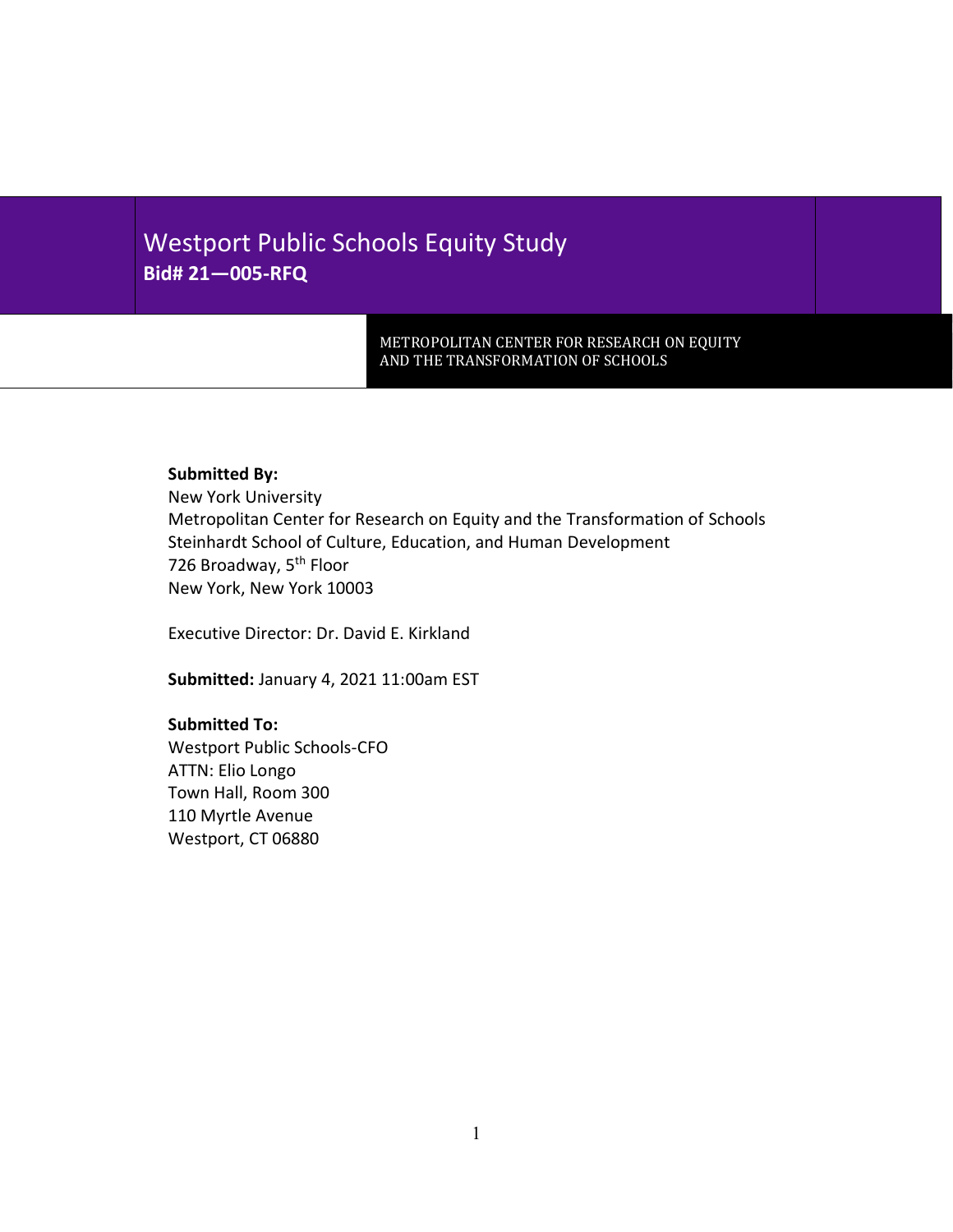# Westport Public Schools Equity Study **Bid# 21—005-RFQ**

METROPOLITAN CENTER FOR RESEARCH ON EQUITY AND THE TRANSFORMATION OF SCHOOLS

## **Submitted By:**

New York University Metropolitan Center for Research on Equity and the Transformation of Schools Steinhardt School of Culture, Education, and Human Development 726 Broadway, 5<sup>th</sup> Floor New York, New York 10003

Executive Director: Dr. David E. Kirkland

**Submitted:** January 4, 2021 11:00am EST

#### **Submitted To:**

Westport Public Schools-CFO ATTN: Elio Longo Town Hall, Room 300 110 Myrtle Avenue Westport, CT 06880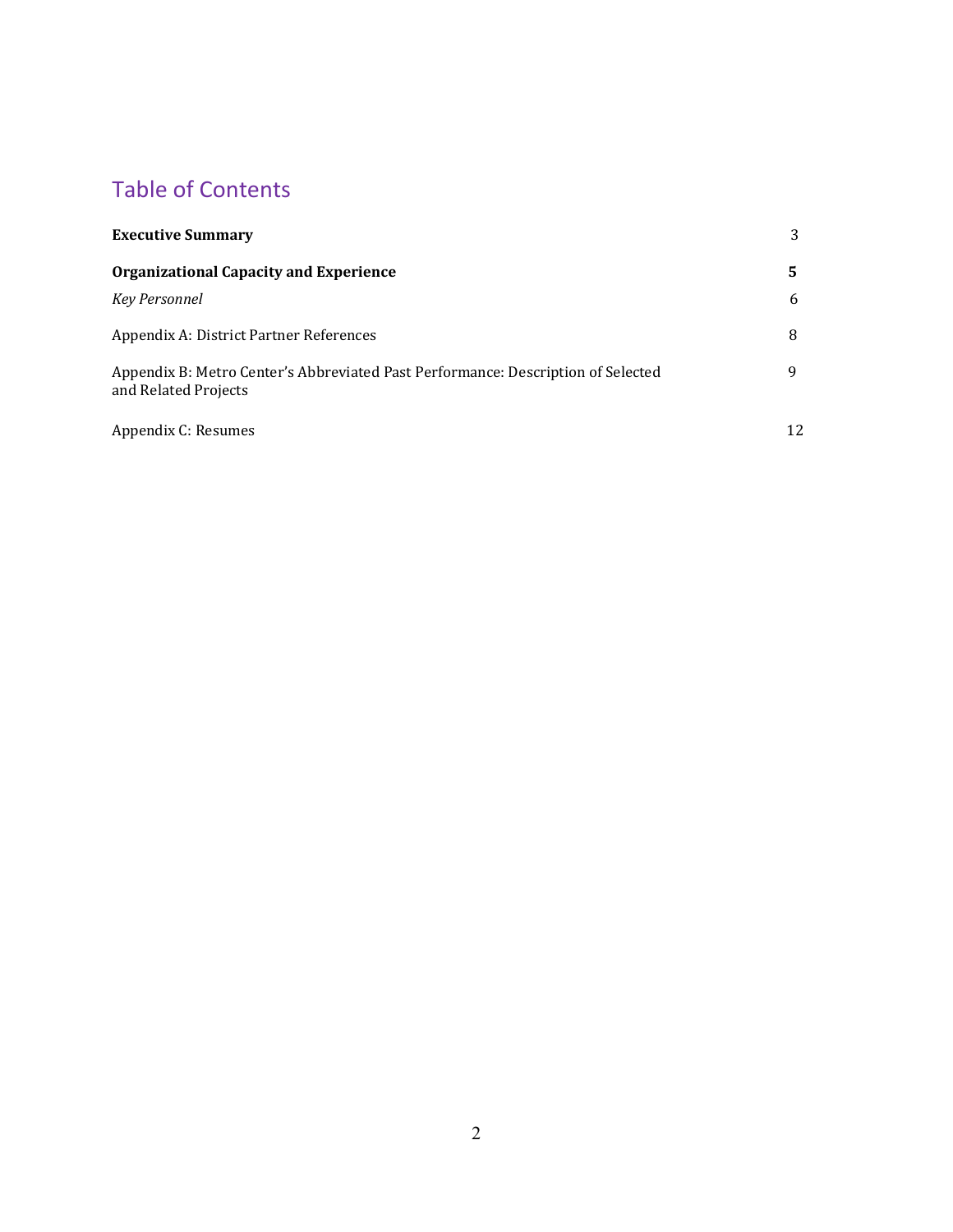# Table of Contents

| <b>Executive Summary</b>                                                                                 | 3  |
|----------------------------------------------------------------------------------------------------------|----|
| <b>Organizational Capacity and Experience</b>                                                            | 5. |
| <b>Key Personnel</b>                                                                                     | 6  |
| Appendix A: District Partner References                                                                  | 8  |
| Appendix B: Metro Center's Abbreviated Past Performance: Description of Selected<br>and Related Projects | 9  |
| Appendix C: Resumes                                                                                      | 12 |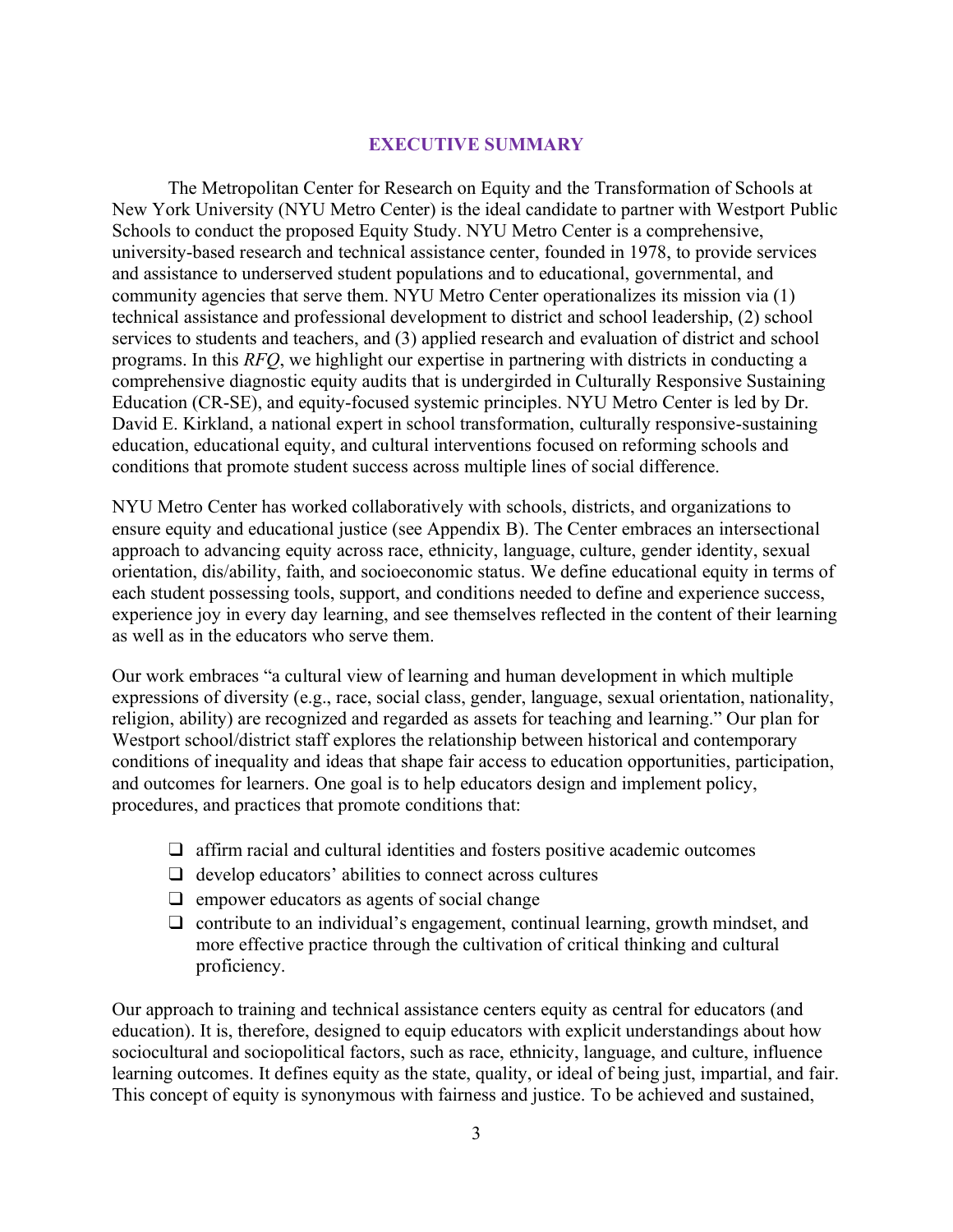## **EXECUTIVE SUMMARY**

The Metropolitan Center for Research on Equity and the Transformation of Schools at New York University (NYU Metro Center) is the ideal candidate to partner with Westport Public Schools to conduct the proposed Equity Study. NYU Metro Center is a comprehensive, university-based research and technical assistance center, founded in 1978, to provide services and assistance to underserved student populations and to educational, governmental, and community agencies that serve them. NYU Metro Center operationalizes its mission via (1) technical assistance and professional development to district and school leadership, (2) school services to students and teachers, and (3) applied research and evaluation of district and school programs. In this *RFQ*, we highlight our expertise in partnering with districts in conducting a comprehensive diagnostic equity audits that is undergirded in Culturally Responsive Sustaining Education (CR-SE), and equity-focused systemic principles. NYU Metro Center is led by Dr. David E. Kirkland, a national expert in school transformation, culturally responsive-sustaining education, educational equity, and cultural interventions focused on reforming schools and conditions that promote student success across multiple lines of social difference.

NYU Metro Center has worked collaboratively with schools, districts, and organizations to ensure equity and educational justice (see Appendix B). The Center embraces an intersectional approach to advancing equity across race, ethnicity, language, culture, gender identity, sexual orientation, dis/ability, faith, and socioeconomic status. We define educational equity in terms of each student possessing tools, support, and conditions needed to define and experience success, experience joy in every day learning, and see themselves reflected in the content of their learning as well as in the educators who serve them.

Our work embraces "a cultural view of learning and human development in which multiple expressions of diversity (e.g., race, social class, gender, language, sexual orientation, nationality, religion, ability) are recognized and regarded as assets for teaching and learning." Our plan for Westport school/district staff explores the relationship between historical and contemporary conditions of inequality and ideas that shape fair access to education opportunities, participation, and outcomes for learners. One goal is to help educators design and implement policy, procedures, and practices that promote conditions that:

- ❑ affirm racial and cultural identities and fosters positive academic outcomes
- $\Box$  develop educators' abilities to connect across cultures
- ❑ empower educators as agents of social change
- $\Box$  contribute to an individual's engagement, continual learning, growth mindset, and more effective practice through the cultivation of critical thinking and cultural proficiency.

Our approach to training and technical assistance centers equity as central for educators (and education). It is, therefore, designed to equip educators with explicit understandings about how sociocultural and sociopolitical factors, such as race, ethnicity, language, and culture, influence learning outcomes. It defines equity as the state, quality, or ideal of being just, impartial, and fair. This concept of equity is synonymous with fairness and justice. To be achieved and sustained,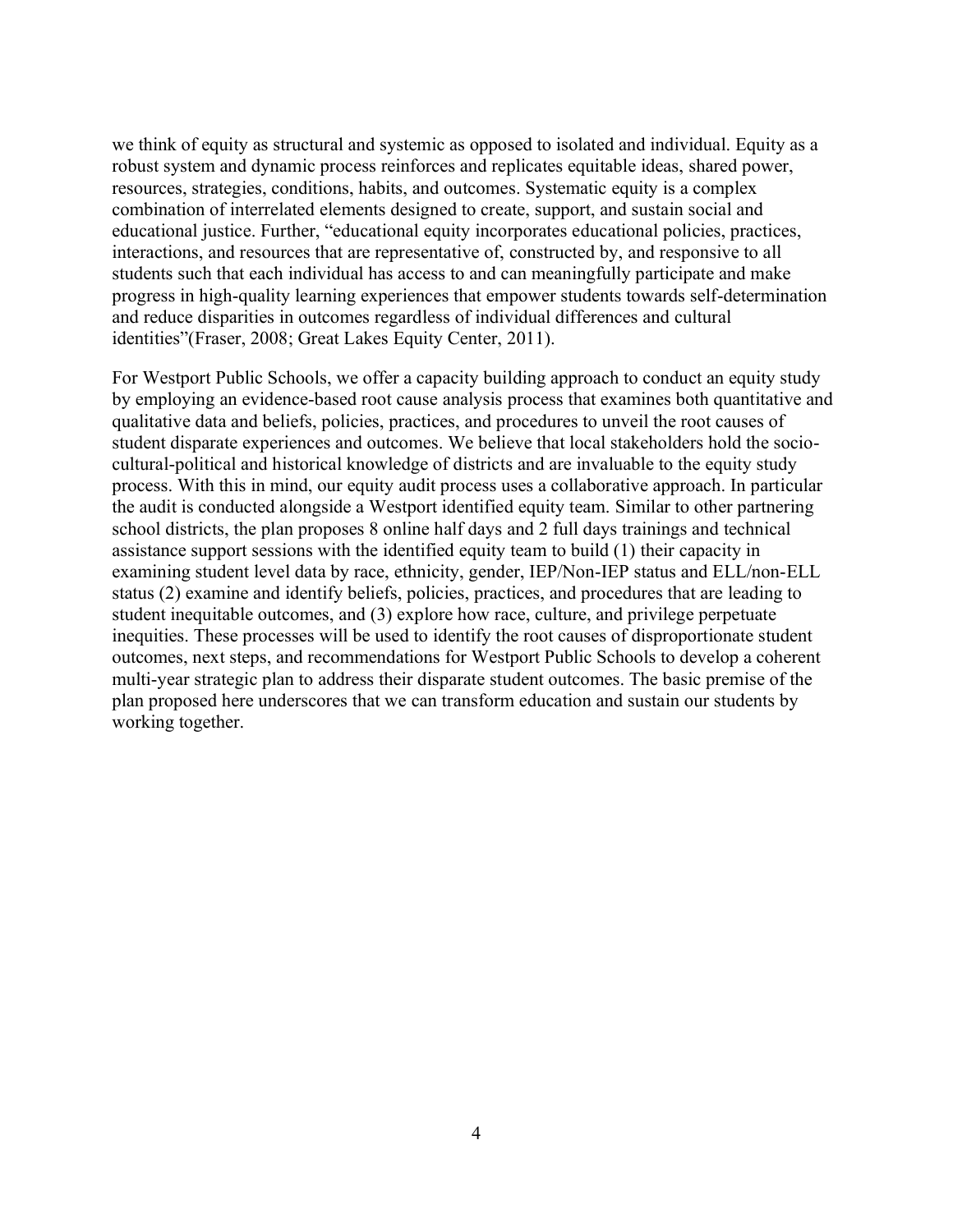we think of equity as structural and systemic as opposed to isolated and individual. Equity as a robust system and dynamic process reinforces and replicates equitable ideas, shared power, resources, strategies, conditions, habits, and outcomes. Systematic equity is a complex combination of interrelated elements designed to create, support, and sustain social and educational justice. Further, "educational equity incorporates educational policies, practices, interactions, and resources that are representative of, constructed by, and responsive to all students such that each individual has access to and can meaningfully participate and make progress in high-quality learning experiences that empower students towards self-determination and reduce disparities in outcomes regardless of individual differences and cultural identities"(Fraser, 2008; Great Lakes Equity Center, 2011).

For Westport Public Schools, we offer a capacity building approach to conduct an equity study by employing an evidence-based root cause analysis process that examines both quantitative and qualitative data and beliefs, policies, practices, and procedures to unveil the root causes of student disparate experiences and outcomes. We believe that local stakeholders hold the sociocultural-political and historical knowledge of districts and are invaluable to the equity study process. With this in mind, our equity audit process uses a collaborative approach. In particular the audit is conducted alongside a Westport identified equity team. Similar to other partnering school districts, the plan proposes 8 online half days and 2 full days trainings and technical assistance support sessions with the identified equity team to build (1) their capacity in examining student level data by race, ethnicity, gender, IEP/Non-IEP status and ELL/non-ELL status (2) examine and identify beliefs, policies, practices, and procedures that are leading to student inequitable outcomes, and (3) explore how race, culture, and privilege perpetuate inequities. These processes will be used to identify the root causes of disproportionate student outcomes, next steps, and recommendations for Westport Public Schools to develop a coherent multi-year strategic plan to address their disparate student outcomes. The basic premise of the plan proposed here underscores that we can transform education and sustain our students by working together.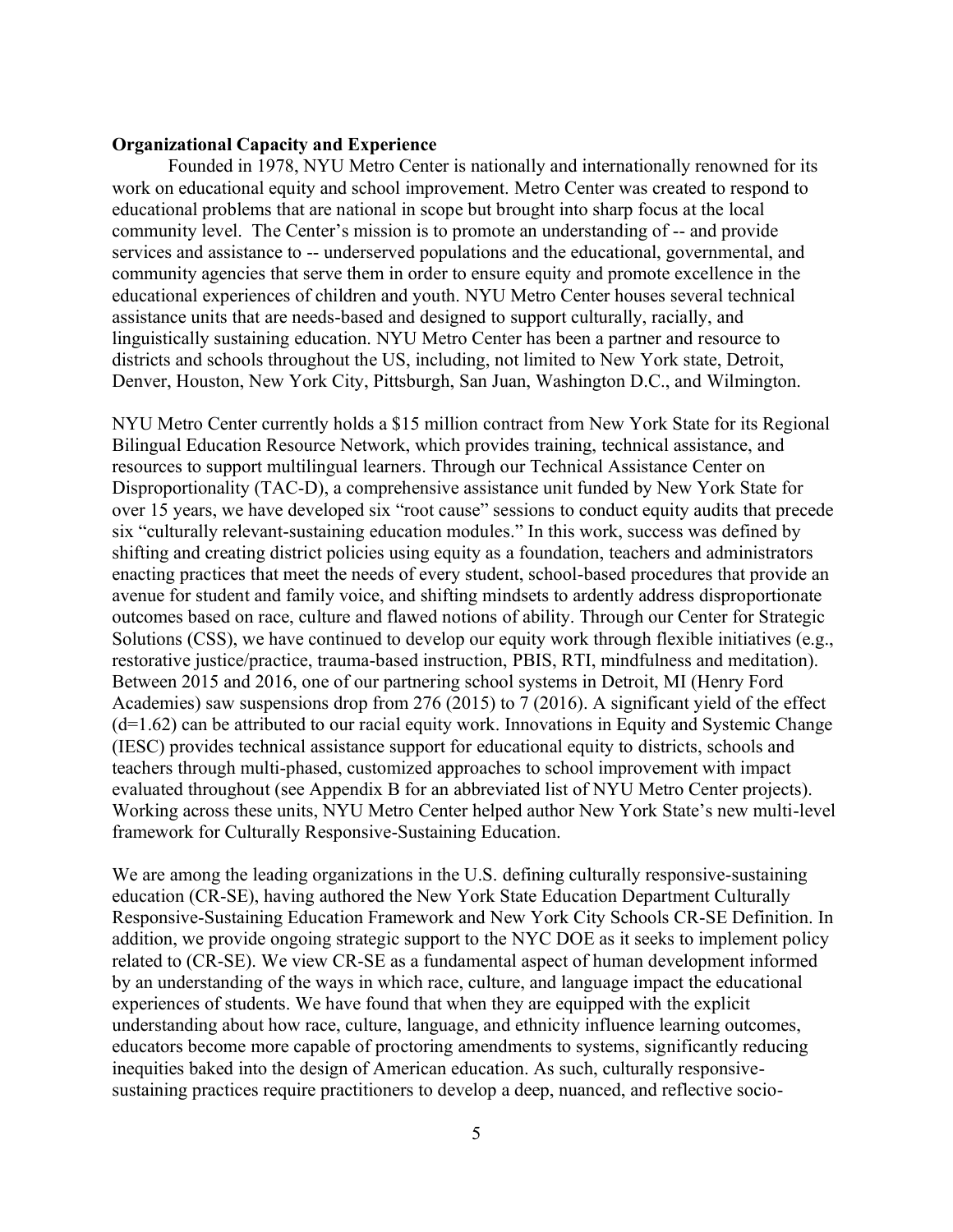#### **Organizational Capacity and Experience**

Founded in 1978, NYU Metro Center is nationally and internationally renowned for its work on educational equity and school improvement. Metro Center was created to respond to educational problems that are national in scope but brought into sharp focus at the local community level. The Center's mission is to promote an understanding of -- and provide services and assistance to -- underserved populations and the educational, governmental, and community agencies that serve them in order to ensure equity and promote excellence in the educational experiences of children and youth. NYU Metro Center houses several technical assistance units that are needs-based and designed to support culturally, racially, and linguistically sustaining education. NYU Metro Center has been a partner and resource to districts and schools throughout the US, including, not limited to New York state, Detroit, Denver, Houston, New York City, Pittsburgh, San Juan, Washington D.C., and Wilmington.

NYU Metro Center currently holds a \$15 million contract from New York State for its Regional Bilingual Education Resource Network, which provides training, technical assistance, and resources to support multilingual learners. Through our Technical Assistance Center on Disproportionality (TAC-D), a comprehensive assistance unit funded by New York State for over 15 years, we have developed six "root cause" sessions to conduct equity audits that precede six "culturally relevant-sustaining education modules." In this work, success was defined by shifting and creating district policies using equity as a foundation, teachers and administrators enacting practices that meet the needs of every student, school-based procedures that provide an avenue for student and family voice, and shifting mindsets to ardently address disproportionate outcomes based on race, culture and flawed notions of ability. Through our Center for Strategic Solutions (CSS), we have continued to develop our equity work through flexible initiatives (e.g., restorative justice/practice, trauma-based instruction, PBIS, RTI, mindfulness and meditation). Between 2015 and 2016, one of our partnering school systems in Detroit, MI (Henry Ford Academies) saw suspensions drop from 276 (2015) to 7 (2016). A significant yield of the effect  $(d=1.62)$  can be attributed to our racial equity work. Innovations in Equity and Systemic Change (IESC) provides technical assistance support for educational equity to districts, schools and teachers through multi-phased, customized approaches to school improvement with impact evaluated throughout (see Appendix B for an abbreviated list of NYU Metro Center projects). Working across these units, NYU Metro Center helped author New York State's new multi-level framework for Culturally Responsive-Sustaining Education.

We are among the leading organizations in the U.S. defining culturally responsive-sustaining education (CR-SE), having authored the New York State Education Department Culturally Responsive-Sustaining Education Framework and New York City Schools CR-SE Definition. In addition, we provide ongoing strategic support to the NYC DOE as it seeks to implement policy related to (CR-SE). We view CR-SE as a fundamental aspect of human development informed by an understanding of the ways in which race, culture, and language impact the educational experiences of students. We have found that when they are equipped with the explicit understanding about how race, culture, language, and ethnicity influence learning outcomes, educators become more capable of proctoring amendments to systems, significantly reducing inequities baked into the design of American education. As such, culturally responsivesustaining practices require practitioners to develop a deep, nuanced, and reflective socio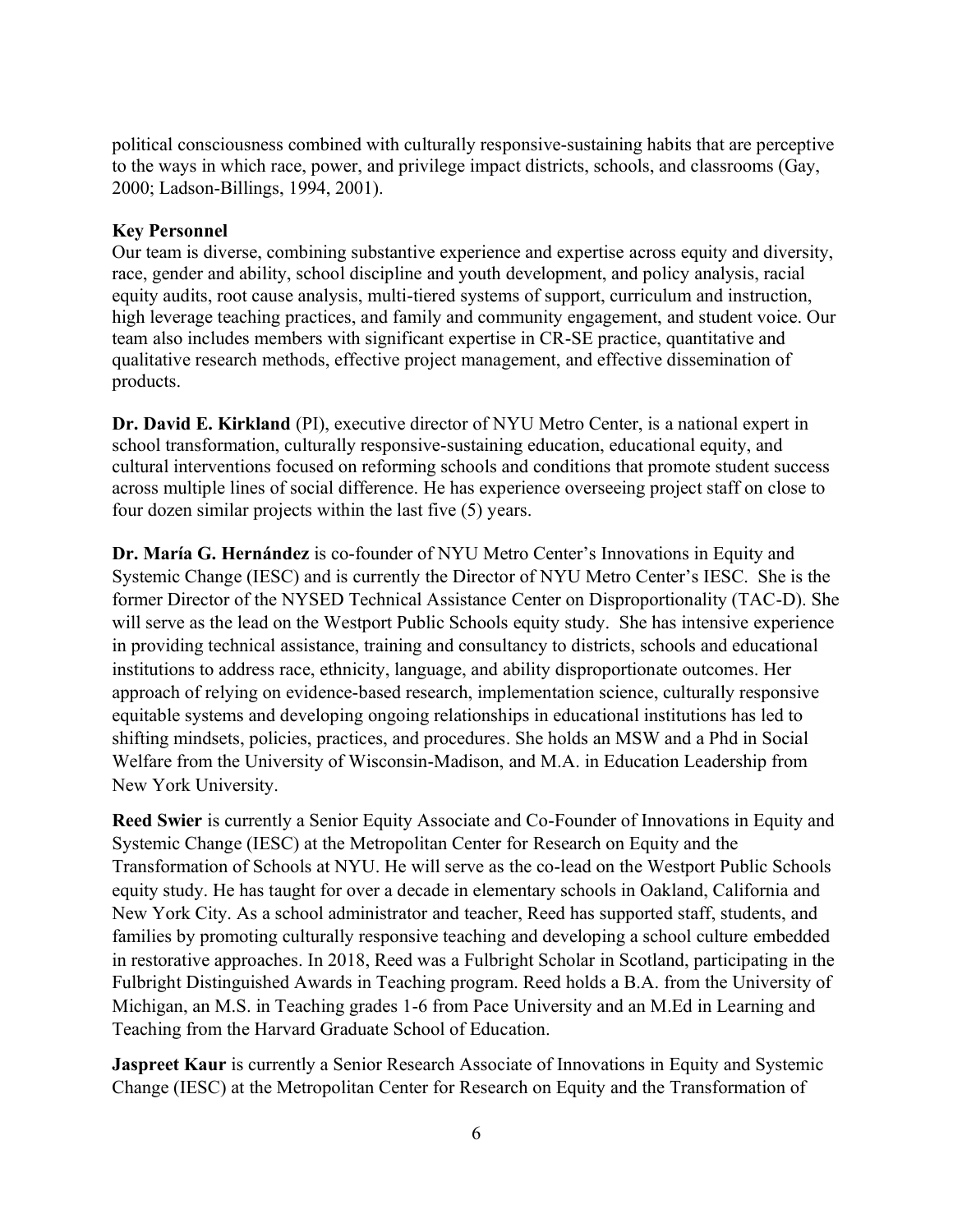political consciousness combined with culturally responsive-sustaining habits that are perceptive to the ways in which race, power, and privilege impact districts, schools, and classrooms (Gay, 2000; Ladson-Billings, 1994, 2001).

## **Key Personnel**

Our team is diverse, combining substantive experience and expertise across equity and diversity, race, gender and ability, school discipline and youth development, and policy analysis, racial equity audits, root cause analysis, multi-tiered systems of support, curriculum and instruction, high leverage teaching practices, and family and community engagement, and student voice. Our team also includes members with significant expertise in CR-SE practice, quantitative and qualitative research methods, effective project management, and effective dissemination of products.

**Dr. David E. Kirkland** (PI), executive director of NYU Metro Center, is a national expert in school transformation, culturally responsive-sustaining education, educational equity, and cultural interventions focused on reforming schools and conditions that promote student success across multiple lines of social difference. He has experience overseeing project staff on close to four dozen similar projects within the last five (5) years.

**Dr. María G. Hernández** is co-founder of NYU Metro Center's Innovations in Equity and Systemic Change (IESC) and is currently the Director of NYU Metro Center's IESC. She is the former Director of the NYSED Technical Assistance Center on Disproportionality (TAC-D). She will serve as the lead on the Westport Public Schools equity study. She has intensive experience in providing technical assistance, training and consultancy to districts, schools and educational institutions to address race, ethnicity, language, and ability disproportionate outcomes. Her approach of relying on evidence-based research, implementation science, culturally responsive equitable systems and developing ongoing relationships in educational institutions has led to shifting mindsets, policies, practices, and procedures. She holds an MSW and a Phd in Social Welfare from the University of Wisconsin-Madison, and M.A. in Education Leadership from New York University.

**Reed Swier** is currently a Senior Equity Associate and Co-Founder of Innovations in Equity and Systemic Change (IESC) at the Metropolitan Center for Research on Equity and the Transformation of Schools at NYU. He will serve as the co-lead on the Westport Public Schools equity study. He has taught for over a decade in elementary schools in Oakland, California and New York City. As a school administrator and teacher, Reed has supported staff, students, and families by promoting culturally responsive teaching and developing a school culture embedded in restorative approaches. In 2018, Reed was a Fulbright Scholar in Scotland, participating in the Fulbright Distinguished Awards in Teaching program. Reed holds a B.A. from the University of Michigan, an M.S. in Teaching grades 1-6 from Pace University and an M.Ed in Learning and Teaching from the Harvard Graduate School of Education.

**Jaspreet Kaur** is currently a Senior Research Associate of Innovations in Equity and Systemic Change (IESC) at the Metropolitan Center for Research on Equity and the Transformation of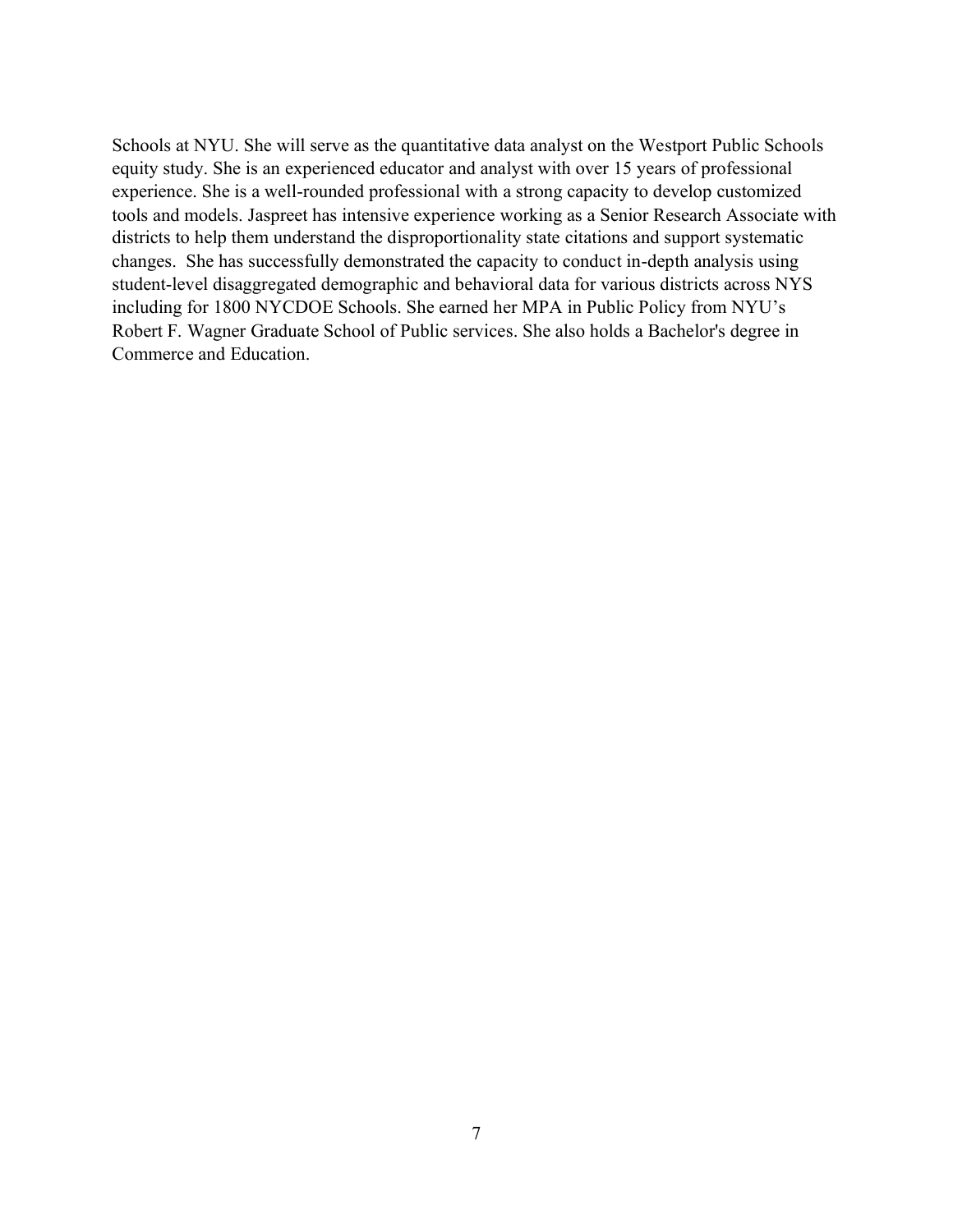Schools at NYU. She will serve as the quantitative data analyst on the Westport Public Schools equity study. She is an experienced educator and analyst with over 15 years of professional experience. She is a well-rounded professional with a strong capacity to develop customized tools and models. Jaspreet has intensive experience working as a Senior Research Associate with districts to help them understand the disproportionality state citations and support systematic changes. She has successfully demonstrated the capacity to conduct in-depth analysis using student-level disaggregated demographic and behavioral data for various districts across NYS including for 1800 NYCDOE Schools. She earned her MPA in Public Policy from NYU's Robert F. Wagner Graduate School of Public services. She also holds a Bachelor's degree in Commerce and Education.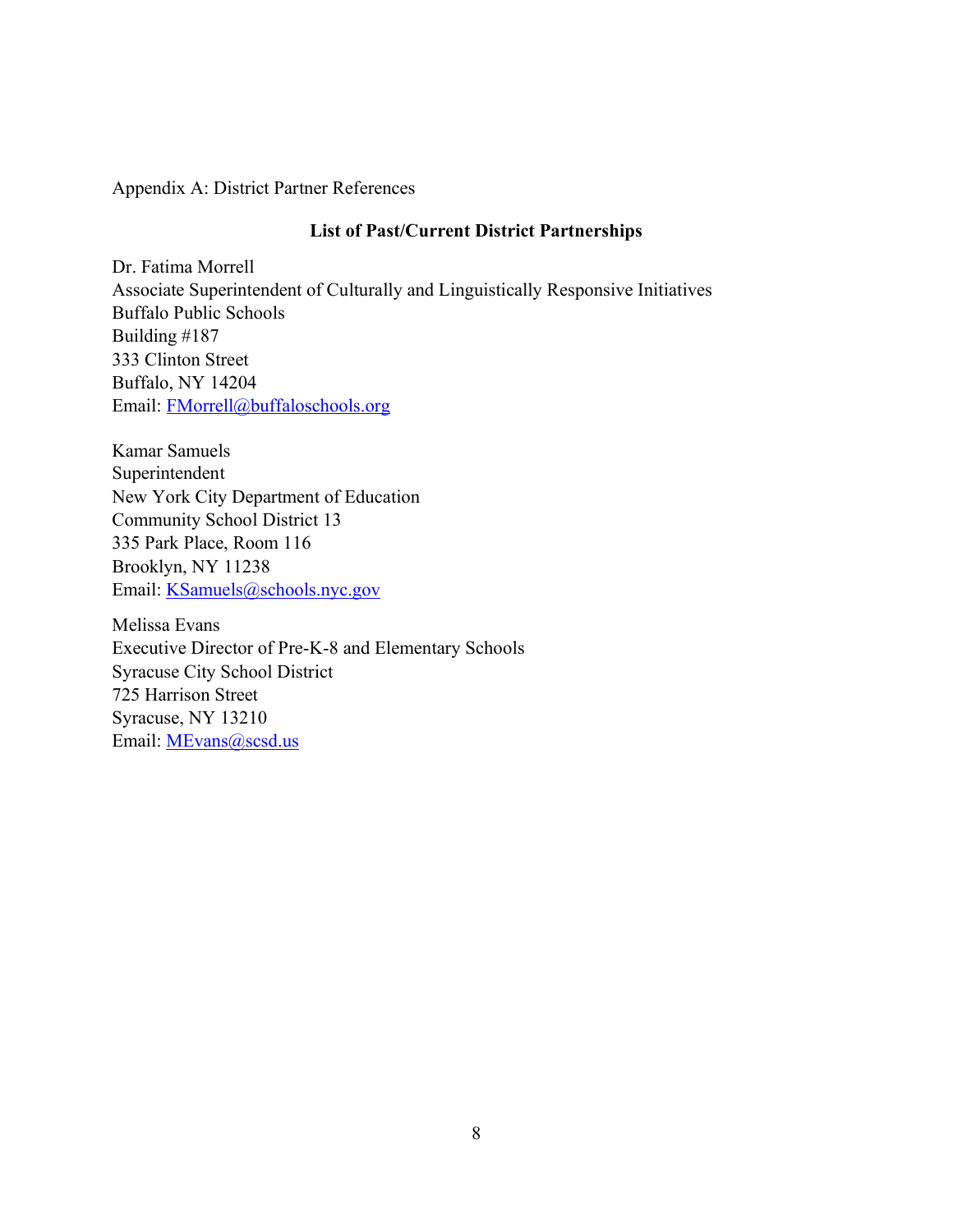## Appendix A: District Partner References

## **List of Past/Current District Partnerships**

Dr. Fatima Morrell Associate Superintendent of Culturally and Linguistically Responsive Initiatives Buffalo Public Schools Building #187 333 Clinton Street Buffalo, NY 14204 Email: FMorrell@buffaloschools.org

Kamar Samuels Superintendent New York City Department of Education Community School District 13 335 Park Place, Room 116 Brooklyn, NY 11238 Email: KSamuels@schools.nyc.gov

Melissa Evans Executive Director of Pre-K-8 and Elementary Schools Syracuse City School District 725 Harrison Street Syracuse, NY 13210 Email: **MEvans@scsd.us**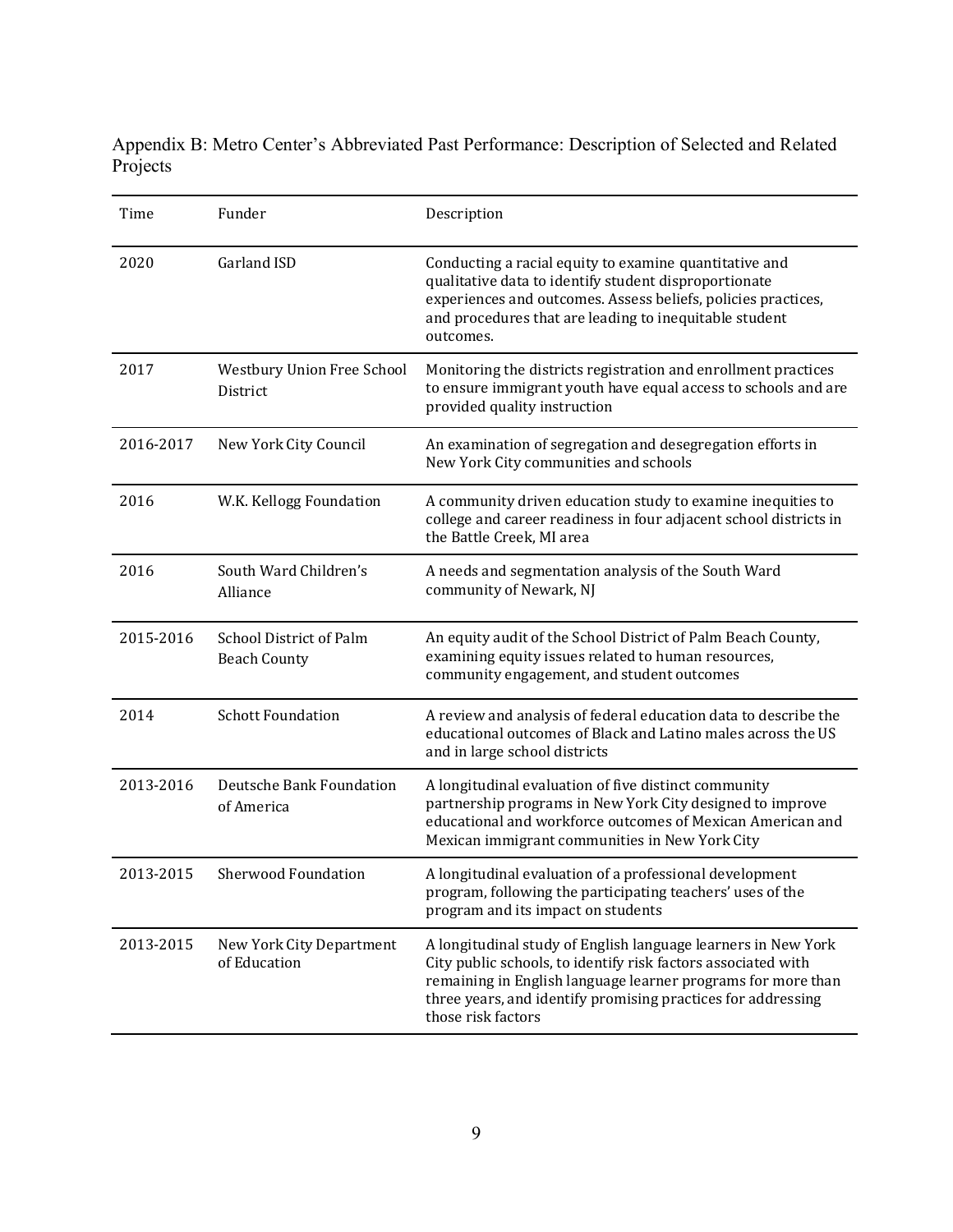Appendix B: Metro Center's Abbreviated Past Performance: Description of Selected and Related Projects

| Time      | Funder                                         | Description                                                                                                                                                                                                                                                                          |
|-----------|------------------------------------------------|--------------------------------------------------------------------------------------------------------------------------------------------------------------------------------------------------------------------------------------------------------------------------------------|
| 2020      | Garland ISD                                    | Conducting a racial equity to examine quantitative and<br>qualitative data to identify student disproportionate<br>experiences and outcomes. Assess beliefs, policies practices,<br>and procedures that are leading to inequitable student<br>outcomes.                              |
| 2017      | Westbury Union Free School<br>District         | Monitoring the districts registration and enrollment practices<br>to ensure immigrant youth have equal access to schools and are<br>provided quality instruction                                                                                                                     |
| 2016-2017 | New York City Council                          | An examination of segregation and desegregation efforts in<br>New York City communities and schools                                                                                                                                                                                  |
| 2016      | W.K. Kellogg Foundation                        | A community driven education study to examine inequities to<br>college and career readiness in four adjacent school districts in<br>the Battle Creek, MI area                                                                                                                        |
| 2016      | South Ward Children's<br>Alliance              | A needs and segmentation analysis of the South Ward<br>community of Newark, NJ                                                                                                                                                                                                       |
| 2015-2016 | School District of Palm<br><b>Beach County</b> | An equity audit of the School District of Palm Beach County,<br>examining equity issues related to human resources,<br>community engagement, and student outcomes                                                                                                                    |
| 2014      | <b>Schott Foundation</b>                       | A review and analysis of federal education data to describe the<br>educational outcomes of Black and Latino males across the US<br>and in large school districts                                                                                                                     |
| 2013-2016 | Deutsche Bank Foundation<br>of America         | A longitudinal evaluation of five distinct community<br>partnership programs in New York City designed to improve<br>educational and workforce outcomes of Mexican American and<br>Mexican immigrant communities in New York City                                                    |
| 2013-2015 | <b>Sherwood Foundation</b>                     | A longitudinal evaluation of a professional development<br>program, following the participating teachers' uses of the<br>program and its impact on students                                                                                                                          |
| 2013-2015 | New York City Department<br>of Education       | A longitudinal study of English language learners in New York<br>City public schools, to identify risk factors associated with<br>remaining in English language learner programs for more than<br>three years, and identify promising practices for addressing<br>those risk factors |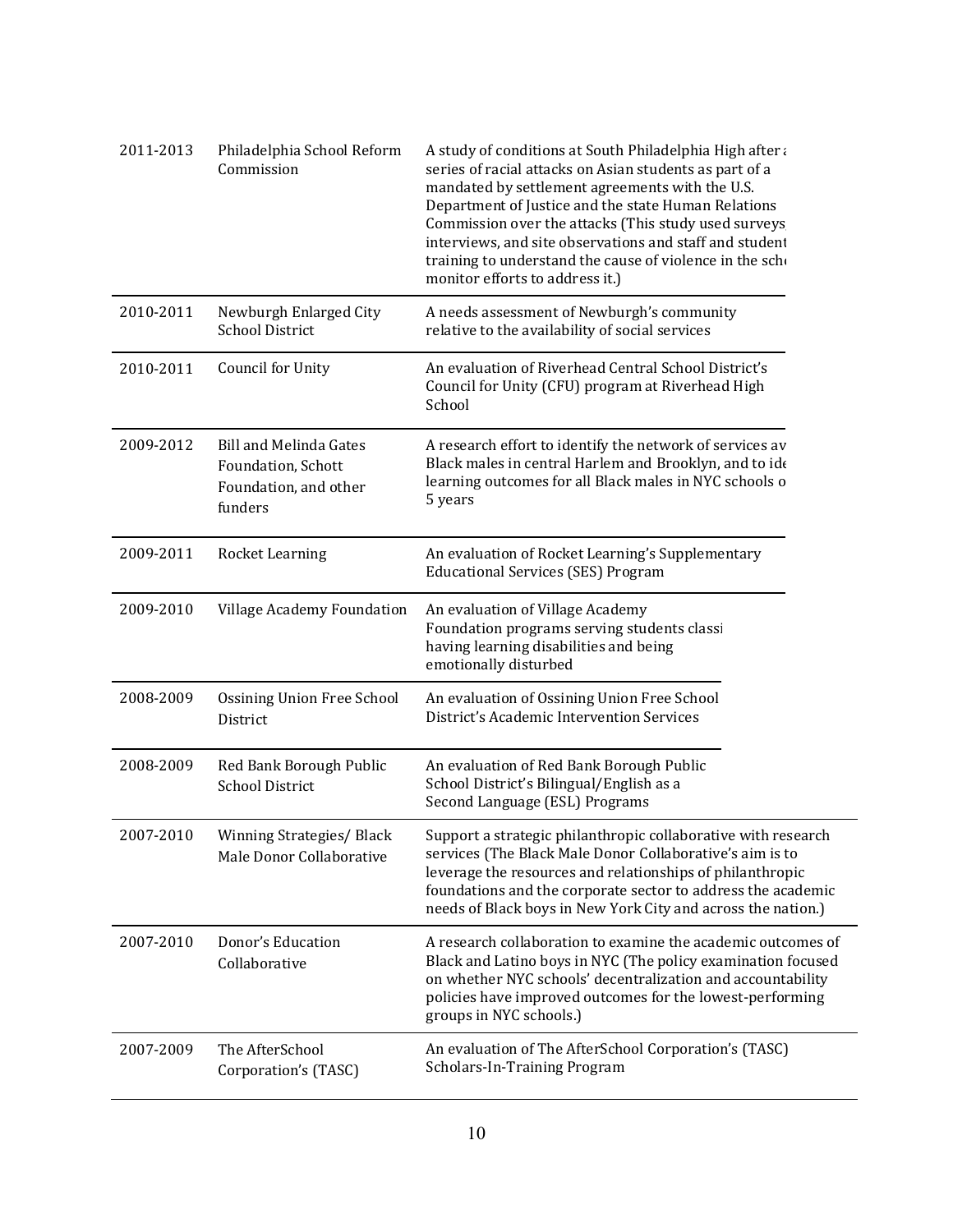| 2011-2013 | Philadelphia School Reform<br>Commission                                                | A study of conditions at South Philadelphia High after a<br>series of racial attacks on Asian students as part of a<br>mandated by settlement agreements with the U.S.<br>Department of Justice and the state Human Relations<br>Commission over the attacks (This study used surveys<br>interviews, and site observations and staff and student<br>training to understand the cause of violence in the scho<br>monitor efforts to address it.) |
|-----------|-----------------------------------------------------------------------------------------|-------------------------------------------------------------------------------------------------------------------------------------------------------------------------------------------------------------------------------------------------------------------------------------------------------------------------------------------------------------------------------------------------------------------------------------------------|
| 2010-2011 | Newburgh Enlarged City<br><b>School District</b>                                        | A needs assessment of Newburgh's community<br>relative to the availability of social services                                                                                                                                                                                                                                                                                                                                                   |
| 2010-2011 | Council for Unity                                                                       | An evaluation of Riverhead Central School District's<br>Council for Unity (CFU) program at Riverhead High<br>School                                                                                                                                                                                                                                                                                                                             |
| 2009-2012 | <b>Bill and Melinda Gates</b><br>Foundation, Schott<br>Foundation, and other<br>funders | A research effort to identify the network of services av<br>Black males in central Harlem and Brooklyn, and to ide<br>learning outcomes for all Black males in NYC schools o<br>5 years                                                                                                                                                                                                                                                         |
| 2009-2011 | Rocket Learning                                                                         | An evaluation of Rocket Learning's Supplementary<br><b>Educational Services (SES) Program</b>                                                                                                                                                                                                                                                                                                                                                   |
| 2009-2010 | Village Academy Foundation                                                              | An evaluation of Village Academy<br>Foundation programs serving students classi<br>having learning disabilities and being<br>emotionally disturbed                                                                                                                                                                                                                                                                                              |
| 2008-2009 | <b>Ossining Union Free School</b><br>District                                           | An evaluation of Ossining Union Free School<br>District's Academic Intervention Services                                                                                                                                                                                                                                                                                                                                                        |
| 2008-2009 | Red Bank Borough Public<br><b>School District</b>                                       | An evaluation of Red Bank Borough Public<br>School District's Bilingual/English as a<br>Second Language (ESL) Programs                                                                                                                                                                                                                                                                                                                          |
| 2007-2010 | Winning Strategies/ Black<br>Male Donor Collaborative                                   | Support a strategic philanthropic collaborative with research<br>services (The Black Male Donor Collaborative's aim is to<br>leverage the resources and relationships of philanthropic<br>foundations and the corporate sector to address the academic<br>needs of Black boys in New York City and across the nation.)                                                                                                                          |
| 2007-2010 | Donor's Education<br>Collaborative                                                      | A research collaboration to examine the academic outcomes of<br>Black and Latino boys in NYC (The policy examination focused<br>on whether NYC schools' decentralization and accountability<br>policies have improved outcomes for the lowest-performing<br>groups in NYC schools.)                                                                                                                                                             |
| 2007-2009 | The AfterSchool<br>Corporation's (TASC)                                                 | An evaluation of The AfterSchool Corporation's (TASC)<br>Scholars-In-Training Program                                                                                                                                                                                                                                                                                                                                                           |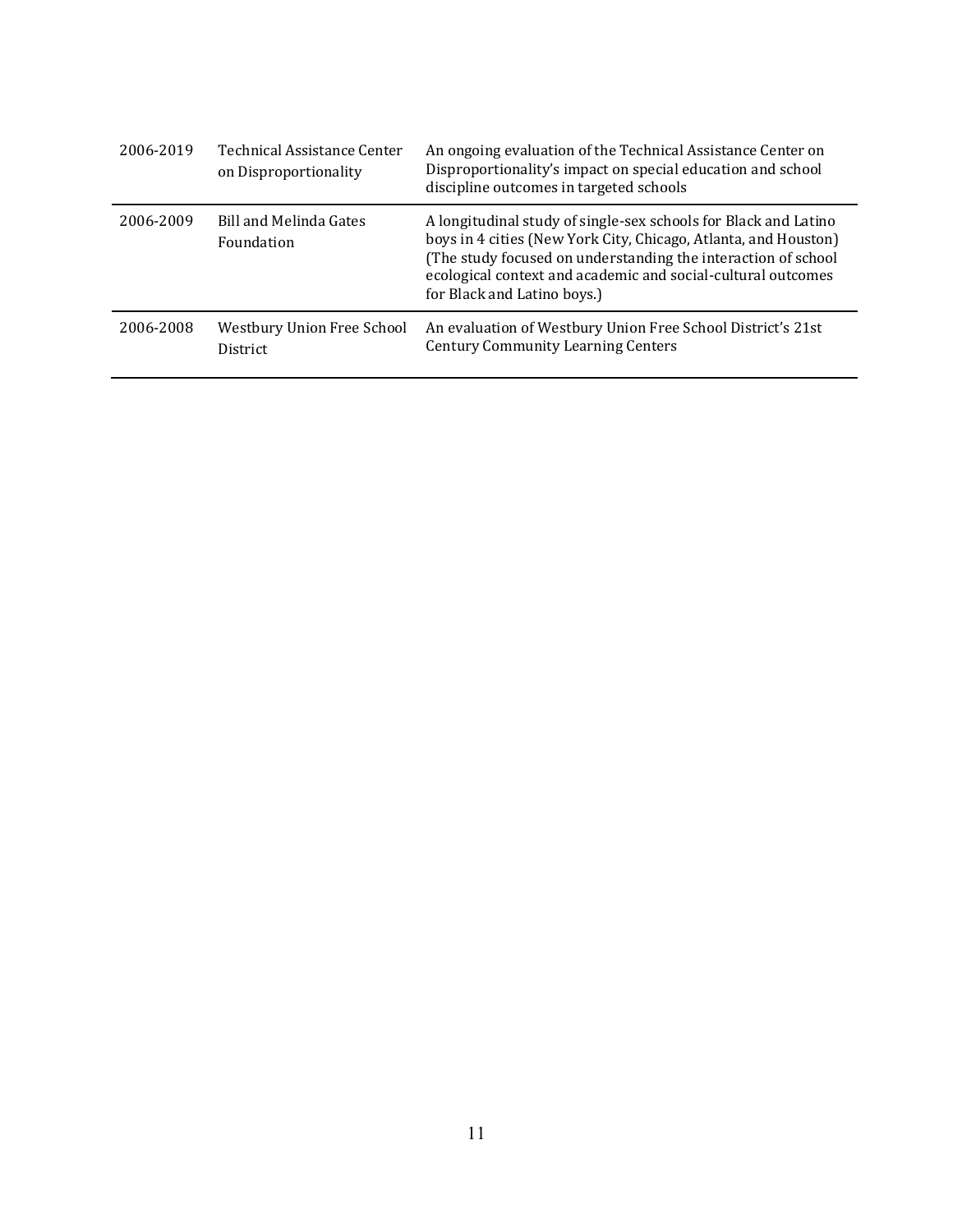| 2006-2019 | <b>Technical Assistance Center</b><br>on Disproportionality | An ongoing evaluation of the Technical Assistance Center on<br>Disproportionality's impact on special education and school<br>discipline outcomes in targeted schools                                                                                                                              |
|-----------|-------------------------------------------------------------|----------------------------------------------------------------------------------------------------------------------------------------------------------------------------------------------------------------------------------------------------------------------------------------------------|
| 2006-2009 | <b>Bill and Melinda Gates</b><br>Foundation                 | A longitudinal study of single-sex schools for Black and Latino<br>boys in 4 cities (New York City, Chicago, Atlanta, and Houston)<br>(The study focused on understanding the interaction of school<br>ecological context and academic and social-cultural outcomes<br>for Black and Latino boys.) |
| 2006-2008 | Westbury Union Free School<br><b>District</b>               | An evaluation of Westbury Union Free School District's 21st<br><b>Century Community Learning Centers</b>                                                                                                                                                                                           |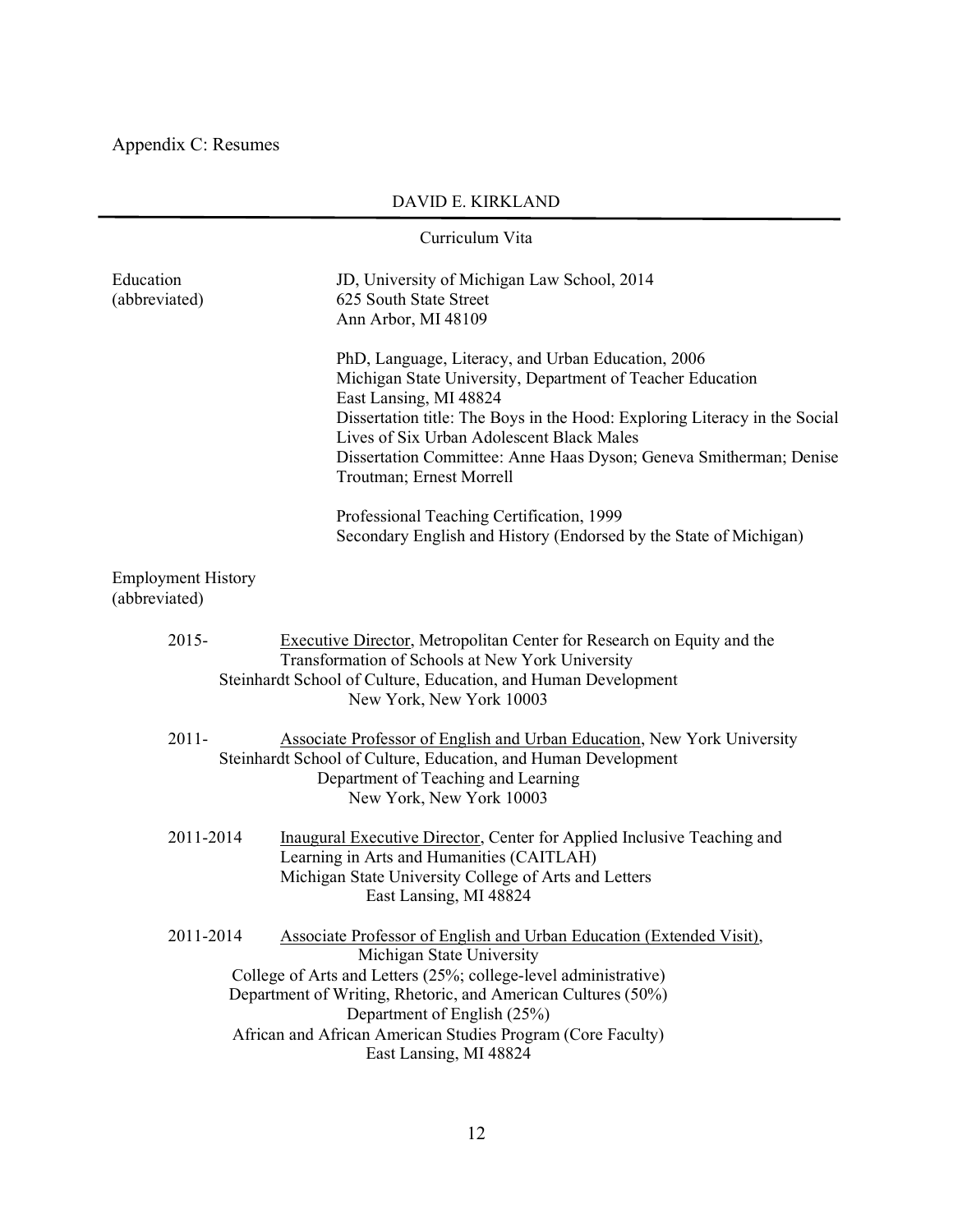Appendix C: Resumes

| Curriculum Vita                                                                                                                                                                                                                                                                                                                                                           |
|---------------------------------------------------------------------------------------------------------------------------------------------------------------------------------------------------------------------------------------------------------------------------------------------------------------------------------------------------------------------------|
| Education<br>JD, University of Michigan Law School, 2014<br>(abbreviated)<br>625 South State Street<br>Ann Arbor, MI 48109                                                                                                                                                                                                                                                |
| PhD, Language, Literacy, and Urban Education, 2006<br>Michigan State University, Department of Teacher Education<br>East Lansing, MI 48824<br>Dissertation title: The Boys in the Hood: Exploring Literacy in the Social<br>Lives of Six Urban Adolescent Black Males<br>Dissertation Committee: Anne Haas Dyson; Geneva Smitherman; Denise<br>Troutman; Ernest Morrell   |
| Professional Teaching Certification, 1999<br>Secondary English and History (Endorsed by the State of Michigan)                                                                                                                                                                                                                                                            |
| <b>Employment History</b><br>(abbreviated)                                                                                                                                                                                                                                                                                                                                |
| $2015 -$<br><b>Executive Director, Metropolitan Center for Research on Equity and the</b><br>Transformation of Schools at New York University<br>Steinhardt School of Culture, Education, and Human Development<br>New York, New York 10003                                                                                                                               |
| $2011 -$<br><b>Associate Professor of English and Urban Education, New York University</b><br>Steinhardt School of Culture, Education, and Human Development<br>Department of Teaching and Learning<br>New York, New York 10003                                                                                                                                           |
| 2011-2014<br>Inaugural Executive Director, Center for Applied Inclusive Teaching and<br>Learning in Arts and Humanities (CAITLAH)<br>Michigan State University College of Arts and Letters<br>East Lansing, MI 48824                                                                                                                                                      |
| 2011-2014<br>Associate Professor of English and Urban Education (Extended Visit),<br>Michigan State University<br>College of Arts and Letters (25%; college-level administrative)<br>Department of Writing, Rhetoric, and American Cultures (50%)<br>Department of English (25%)<br>African and African American Studies Program (Core Faculty)<br>East Lansing, MI 48824 |

DAVID E. KIRKLAND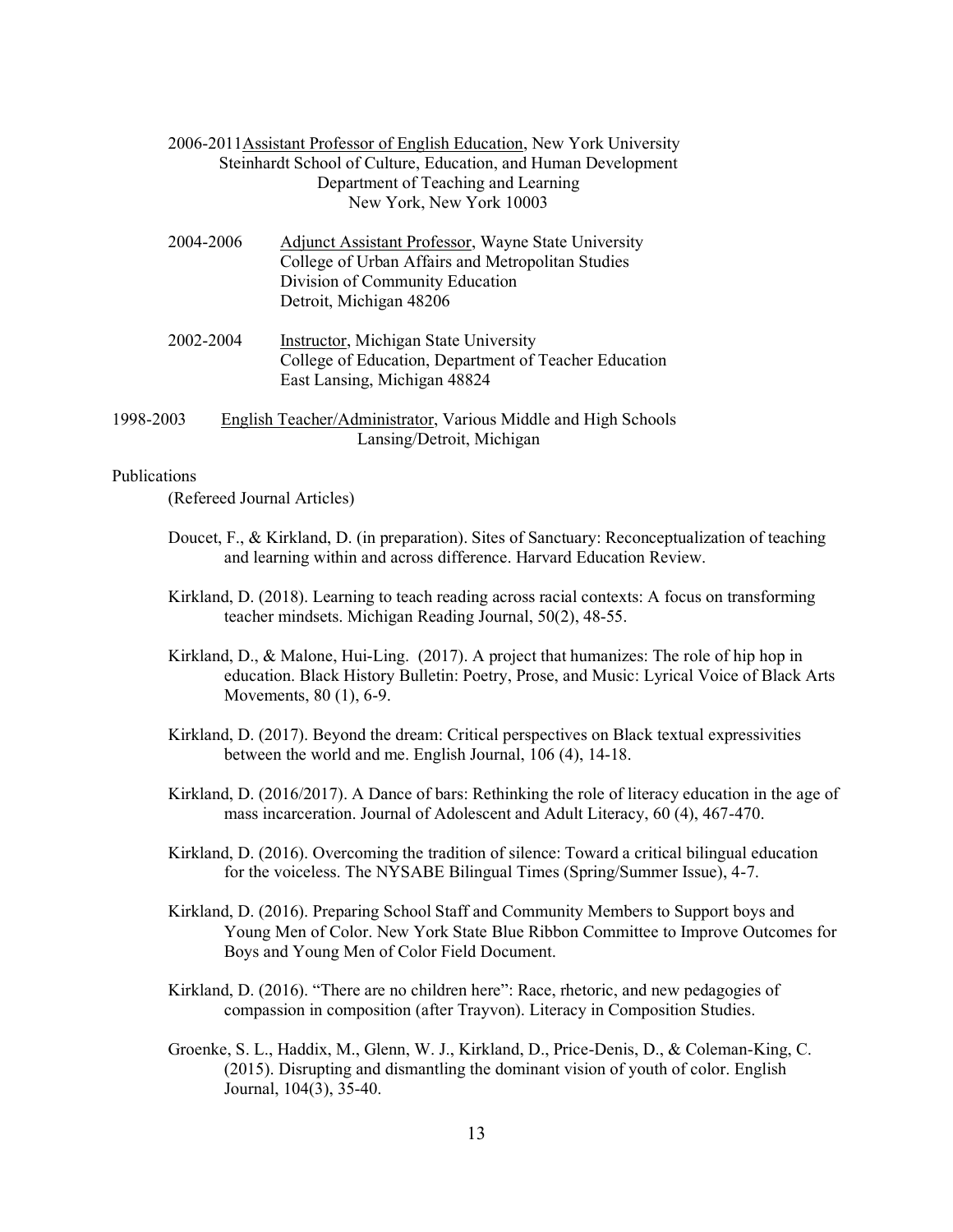| 2006-2011 Assistant Professor of English Education, New York University |
|-------------------------------------------------------------------------|
| Steinhardt School of Culture, Education, and Human Development          |
| Department of Teaching and Learning                                     |
| New York, New York 10003                                                |

| 2004-2006 | Adjunct Assistant Professor, Wayne State University<br>College of Urban Affairs and Metropolitan Studies<br>Division of Community Education<br>Detroit, Michigan 48206 |
|-----------|------------------------------------------------------------------------------------------------------------------------------------------------------------------------|
| 2002-2004 | Instructor, Michigan State University<br>College of Education, Department of Teacher Education                                                                         |

1998-2003 English Teacher/Administrator, Various Middle and High Schools Lansing/Detroit, Michigan

East Lansing, Michigan 48824

Publications

(Refereed Journal Articles)

- Doucet, F., & Kirkland, D. (in preparation). Sites of Sanctuary: Reconceptualization of teaching and learning within and across difference. Harvard Education Review.
- Kirkland, D. (2018). Learning to teach reading across racial contexts: A focus on transforming teacher mindsets. Michigan Reading Journal, 50(2), 48-55.
- Kirkland, D., & Malone, Hui-Ling. (2017). A project that humanizes: The role of hip hop in education. Black History Bulletin: Poetry, Prose, and Music: Lyrical Voice of Black Arts Movements, 80 (1), 6-9.
- Kirkland, D. (2017). Beyond the dream: Critical perspectives on Black textual expressivities between the world and me. English Journal, 106 (4), 14-18.
- Kirkland, D. (2016/2017). A Dance of bars: Rethinking the role of literacy education in the age of mass incarceration. Journal of Adolescent and Adult Literacy, 60 (4), 467-470.
- Kirkland, D. (2016). Overcoming the tradition of silence: Toward a critical bilingual education for the voiceless. The NYSABE Bilingual Times (Spring/Summer Issue), 4-7.
- Kirkland, D. (2016). Preparing School Staff and Community Members to Support boys and Young Men of Color. New York State Blue Ribbon Committee to Improve Outcomes for Boys and Young Men of Color Field Document.
- Kirkland, D. (2016). "There are no children here": Race, rhetoric, and new pedagogies of compassion in composition (after Trayvon). Literacy in Composition Studies.
- Groenke, S. L., Haddix, M., Glenn, W. J., Kirkland, D., Price-Denis, D., & Coleman-King, C. (2015). Disrupting and dismantling the dominant vision of youth of color. English Journal, 104(3), 35-40.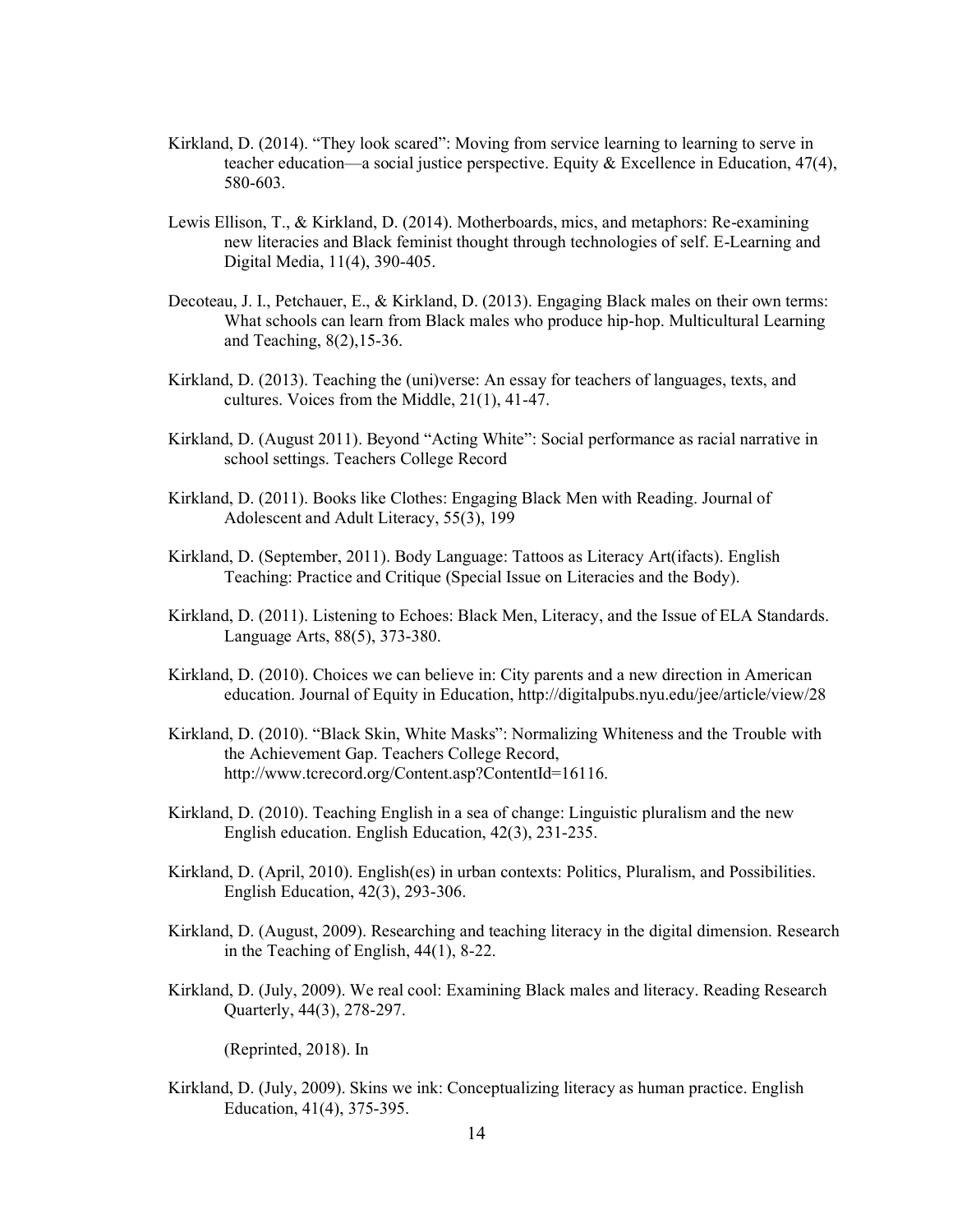- Kirkland, D. (2014). "They look scared": Moving from service learning to learning to serve in teacher education—a social justice perspective. Equity  $\&$  Excellence in Education, 47(4), 580-603.
- Lewis Ellison, T., & Kirkland, D. (2014). Motherboards, mics, and metaphors: Re-examining new literacies and Black feminist thought through technologies of self. E-Learning and Digital Media, 11(4), 390-405.
- Decoteau, J. I., Petchauer, E., & Kirkland, D. (2013). Engaging Black males on their own terms: What schools can learn from Black males who produce hip-hop. Multicultural Learning and Teaching, 8(2),15-36.
- Kirkland, D. (2013). Teaching the (uni)verse: An essay for teachers of languages, texts, and cultures. Voices from the Middle, 21(1), 41-47.
- Kirkland, D. (August 2011). Beyond "Acting White": Social performance as racial narrative in school settings. Teachers College Record
- Kirkland, D. (2011). Books like Clothes: Engaging Black Men with Reading. Journal of Adolescent and Adult Literacy, 55(3), 199
- Kirkland, D. (September, 2011). Body Language: Tattoos as Literacy Art(ifacts). English Teaching: Practice and Critique (Special Issue on Literacies and the Body).
- Kirkland, D. (2011). Listening to Echoes: Black Men, Literacy, and the Issue of ELA Standards. Language Arts, 88(5), 373-380.
- Kirkland, D. (2010). Choices we can believe in: City parents and a new direction in American education. Journal of Equity in Education, http://digitalpubs.nyu.edu/jee/article/view/28
- Kirkland, D. (2010). "Black Skin, White Masks": Normalizing Whiteness and the Trouble with the Achievement Gap. Teachers College Record, http://www.tcrecord.org/Content.asp?ContentId=16116.
- Kirkland, D. (2010). Teaching English in a sea of change: Linguistic pluralism and the new English education. English Education, 42(3), 231-235.
- Kirkland, D. (April, 2010). English(es) in urban contexts: Politics, Pluralism, and Possibilities. English Education, 42(3), 293-306.
- Kirkland, D. (August, 2009). Researching and teaching literacy in the digital dimension. Research in the Teaching of English, 44(1), 8-22.
- Kirkland, D. (July, 2009). We real cool: Examining Black males and literacy. Reading Research Quarterly, 44(3), 278-297.

(Reprinted, 2018). In

Kirkland, D. (July, 2009). Skins we ink: Conceptualizing literacy as human practice. English Education, 41(4), 375-395.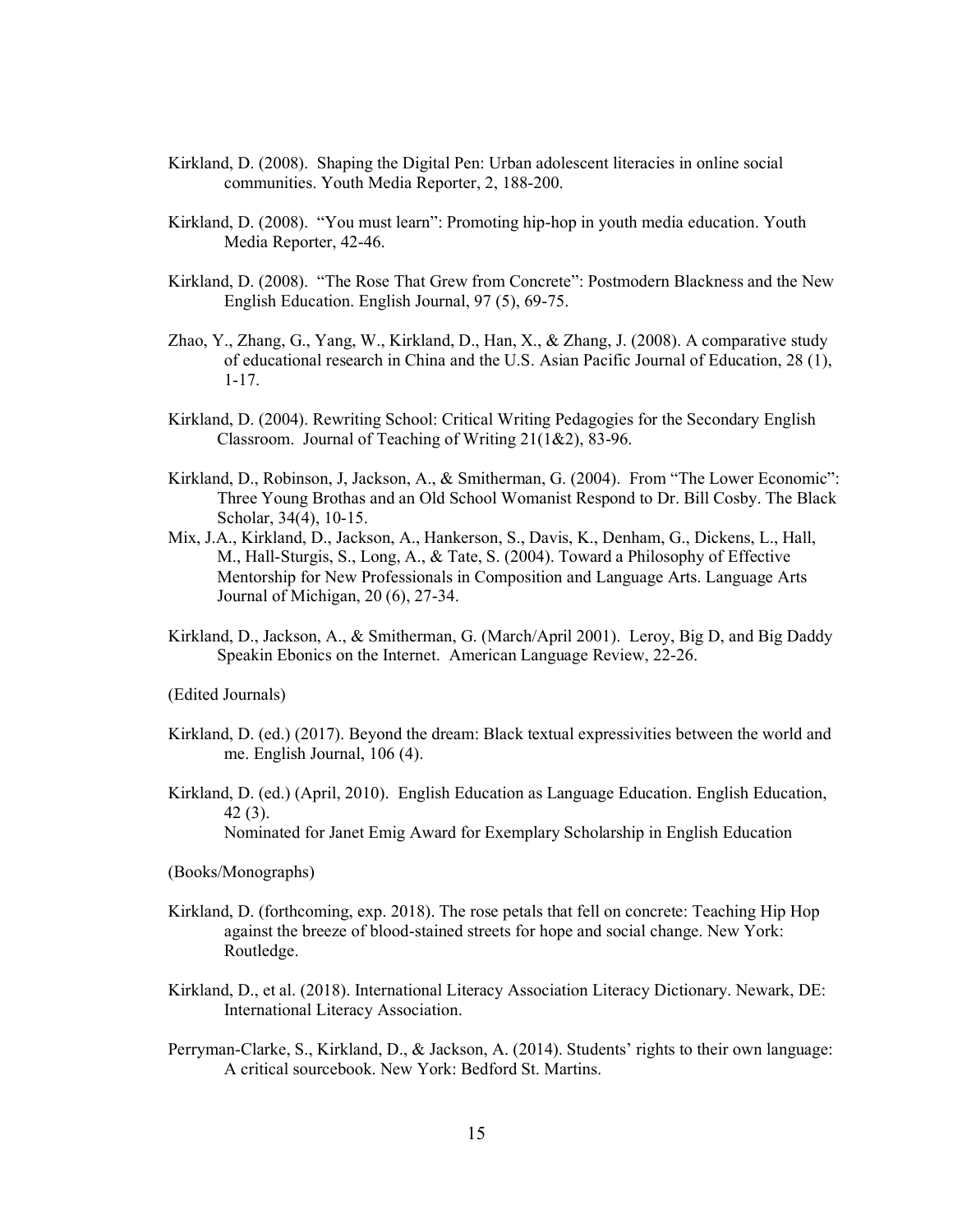- Kirkland, D. (2008). Shaping the Digital Pen: Urban adolescent literacies in online social communities. Youth Media Reporter, 2, 188-200.
- Kirkland, D. (2008). "You must learn": Promoting hip-hop in youth media education. Youth Media Reporter, 42-46.
- Kirkland, D. (2008). "The Rose That Grew from Concrete": Postmodern Blackness and the New English Education. English Journal, 97 (5), 69-75.
- Zhao, Y., Zhang, G., Yang, W., Kirkland, D., Han, X., & Zhang, J. (2008). A comparative study of educational research in China and the U.S. Asian Pacific Journal of Education, 28 (1), 1-17.
- Kirkland, D. (2004). Rewriting School: Critical Writing Pedagogies for the Secondary English Classroom. Journal of Teaching of Writing 21(1&2), 83-96.
- Kirkland, D., Robinson, J. Jackson, A., & Smitherman, G. (2004). From "The Lower Economic": Three Young Brothas and an Old School Womanist Respond to Dr. Bill Cosby. The Black Scholar, 34(4), 10-15.
- Mix, J.A., Kirkland, D., Jackson, A., Hankerson, S., Davis, K., Denham, G., Dickens, L., Hall, M., Hall-Sturgis, S., Long, A., & Tate, S. (2004). Toward a Philosophy of Effective Mentorship for New Professionals in Composition and Language Arts. Language Arts Journal of Michigan, 20 (6), 27-34.
- Kirkland, D., Jackson, A., & Smitherman, G. (March/April 2001). Leroy, Big D, and Big Daddy Speakin Ebonics on the Internet. American Language Review, 22-26.

(Edited Journals)

- Kirkland, D. (ed.) (2017). Beyond the dream: Black textual expressivities between the world and me. English Journal, 106 (4).
- Kirkland, D. (ed.) (April, 2010). English Education as Language Education. English Education, 42 (3).

Nominated for Janet Emig Award for Exemplary Scholarship in English Education

(Books/Monographs)

- Kirkland, D. (forthcoming, exp. 2018). The rose petals that fell on concrete: Teaching Hip Hop against the breeze of blood-stained streets for hope and social change. New York: Routledge.
- Kirkland, D., et al. (2018). International Literacy Association Literacy Dictionary. Newark, DE: International Literacy Association.
- Perryman-Clarke, S., Kirkland, D., & Jackson, A. (2014). Students' rights to their own language: A critical sourcebook. New York: Bedford St. Martins.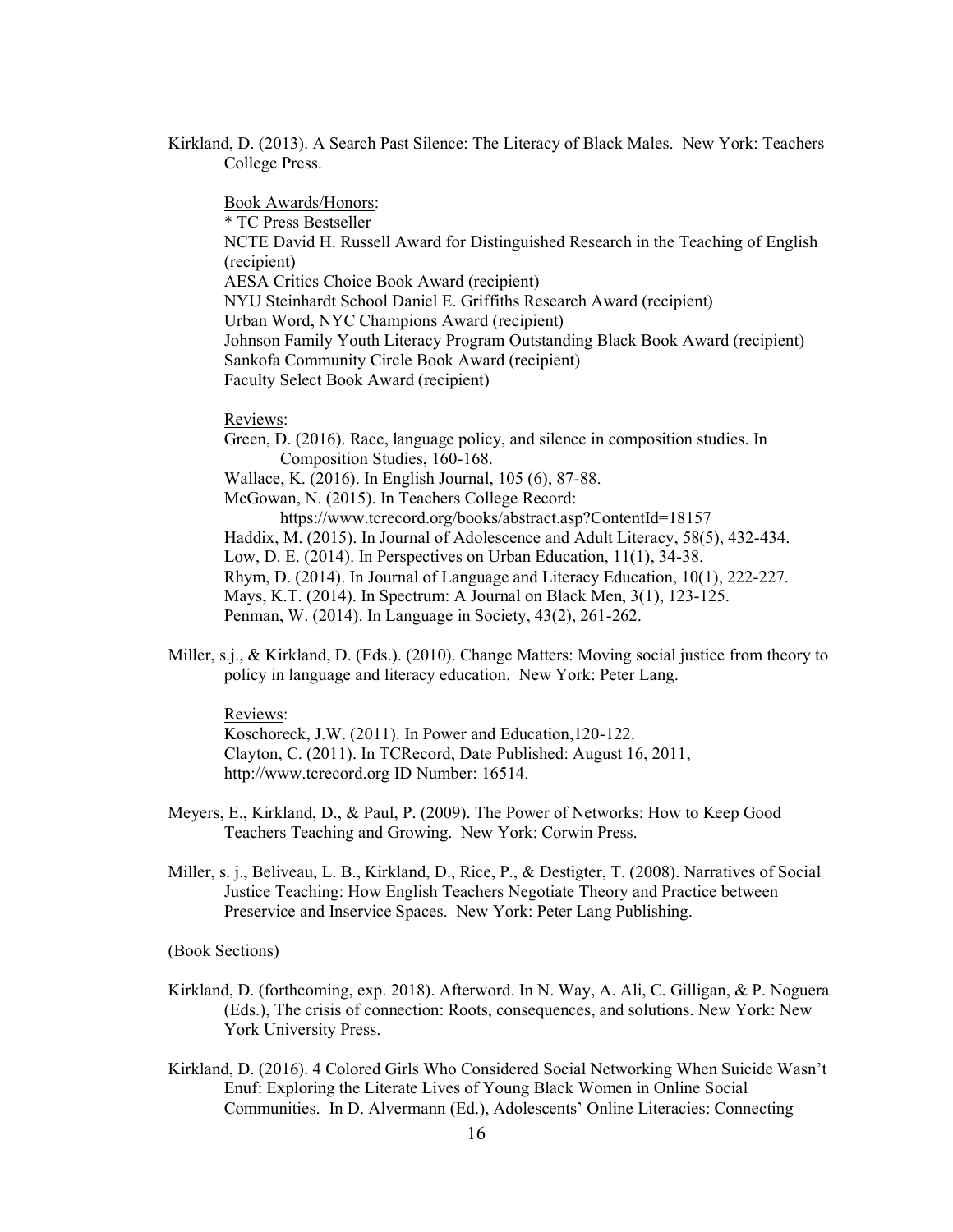Kirkland, D. (2013). A Search Past Silence: The Literacy of Black Males. New York: Teachers College Press.

Book Awards/Honors: \* TC Press Bestseller NCTE David H. Russell Award for Distinguished Research in the Teaching of English (recipient) AESA Critics Choice Book Award (recipient) NYU Steinhardt School Daniel E. Griffiths Research Award (recipient) Urban Word, NYC Champions Award (recipient) Johnson Family Youth Literacy Program Outstanding Black Book Award (recipient) Sankofa Community Circle Book Award (recipient) Faculty Select Book Award (recipient)

#### Reviews:

Green, D. (2016). Race, language policy, and silence in composition studies. In Composition Studies, 160-168. Wallace, K. (2016). In English Journal, 105 (6), 87-88. McGowan, N. (2015). In Teachers College Record: https://www.tcrecord.org/books/abstract.asp?ContentId=18157 Haddix, M. (2015). In Journal of Adolescence and Adult Literacy, 58(5), 432-434. Low, D. E. (2014). In Perspectives on Urban Education, 11(1), 34-38. Rhym, D. (2014). In Journal of Language and Literacy Education, 10(1), 222-227. Mays, K.T. (2014). In Spectrum: A Journal on Black Men, 3(1), 123-125. Penman, W. (2014). In Language in Society, 43(2), 261-262.

Miller, s.j., & Kirkland, D. (Eds.). (2010). Change Matters: Moving social justice from theory to policy in language and literacy education. New York: Peter Lang.

#### Reviews:

Koschoreck, J.W. (2011). In Power and Education,120-122. Clayton, C. (2011). In TCRecord, Date Published: August 16, 2011, http://www.tcrecord.org ID Number: 16514.

- Meyers, E., Kirkland, D., & Paul, P. (2009). The Power of Networks: How to Keep Good Teachers Teaching and Growing. New York: Corwin Press.
- Miller, s. j., Beliveau, L. B., Kirkland, D., Rice, P., & Destigter, T. (2008). Narratives of Social Justice Teaching: How English Teachers Negotiate Theory and Practice between Preservice and Inservice Spaces. New York: Peter Lang Publishing.

(Book Sections)

- Kirkland, D. (forthcoming, exp. 2018). Afterword. In N. Way, A. Ali, C. Gilligan, & P. Noguera (Eds.), The crisis of connection: Roots, consequences, and solutions. New York: New York University Press.
- Kirkland, D. (2016). 4 Colored Girls Who Considered Social Networking When Suicide Wasn't Enuf: Exploring the Literate Lives of Young Black Women in Online Social Communities. In D. Alvermann (Ed.), Adolescents' Online Literacies: Connecting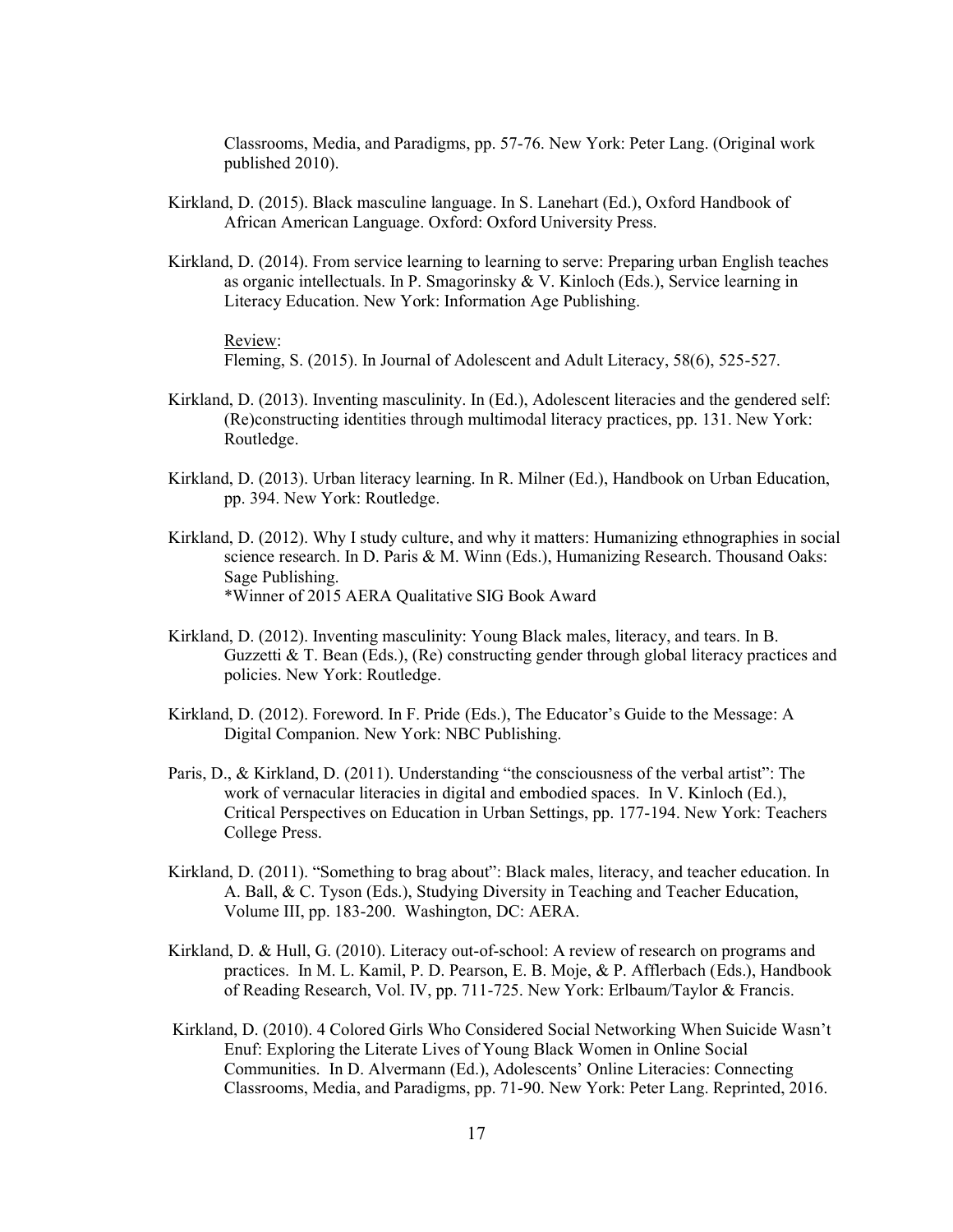Classrooms, Media, and Paradigms, pp. 57-76. New York: Peter Lang. (Original work published 2010).

- Kirkland, D. (2015). Black masculine language. In S. Lanehart (Ed.), Oxford Handbook of African American Language. Oxford: Oxford University Press.
- Kirkland, D. (2014). From service learning to learning to serve: Preparing urban English teaches as organic intellectuals. In P. Smagorinsky & V. Kinloch (Eds.), Service learning in Literacy Education. New York: Information Age Publishing.

Review:

Fleming, S. (2015). In Journal of Adolescent and Adult Literacy, 58(6), 525-527.

- Kirkland, D. (2013). Inventing masculinity. In (Ed.), Adolescent literacies and the gendered self: (Re)constructing identities through multimodal literacy practices, pp. 131. New York: Routledge.
- Kirkland, D. (2013). Urban literacy learning. In R. Milner (Ed.), Handbook on Urban Education, pp. 394. New York: Routledge.
- Kirkland, D. (2012). Why I study culture, and why it matters: Humanizing ethnographies in social science research. In D. Paris & M. Winn (Eds.), Humanizing Research. Thousand Oaks: Sage Publishing. \*Winner of 2015 AERA Qualitative SIG Book Award
- Kirkland, D. (2012). Inventing masculinity: Young Black males, literacy, and tears. In B. Guzzetti  $\&$  T. Bean (Eds.), (Re) constructing gender through global literacy practices and policies. New York: Routledge.
- Kirkland, D. (2012). Foreword. In F. Pride (Eds.), The Educator's Guide to the Message: A Digital Companion. New York: NBC Publishing.
- Paris, D., & Kirkland, D. (2011). Understanding "the consciousness of the verbal artist": The work of vernacular literacies in digital and embodied spaces. In V. Kinloch (Ed.), Critical Perspectives on Education in Urban Settings, pp. 177-194. New York: Teachers College Press.
- Kirkland, D. (2011). "Something to brag about": Black males, literacy, and teacher education. In A. Ball, & C. Tyson (Eds.), Studying Diversity in Teaching and Teacher Education, Volume III, pp. 183-200. Washington, DC: AERA.
- Kirkland, D. & Hull, G. (2010). Literacy out-of-school: A review of research on programs and practices. In M. L. Kamil, P. D. Pearson, E. B. Moje, & P. Afflerbach (Eds.), Handbook of Reading Research, Vol. IV, pp. 711-725. New York: Erlbaum/Taylor & Francis.
- Kirkland, D. (2010). 4 Colored Girls Who Considered Social Networking When Suicide Wasn't Enuf: Exploring the Literate Lives of Young Black Women in Online Social Communities. In D. Alvermann (Ed.), Adolescents' Online Literacies: Connecting Classrooms, Media, and Paradigms, pp. 71-90. New York: Peter Lang. Reprinted, 2016.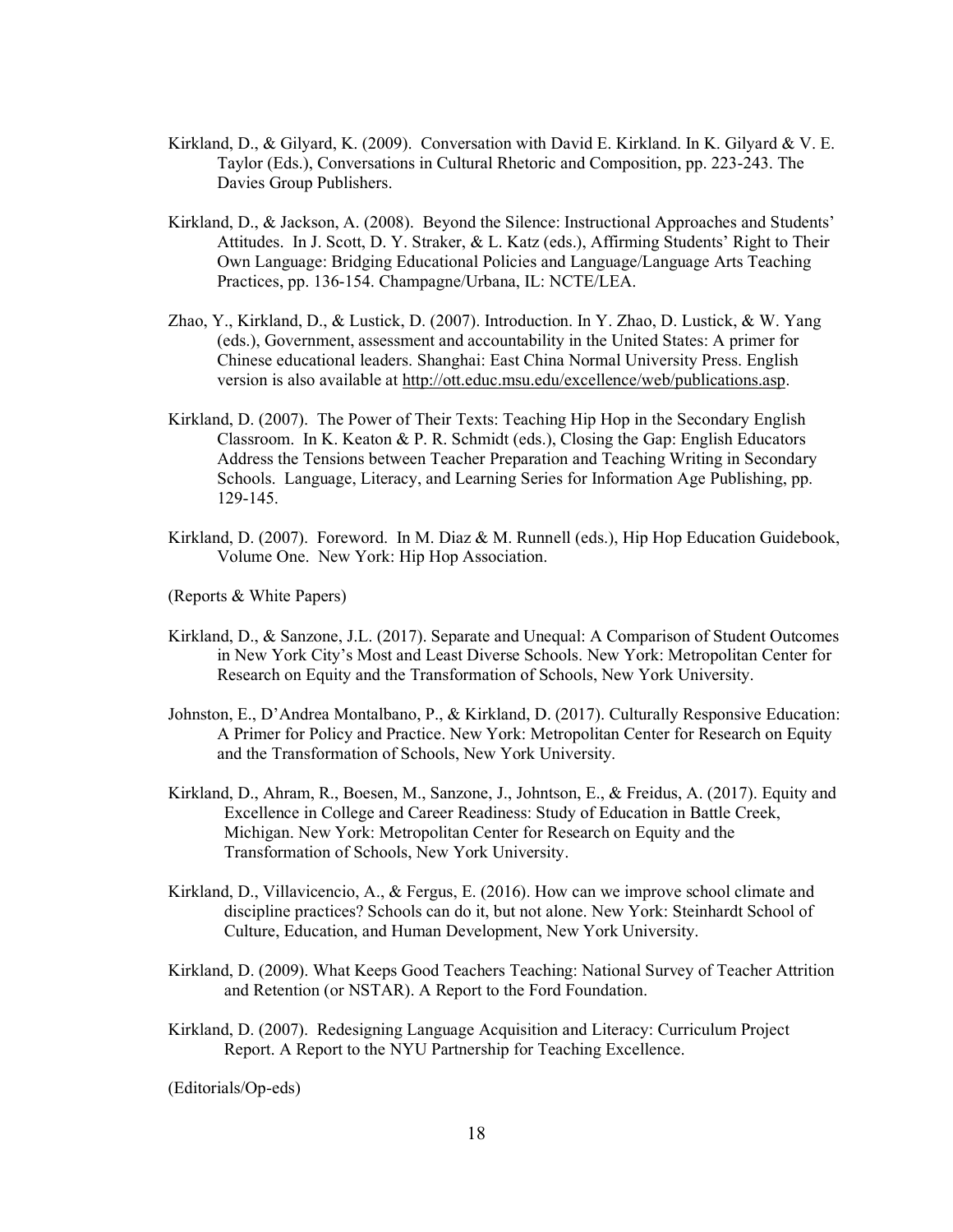- Kirkland, D., & Gilyard, K. (2009). Conversation with David E. Kirkland. In K. Gilyard & V. E. Taylor (Eds.), Conversations in Cultural Rhetoric and Composition, pp. 223-243. The Davies Group Publishers.
- Kirkland, D., & Jackson, A. (2008). Beyond the Silence: Instructional Approaches and Students' Attitudes. In J. Scott, D. Y. Straker, & L. Katz (eds.), Affirming Students' Right to Their Own Language: Bridging Educational Policies and Language/Language Arts Teaching Practices, pp. 136-154. Champagne/Urbana, IL: NCTE/LEA.
- Zhao, Y., Kirkland, D., & Lustick, D. (2007). Introduction. In Y. Zhao, D. Lustick, & W. Yang (eds.), Government, assessment and accountability in the United States: A primer for Chinese educational leaders. Shanghai: East China Normal University Press. English version is also available at http://ott.educ.msu.edu/excellence/web/publications.asp.
- Kirkland, D. (2007). The Power of Their Texts: Teaching Hip Hop in the Secondary English Classroom. In K. Keaton & P. R. Schmidt (eds.), Closing the Gap: English Educators Address the Tensions between Teacher Preparation and Teaching Writing in Secondary Schools. Language, Literacy, and Learning Series for Information Age Publishing, pp. 129-145.
- Kirkland, D. (2007). Foreword. In M. Diaz & M. Runnell (eds.), Hip Hop Education Guidebook, Volume One. New York: Hip Hop Association.
- (Reports & White Papers)
- Kirkland, D., & Sanzone, J.L. (2017). Separate and Unequal: A Comparison of Student Outcomes in New York City's Most and Least Diverse Schools. New York: Metropolitan Center for Research on Equity and the Transformation of Schools, New York University.
- Johnston, E., D'Andrea Montalbano, P., & Kirkland, D. (2017). Culturally Responsive Education: A Primer for Policy and Practice. New York: Metropolitan Center for Research on Equity and the Transformation of Schools, New York University.
- Kirkland, D., Ahram, R., Boesen, M., Sanzone, J., Johntson, E., & Freidus, A. (2017). Equity and Excellence in College and Career Readiness: Study of Education in Battle Creek, Michigan. New York: Metropolitan Center for Research on Equity and the Transformation of Schools, New York University.
- Kirkland, D., Villavicencio, A., & Fergus, E. (2016). How can we improve school climate and discipline practices? Schools can do it, but not alone. New York: Steinhardt School of Culture, Education, and Human Development, New York University.
- Kirkland, D. (2009). What Keeps Good Teachers Teaching: National Survey of Teacher Attrition and Retention (or NSTAR). A Report to the Ford Foundation.
- Kirkland, D. (2007). Redesigning Language Acquisition and Literacy: Curriculum Project Report. A Report to the NYU Partnership for Teaching Excellence.

(Editorials/Op-eds)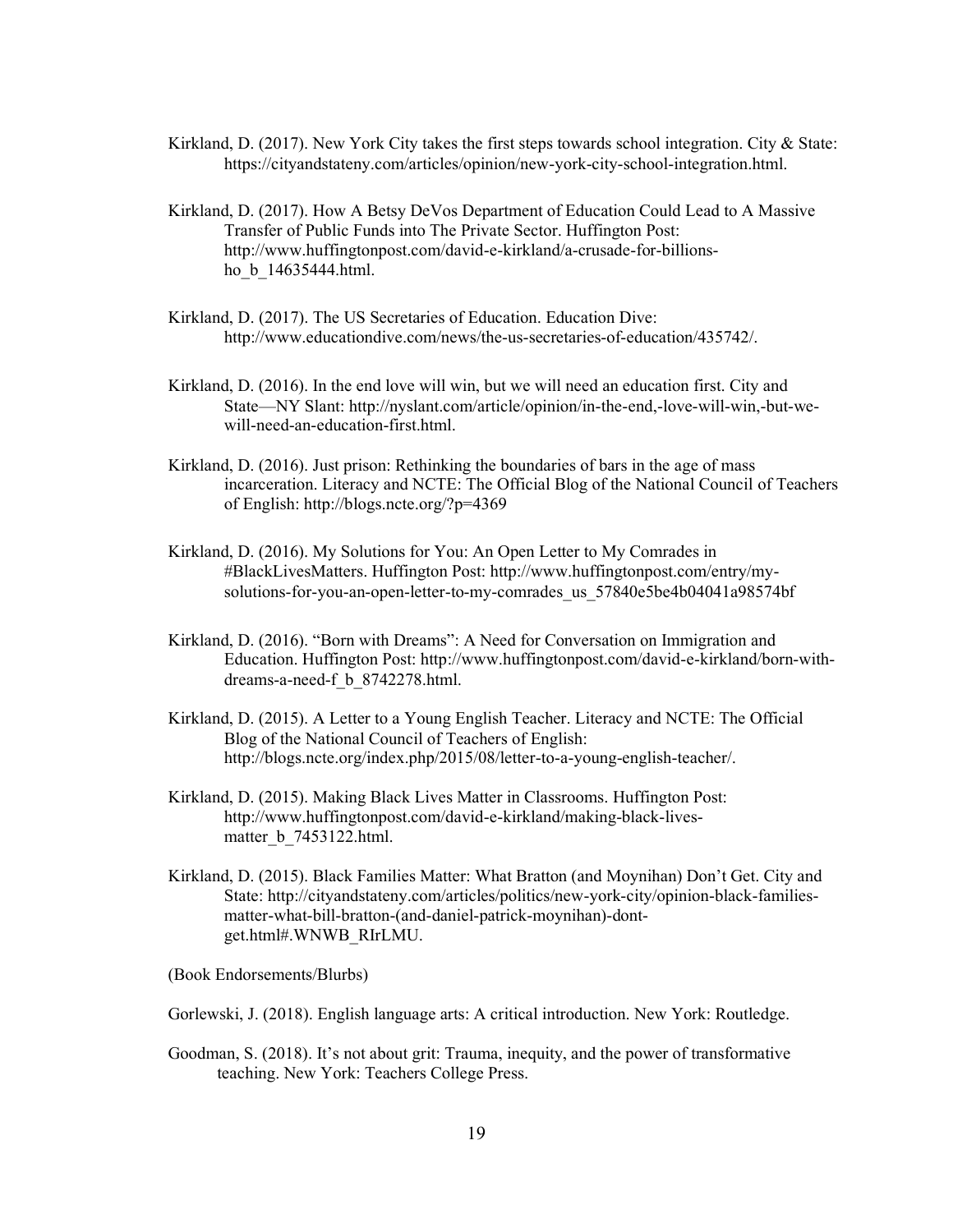- Kirkland, D. (2017). New York City takes the first steps towards school integration. City & State: https://cityandstateny.com/articles/opinion/new-york-city-school-integration.html.
- Kirkland, D. (2017). How A Betsy DeVos Department of Education Could Lead to A Massive Transfer of Public Funds into The Private Sector. Huffington Post: http://www.huffingtonpost.com/david-e-kirkland/a-crusade-for-billionsho\_b\_14635444.html.
- Kirkland, D. (2017). The US Secretaries of Education. Education Dive: http://www.educationdive.com/news/the-us-secretaries-of-education/435742/.
- Kirkland, D. (2016). In the end love will win, but we will need an education first. City and State—NY Slant: http://nyslant.com/article/opinion/in-the-end,-love-will-win,-but-wewill-need-an-education-first.html.
- Kirkland, D. (2016). Just prison: Rethinking the boundaries of bars in the age of mass incarceration. Literacy and NCTE: The Official Blog of the National Council of Teachers of English: http://blogs.ncte.org/?p=4369
- Kirkland, D. (2016). My Solutions for You: An Open Letter to My Comrades in #BlackLivesMatters. Huffington Post: http://www.huffingtonpost.com/entry/mysolutions-for-you-an-open-letter-to-my-comrades\_us\_57840e5be4b04041a98574bf
- Kirkland, D. (2016). "Born with Dreams": A Need for Conversation on Immigration and Education. Huffington Post: http://www.huffingtonpost.com/david-e-kirkland/born-withdreams-a-need-f\_b\_8742278.html.
- Kirkland, D. (2015). A Letter to a Young English Teacher. Literacy and NCTE: The Official Blog of the National Council of Teachers of English: http://blogs.ncte.org/index.php/2015/08/letter-to-a-young-english-teacher/.
- Kirkland, D. (2015). Making Black Lives Matter in Classrooms. Huffington Post: http://www.huffingtonpost.com/david-e-kirkland/making-black-livesmatter b 7453122.html.
- Kirkland, D. (2015). Black Families Matter: What Bratton (and Moynihan) Don't Get. City and State: http://cityandstateny.com/articles/politics/new-york-city/opinion-black-familiesmatter-what-bill-bratton-(and-daniel-patrick-moynihan)-dontget.html#.WNWB\_RIrLMU.

(Book Endorsements/Blurbs)

Gorlewski, J. (2018). English language arts: A critical introduction. New York: Routledge.

Goodman, S. (2018). It's not about grit: Trauma, inequity, and the power of transformative teaching. New York: Teachers College Press.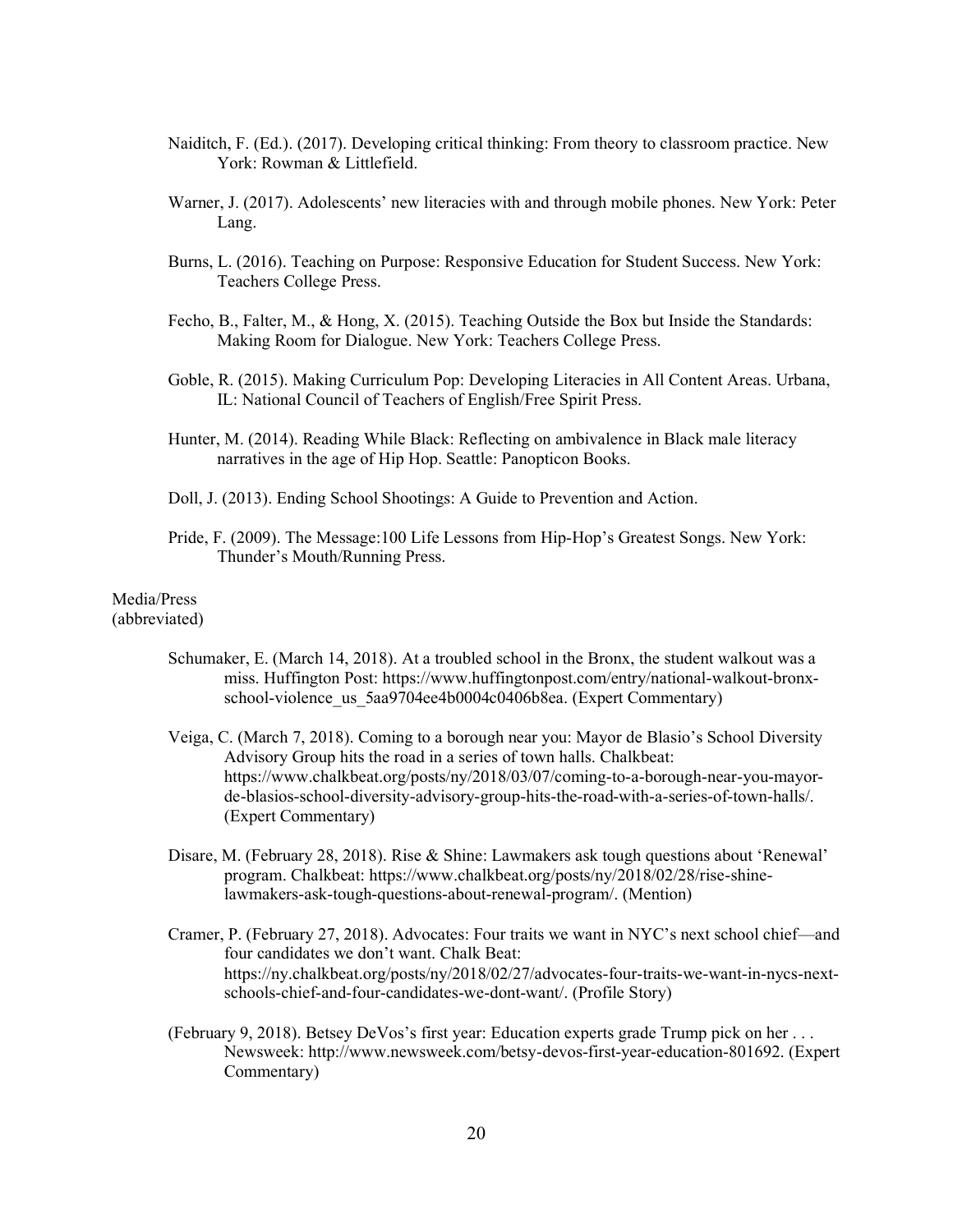- Naiditch, F. (Ed.). (2017). Developing critical thinking: From theory to classroom practice. New York: Rowman & Littlefield.
- Warner, J. (2017). Adolescents' new literacies with and through mobile phones. New York: Peter Lang.
- Burns, L. (2016). Teaching on Purpose: Responsive Education for Student Success. New York: Teachers College Press.
- Fecho, B., Falter, M., & Hong, X. (2015). Teaching Outside the Box but Inside the Standards: Making Room for Dialogue. New York: Teachers College Press.
- Goble, R. (2015). Making Curriculum Pop: Developing Literacies in All Content Areas. Urbana, IL: National Council of Teachers of English/Free Spirit Press.
- Hunter, M. (2014). Reading While Black: Reflecting on ambivalence in Black male literacy narratives in the age of Hip Hop. Seattle: Panopticon Books.
- Doll, J. (2013). Ending School Shootings: A Guide to Prevention and Action.
- Pride, F. (2009). The Message:100 Life Lessons from Hip-Hop's Greatest Songs. New York: Thunder's Mouth/Running Press.

#### Media/Press (abbreviated)

- Schumaker, E. (March 14, 2018). At a troubled school in the Bronx, the student walkout was a miss. Huffington Post: https://www.huffingtonpost.com/entry/national-walkout-bronxschool-violence us 5aa9704ee4b0004c0406b8ea. (Expert Commentary)
- Veiga, C. (March 7, 2018). Coming to a borough near you: Mayor de Blasio's School Diversity Advisory Group hits the road in a series of town halls. Chalkbeat: https://www.chalkbeat.org/posts/ny/2018/03/07/coming-to-a-borough-near-you-mayorde-blasios-school-diversity-advisory-group-hits-the-road-with-a-series-of-town-halls/. (Expert Commentary)
- Disare, M. (February 28, 2018). Rise & Shine: Lawmakers ask tough questions about 'Renewal' program. Chalkbeat: https://www.chalkbeat.org/posts/ny/2018/02/28/rise-shinelawmakers-ask-tough-questions-about-renewal-program/. (Mention)
- Cramer, P. (February 27, 2018). Advocates: Four traits we want in NYC's next school chief—and four candidates we don't want. Chalk Beat: https://ny.chalkbeat.org/posts/ny/2018/02/27/advocates-four-traits-we-want-in-nycs-nextschools-chief-and-four-candidates-we-dont-want/. (Profile Story)
- (February 9, 2018). Betsey DeVos's first year: Education experts grade Trump pick on her . . . Newsweek: http://www.newsweek.com/betsy-devos-first-year-education-801692. (Expert Commentary)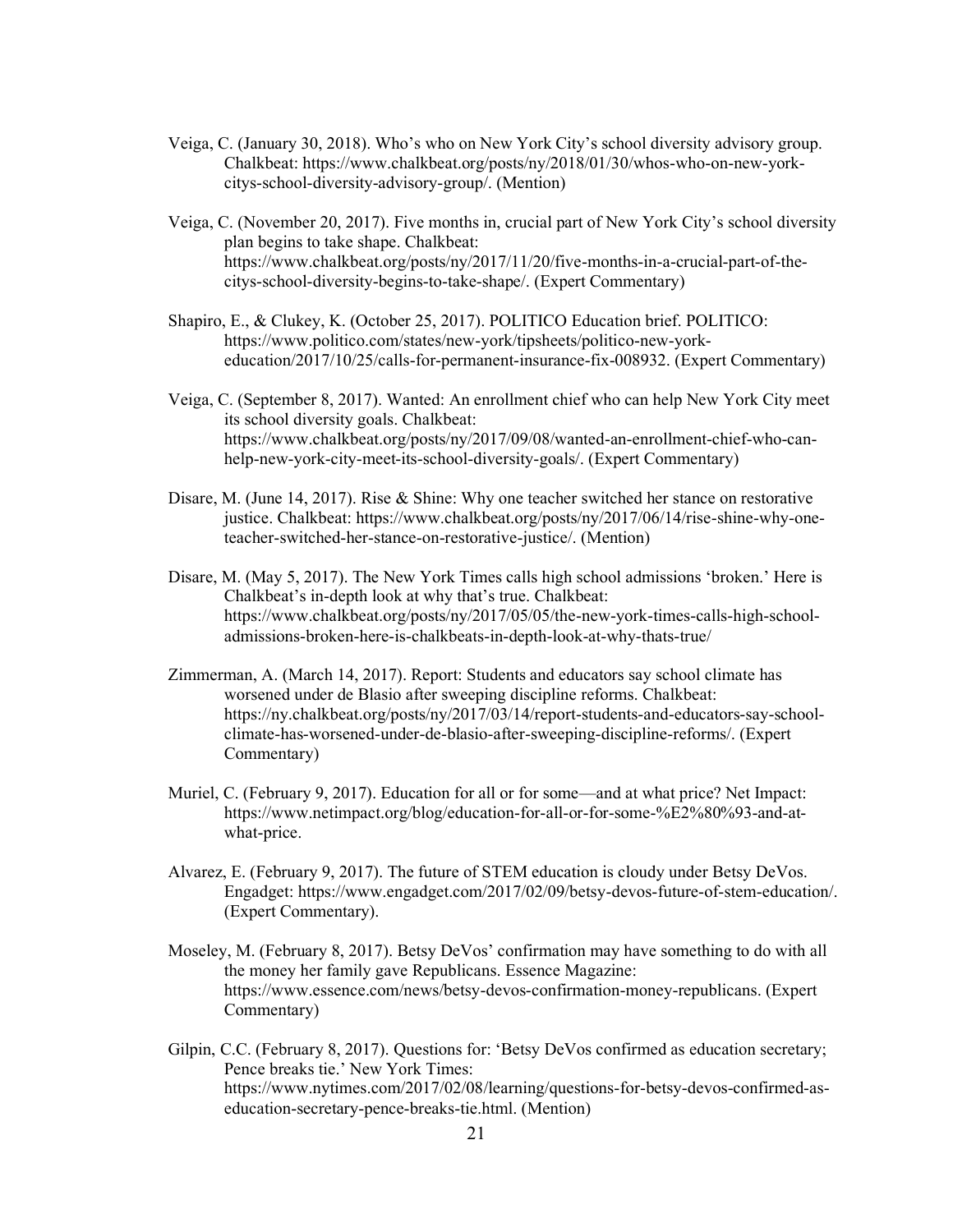- Veiga, C. (January 30, 2018). Who's who on New York City's school diversity advisory group. Chalkbeat: https://www.chalkbeat.org/posts/ny/2018/01/30/whos-who-on-new-yorkcitys-school-diversity-advisory-group/. (Mention)
- Veiga, C. (November 20, 2017). Five months in, crucial part of New York City's school diversity plan begins to take shape. Chalkbeat: https://www.chalkbeat.org/posts/ny/2017/11/20/five-months-in-a-crucial-part-of-thecitys-school-diversity-begins-to-take-shape/. (Expert Commentary)
- Shapiro, E., & Clukey, K. (October 25, 2017). POLITICO Education brief. POLITICO: https://www.politico.com/states/new-york/tipsheets/politico-new-yorkeducation/2017/10/25/calls-for-permanent-insurance-fix-008932. (Expert Commentary)
- Veiga, C. (September 8, 2017). Wanted: An enrollment chief who can help New York City meet its school diversity goals. Chalkbeat: https://www.chalkbeat.org/posts/ny/2017/09/08/wanted-an-enrollment-chief-who-canhelp-new-york-city-meet-its-school-diversity-goals/. (Expert Commentary)
- Disare, M. (June 14, 2017). Rise & Shine: Why one teacher switched her stance on restorative justice. Chalkbeat: https://www.chalkbeat.org/posts/ny/2017/06/14/rise-shine-why-oneteacher-switched-her-stance-on-restorative-justice/. (Mention)
- Disare, M. (May 5, 2017). The New York Times calls high school admissions 'broken.' Here is Chalkbeat's in-depth look at why that's true. Chalkbeat: https://www.chalkbeat.org/posts/ny/2017/05/05/the-new-york-times-calls-high-schooladmissions-broken-here-is-chalkbeats-in-depth-look-at-why-thats-true/
- Zimmerman, A. (March 14, 2017). Report: Students and educators say school climate has worsened under de Blasio after sweeping discipline reforms. Chalkbeat: https://ny.chalkbeat.org/posts/ny/2017/03/14/report-students-and-educators-say-schoolclimate-has-worsened-under-de-blasio-after-sweeping-discipline-reforms/. (Expert Commentary)
- Muriel, C. (February 9, 2017). Education for all or for some—and at what price? Net Impact: https://www.netimpact.org/blog/education-for-all-or-for-some-%E2%80%93-and-atwhat-price.
- Alvarez, E. (February 9, 2017). The future of STEM education is cloudy under Betsy DeVos. Engadget: https://www.engadget.com/2017/02/09/betsy-devos-future-of-stem-education/. (Expert Commentary).
- Moseley, M. (February 8, 2017). Betsy DeVos' confirmation may have something to do with all the money her family gave Republicans. Essence Magazine: https://www.essence.com/news/betsy-devos-confirmation-money-republicans. (Expert Commentary)
- Gilpin, C.C. (February 8, 2017). Questions for: 'Betsy DeVos confirmed as education secretary; Pence breaks tie.' New York Times: https://www.nytimes.com/2017/02/08/learning/questions-for-betsy-devos-confirmed-aseducation-secretary-pence-breaks-tie.html. (Mention)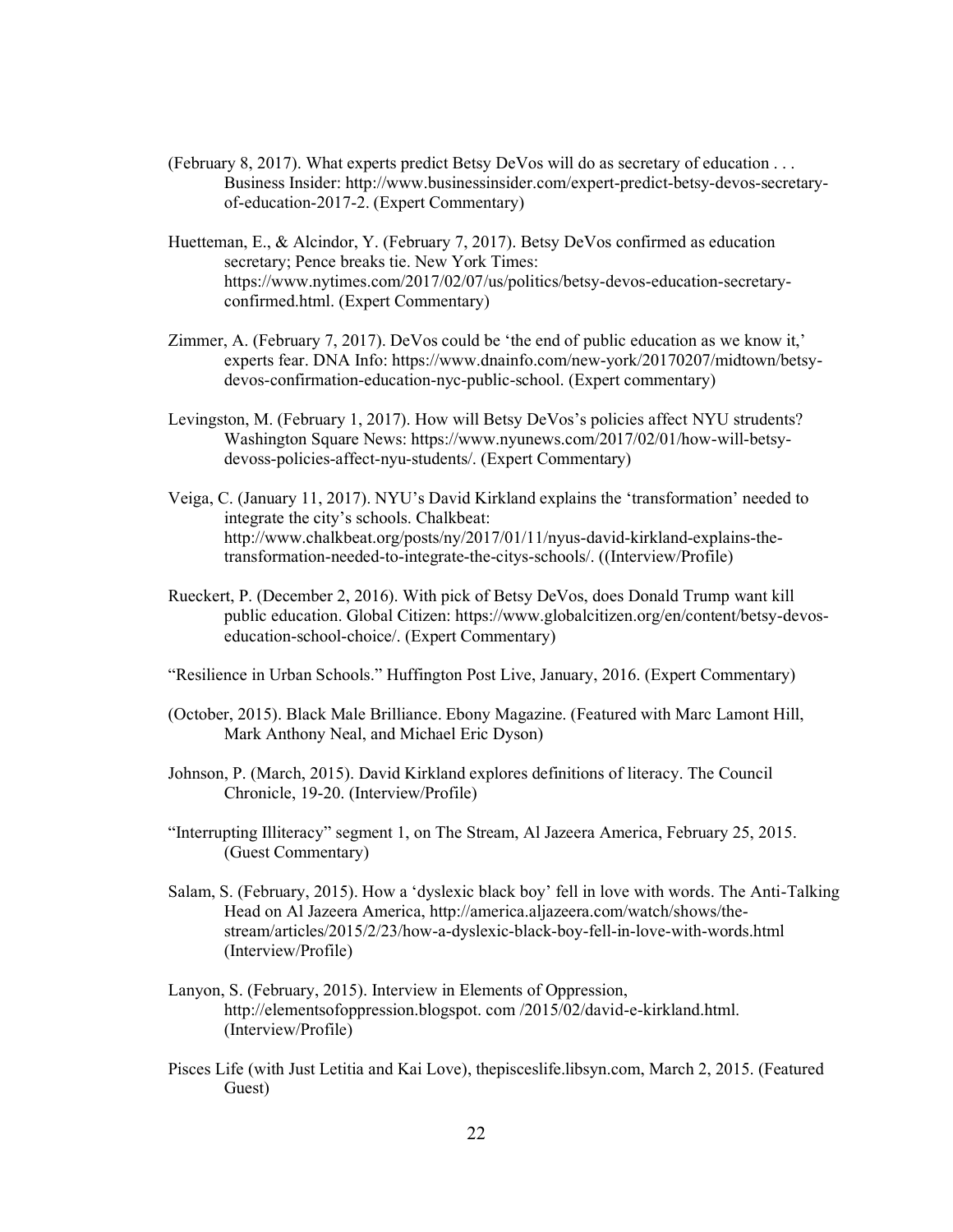- (February 8, 2017). What experts predict Betsy DeVos will do as secretary of education . . . Business Insider: http://www.businessinsider.com/expert-predict-betsy-devos-secretaryof-education-2017-2. (Expert Commentary)
- Huetteman, E., & Alcindor, Y. (February 7, 2017). Betsy DeVos confirmed as education secretary; Pence breaks tie. New York Times: https://www.nytimes.com/2017/02/07/us/politics/betsy-devos-education-secretaryconfirmed.html. (Expert Commentary)
- Zimmer, A. (February 7, 2017). DeVos could be 'the end of public education as we know it,' experts fear. DNA Info: https://www.dnainfo.com/new-york/20170207/midtown/betsydevos-confirmation-education-nyc-public-school. (Expert commentary)
- Levingston, M. (February 1, 2017). How will Betsy DeVos's policies affect NYU strudents? Washington Square News: https://www.nyunews.com/2017/02/01/how-will-betsydevoss-policies-affect-nyu-students/. (Expert Commentary)
- Veiga, C. (January 11, 2017). NYU's David Kirkland explains the 'transformation' needed to integrate the city's schools. Chalkbeat: http://www.chalkbeat.org/posts/ny/2017/01/11/nyus-david-kirkland-explains-thetransformation-needed-to-integrate-the-citys-schools/. ((Interview/Profile)
- Rueckert, P. (December 2, 2016). With pick of Betsy DeVos, does Donald Trump want kill public education. Global Citizen: https://www.globalcitizen.org/en/content/betsy-devoseducation-school-choice/. (Expert Commentary)
- "Resilience in Urban Schools." Huffington Post Live, January, 2016. (Expert Commentary)
- (October, 2015). Black Male Brilliance. Ebony Magazine. (Featured with Marc Lamont Hill, Mark Anthony Neal, and Michael Eric Dyson)
- Johnson, P. (March, 2015). David Kirkland explores definitions of literacy. The Council Chronicle, 19-20. (Interview/Profile)
- "Interrupting Illiteracy" segment 1, on The Stream, Al Jazeera America, February 25, 2015. (Guest Commentary)
- Salam, S. (February, 2015). How a 'dyslexic black boy' fell in love with words. The Anti-Talking Head on Al Jazeera America, http://america.aljazeera.com/watch/shows/thestream/articles/2015/2/23/how-a-dyslexic-black-boy-fell-in-love-with-words.html (Interview/Profile)
- Lanyon, S. (February, 2015). Interview in Elements of Oppression, http://elementsofoppression.blogspot. com /2015/02/david-e-kirkland.html. (Interview/Profile)
- Pisces Life (with Just Letitia and Kai Love), thepisceslife.libsyn.com, March 2, 2015. (Featured Guest)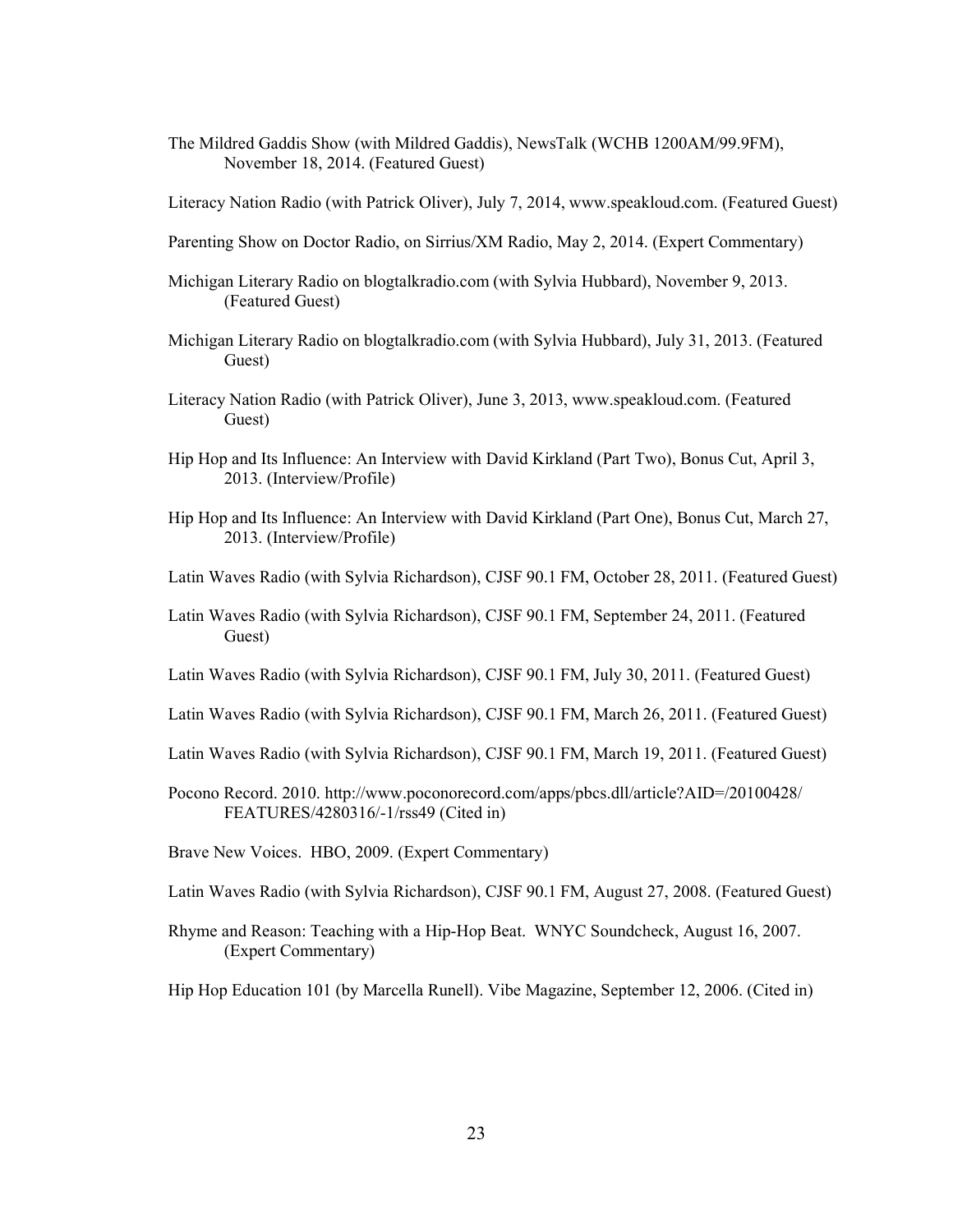The Mildred Gaddis Show (with Mildred Gaddis), NewsTalk (WCHB 1200AM/99.9FM), November 18, 2014. (Featured Guest)

Literacy Nation Radio (with Patrick Oliver), July 7, 2014, www.speakloud.com. (Featured Guest)

- Parenting Show on Doctor Radio, on Sirrius/XM Radio, May 2, 2014. (Expert Commentary)
- Michigan Literary Radio on blogtalkradio.com (with Sylvia Hubbard), November 9, 2013. (Featured Guest)
- Michigan Literary Radio on blogtalkradio.com (with Sylvia Hubbard), July 31, 2013. (Featured Guest)
- Literacy Nation Radio (with Patrick Oliver), June 3, 2013, www.speakloud.com. (Featured Guest)
- Hip Hop and Its Influence: An Interview with David Kirkland (Part Two), Bonus Cut, April 3, 2013. (Interview/Profile)
- Hip Hop and Its Influence: An Interview with David Kirkland (Part One), Bonus Cut, March 27, 2013. (Interview/Profile)
- Latin Waves Radio (with Sylvia Richardson), CJSF 90.1 FM, October 28, 2011. (Featured Guest)
- Latin Waves Radio (with Sylvia Richardson), CJSF 90.1 FM, September 24, 2011. (Featured Guest)
- Latin Waves Radio (with Sylvia Richardson), CJSF 90.1 FM, July 30, 2011. (Featured Guest)
- Latin Waves Radio (with Sylvia Richardson), CJSF 90.1 FM, March 26, 2011. (Featured Guest)
- Latin Waves Radio (with Sylvia Richardson), CJSF 90.1 FM, March 19, 2011. (Featured Guest)
- Pocono Record. 2010. http://www.poconorecord.com/apps/pbcs.dll/article?AID=/20100428/ FEATURES/4280316/-1/rss49 (Cited in)
- Brave New Voices. HBO, 2009. (Expert Commentary)
- Latin Waves Radio (with Sylvia Richardson), CJSF 90.1 FM, August 27, 2008. (Featured Guest)
- Rhyme and Reason: Teaching with a Hip-Hop Beat. WNYC Soundcheck, August 16, 2007. (Expert Commentary)

Hip Hop Education 101 (by Marcella Runell). Vibe Magazine, September 12, 2006. (Cited in)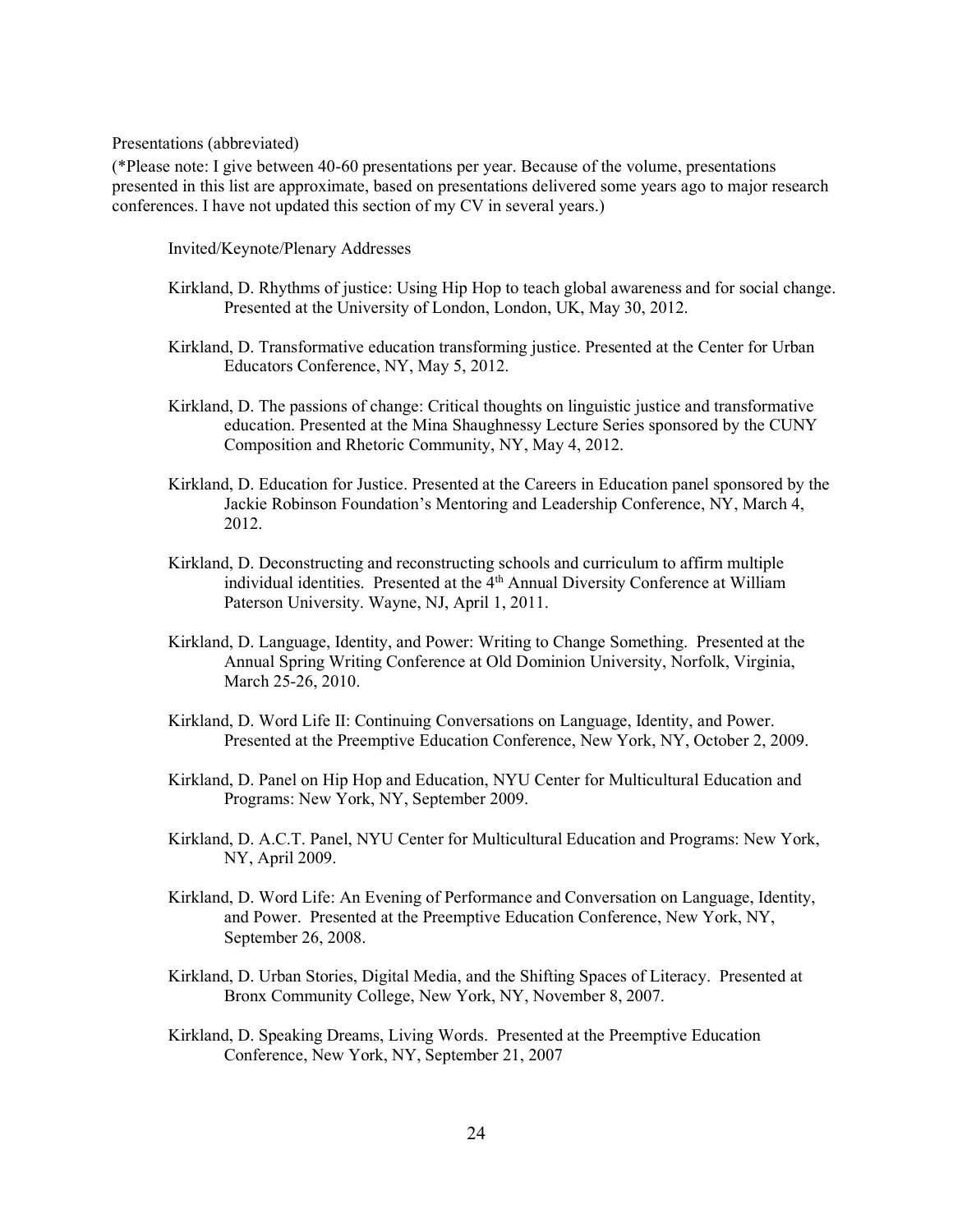Presentations (abbreviated)

(\*Please note: I give between 40-60 presentations per year. Because of the volume, presentations presented in this list are approximate, based on presentations delivered some years ago to major research conferences. I have not updated this section of my CV in several years.)

Invited/Keynote/Plenary Addresses

- Kirkland, D. Rhythms of justice: Using Hip Hop to teach global awareness and for social change. Presented at the University of London, London, UK, May 30, 2012.
- Kirkland, D. Transformative education transforming justice. Presented at the Center for Urban Educators Conference, NY, May 5, 2012.
- Kirkland, D. The passions of change: Critical thoughts on linguistic justice and transformative education. Presented at the Mina Shaughnessy Lecture Series sponsored by the CUNY Composition and Rhetoric Community, NY, May 4, 2012.
- Kirkland, D. Education for Justice. Presented at the Careers in Education panel sponsored by the Jackie Robinson Foundation's Mentoring and Leadership Conference, NY, March 4, 2012.
- Kirkland, D. Deconstructing and reconstructing schools and curriculum to affirm multiple individual identities. Presented at the 4<sup>th</sup> Annual Diversity Conference at William Paterson University. Wayne, NJ, April 1, 2011.
- Kirkland, D. Language, Identity, and Power: Writing to Change Something. Presented at the Annual Spring Writing Conference at Old Dominion University, Norfolk, Virginia, March 25-26, 2010.
- Kirkland, D. Word Life II: Continuing Conversations on Language, Identity, and Power. Presented at the Preemptive Education Conference, New York, NY, October 2, 2009.
- Kirkland, D. Panel on Hip Hop and Education, NYU Center for Multicultural Education and Programs: New York, NY, September 2009.
- Kirkland, D. A.C.T. Panel, NYU Center for Multicultural Education and Programs: New York, NY, April 2009.
- Kirkland, D. Word Life: An Evening of Performance and Conversation on Language, Identity, and Power. Presented at the Preemptive Education Conference, New York, NY, September 26, 2008.
- Kirkland, D. Urban Stories, Digital Media, and the Shifting Spaces of Literacy. Presented at Bronx Community College, New York, NY, November 8, 2007.
- Kirkland, D. Speaking Dreams, Living Words. Presented at the Preemptive Education Conference, New York, NY, September 21, 2007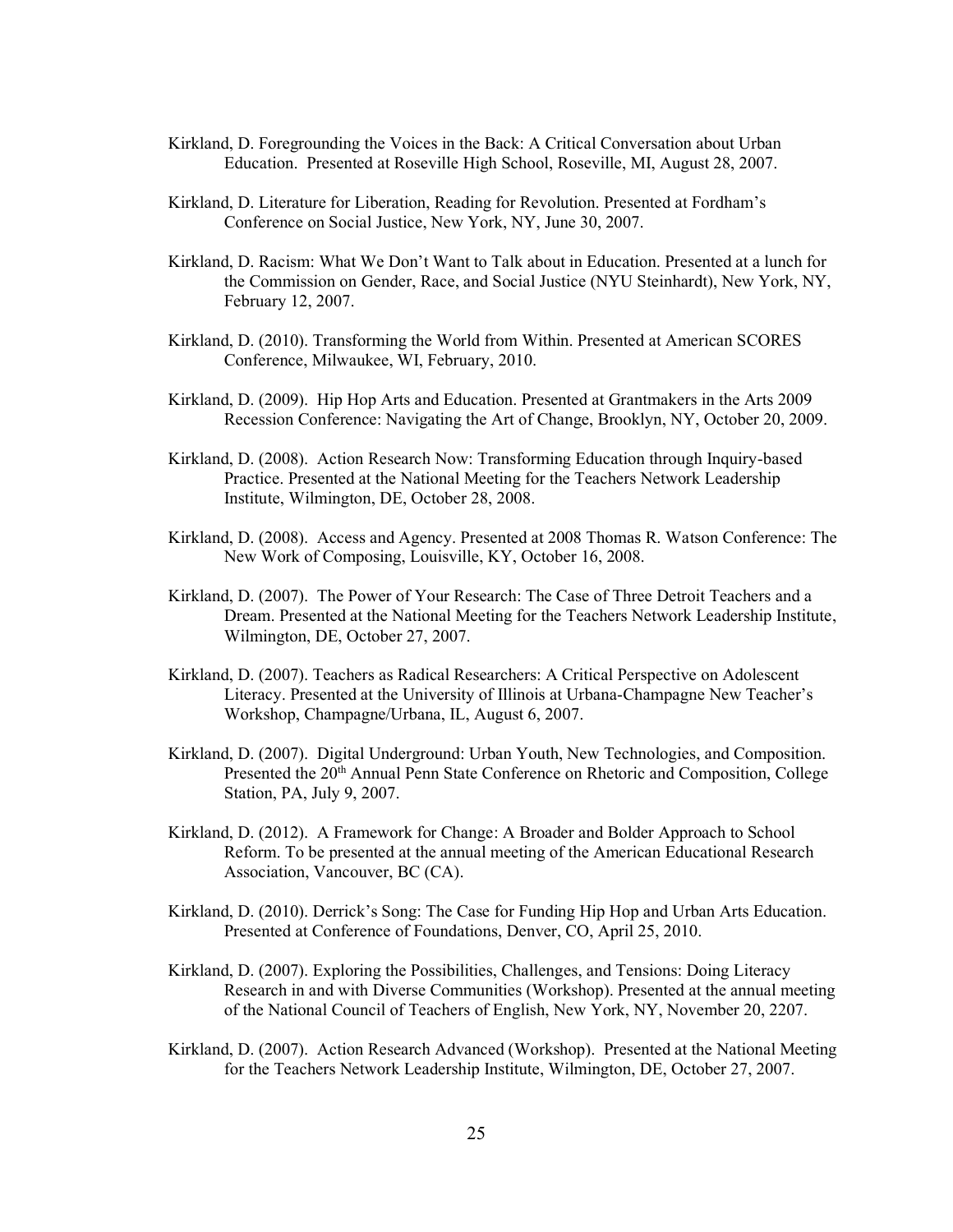- Kirkland, D. Foregrounding the Voices in the Back: A Critical Conversation about Urban Education. Presented at Roseville High School, Roseville, MI, August 28, 2007.
- Kirkland, D. Literature for Liberation, Reading for Revolution. Presented at Fordham's Conference on Social Justice, New York, NY, June 30, 2007.
- Kirkland, D. Racism: What We Don't Want to Talk about in Education. Presented at a lunch for the Commission on Gender, Race, and Social Justice (NYU Steinhardt), New York, NY, February 12, 2007.
- Kirkland, D. (2010). Transforming the World from Within. Presented at American SCORES Conference, Milwaukee, WI, February, 2010.
- Kirkland, D. (2009). Hip Hop Arts and Education. Presented at Grantmakers in the Arts 2009 Recession Conference: Navigating the Art of Change, Brooklyn, NY, October 20, 2009.
- Kirkland, D. (2008). Action Research Now: Transforming Education through Inquiry-based Practice. Presented at the National Meeting for the Teachers Network Leadership Institute, Wilmington, DE, October 28, 2008.
- Kirkland, D. (2008). Access and Agency. Presented at 2008 Thomas R. Watson Conference: The New Work of Composing, Louisville, KY, October 16, 2008.
- Kirkland, D. (2007). The Power of Your Research: The Case of Three Detroit Teachers and a Dream. Presented at the National Meeting for the Teachers Network Leadership Institute, Wilmington, DE, October 27, 2007.
- Kirkland, D. (2007). Teachers as Radical Researchers: A Critical Perspective on Adolescent Literacy. Presented at the University of Illinois at Urbana-Champagne New Teacher's Workshop, Champagne/Urbana, IL, August 6, 2007.
- Kirkland, D. (2007). Digital Underground: Urban Youth, New Technologies, and Composition. Presented the 20th Annual Penn State Conference on Rhetoric and Composition, College Station, PA, July 9, 2007.
- Kirkland, D. (2012). A Framework for Change: A Broader and Bolder Approach to School Reform. To be presented at the annual meeting of the American Educational Research Association, Vancouver, BC (CA).
- Kirkland, D. (2010). Derrick's Song: The Case for Funding Hip Hop and Urban Arts Education. Presented at Conference of Foundations, Denver, CO, April 25, 2010.
- Kirkland, D. (2007). Exploring the Possibilities, Challenges, and Tensions: Doing Literacy Research in and with Diverse Communities (Workshop). Presented at the annual meeting of the National Council of Teachers of English, New York, NY, November 20, 2207.
- Kirkland, D. (2007). Action Research Advanced (Workshop). Presented at the National Meeting for the Teachers Network Leadership Institute, Wilmington, DE, October 27, 2007.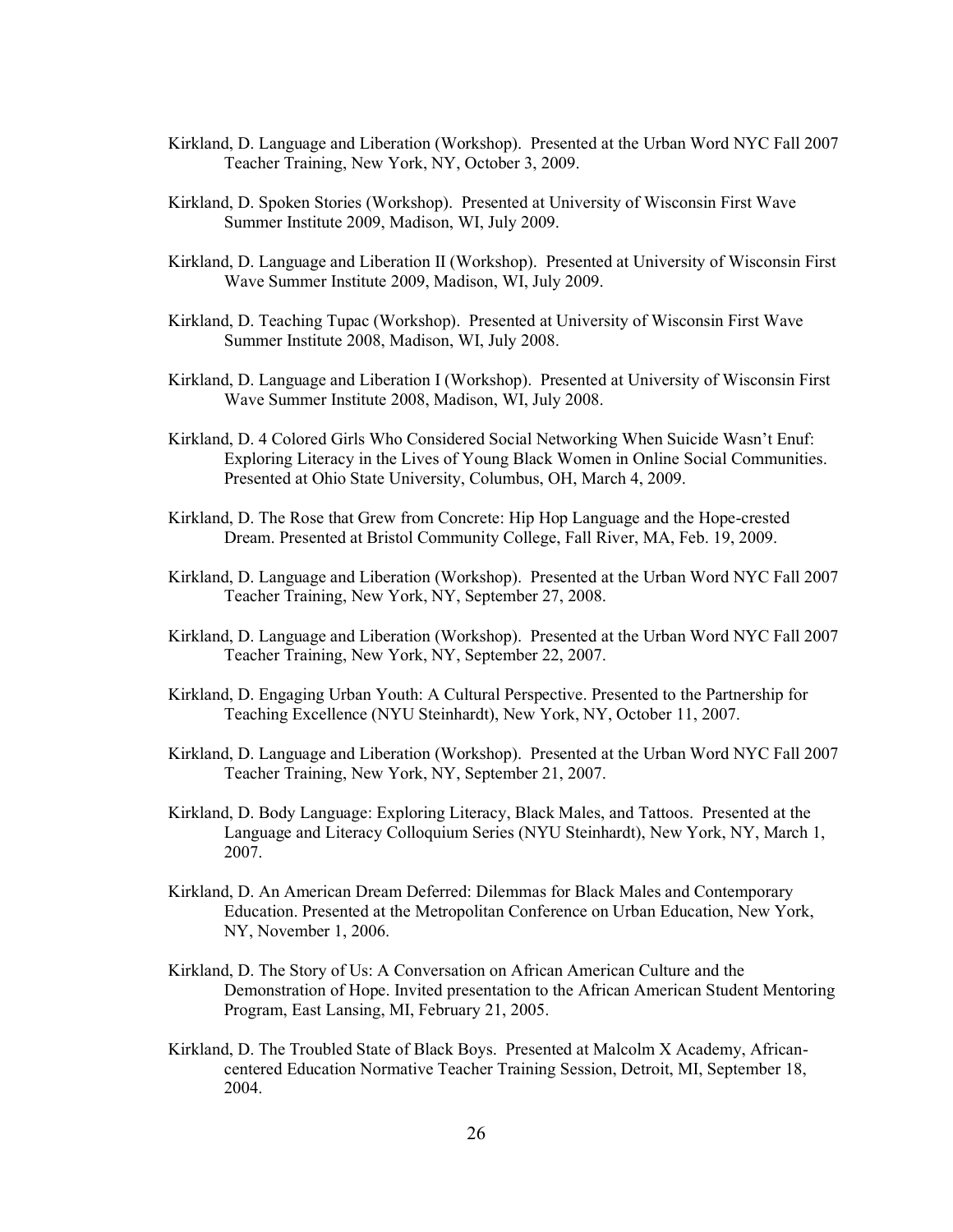- Kirkland, D. Language and Liberation (Workshop). Presented at the Urban Word NYC Fall 2007 Teacher Training, New York, NY, October 3, 2009.
- Kirkland, D. Spoken Stories (Workshop). Presented at University of Wisconsin First Wave Summer Institute 2009, Madison, WI, July 2009.
- Kirkland, D. Language and Liberation II (Workshop). Presented at University of Wisconsin First Wave Summer Institute 2009, Madison, WI, July 2009.
- Kirkland, D. Teaching Tupac (Workshop). Presented at University of Wisconsin First Wave Summer Institute 2008, Madison, WI, July 2008.
- Kirkland, D. Language and Liberation I (Workshop). Presented at University of Wisconsin First Wave Summer Institute 2008, Madison, WI, July 2008.
- Kirkland, D. 4 Colored Girls Who Considered Social Networking When Suicide Wasn't Enuf: Exploring Literacy in the Lives of Young Black Women in Online Social Communities. Presented at Ohio State University, Columbus, OH, March 4, 2009.
- Kirkland, D. The Rose that Grew from Concrete: Hip Hop Language and the Hope-crested Dream. Presented at Bristol Community College, Fall River, MA, Feb. 19, 2009.
- Kirkland, D. Language and Liberation (Workshop). Presented at the Urban Word NYC Fall 2007 Teacher Training, New York, NY, September 27, 2008.
- Kirkland, D. Language and Liberation (Workshop). Presented at the Urban Word NYC Fall 2007 Teacher Training, New York, NY, September 22, 2007.
- Kirkland, D. Engaging Urban Youth: A Cultural Perspective. Presented to the Partnership for Teaching Excellence (NYU Steinhardt), New York, NY, October 11, 2007.
- Kirkland, D. Language and Liberation (Workshop). Presented at the Urban Word NYC Fall 2007 Teacher Training, New York, NY, September 21, 2007.
- Kirkland, D. Body Language: Exploring Literacy, Black Males, and Tattoos. Presented at the Language and Literacy Colloquium Series (NYU Steinhardt), New York, NY, March 1, 2007.
- Kirkland, D. An American Dream Deferred: Dilemmas for Black Males and Contemporary Education. Presented at the Metropolitan Conference on Urban Education, New York, NY, November 1, 2006.
- Kirkland, D. The Story of Us: A Conversation on African American Culture and the Demonstration of Hope. Invited presentation to the African American Student Mentoring Program, East Lansing, MI, February 21, 2005.
- Kirkland, D. The Troubled State of Black Boys. Presented at Malcolm X Academy, Africancentered Education Normative Teacher Training Session, Detroit, MI, September 18, 2004.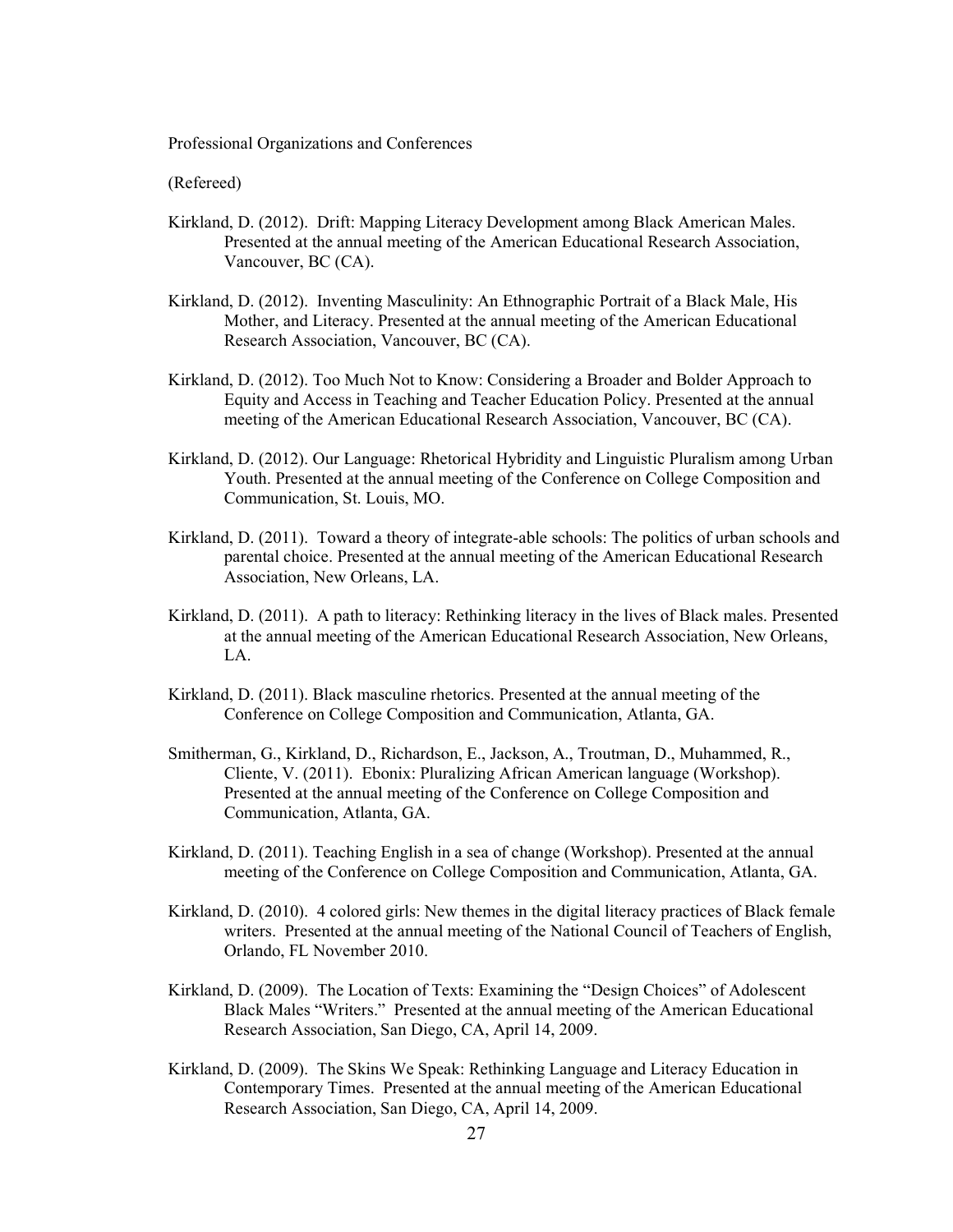Professional Organizations and Conferences

(Refereed)

- Kirkland, D. (2012). Drift: Mapping Literacy Development among Black American Males. Presented at the annual meeting of the American Educational Research Association, Vancouver, BC (CA).
- Kirkland, D. (2012). Inventing Masculinity: An Ethnographic Portrait of a Black Male, His Mother, and Literacy. Presented at the annual meeting of the American Educational Research Association, Vancouver, BC (CA).
- Kirkland, D. (2012). Too Much Not to Know: Considering a Broader and Bolder Approach to Equity and Access in Teaching and Teacher Education Policy. Presented at the annual meeting of the American Educational Research Association, Vancouver, BC (CA).
- Kirkland, D. (2012). Our Language: Rhetorical Hybridity and Linguistic Pluralism among Urban Youth. Presented at the annual meeting of the Conference on College Composition and Communication, St. Louis, MO.
- Kirkland, D. (2011). Toward a theory of integrate-able schools: The politics of urban schools and parental choice. Presented at the annual meeting of the American Educational Research Association, New Orleans, LA.
- Kirkland, D. (2011). A path to literacy: Rethinking literacy in the lives of Black males. Presented at the annual meeting of the American Educational Research Association, New Orleans, LA.
- Kirkland, D. (2011). Black masculine rhetorics. Presented at the annual meeting of the Conference on College Composition and Communication, Atlanta, GA.
- Smitherman, G., Kirkland, D., Richardson, E., Jackson, A., Troutman, D., Muhammed, R., Cliente, V. (2011). Ebonix: Pluralizing African American language (Workshop). Presented at the annual meeting of the Conference on College Composition and Communication, Atlanta, GA.
- Kirkland, D. (2011). Teaching English in a sea of change (Workshop). Presented at the annual meeting of the Conference on College Composition and Communication, Atlanta, GA.
- Kirkland, D. (2010). 4 colored girls: New themes in the digital literacy practices of Black female writers. Presented at the annual meeting of the National Council of Teachers of English, Orlando, FL November 2010.
- Kirkland, D. (2009). The Location of Texts: Examining the "Design Choices" of Adolescent Black Males "Writers." Presented at the annual meeting of the American Educational Research Association, San Diego, CA, April 14, 2009.
- Kirkland, D. (2009). The Skins We Speak: Rethinking Language and Literacy Education in Contemporary Times. Presented at the annual meeting of the American Educational Research Association, San Diego, CA, April 14, 2009.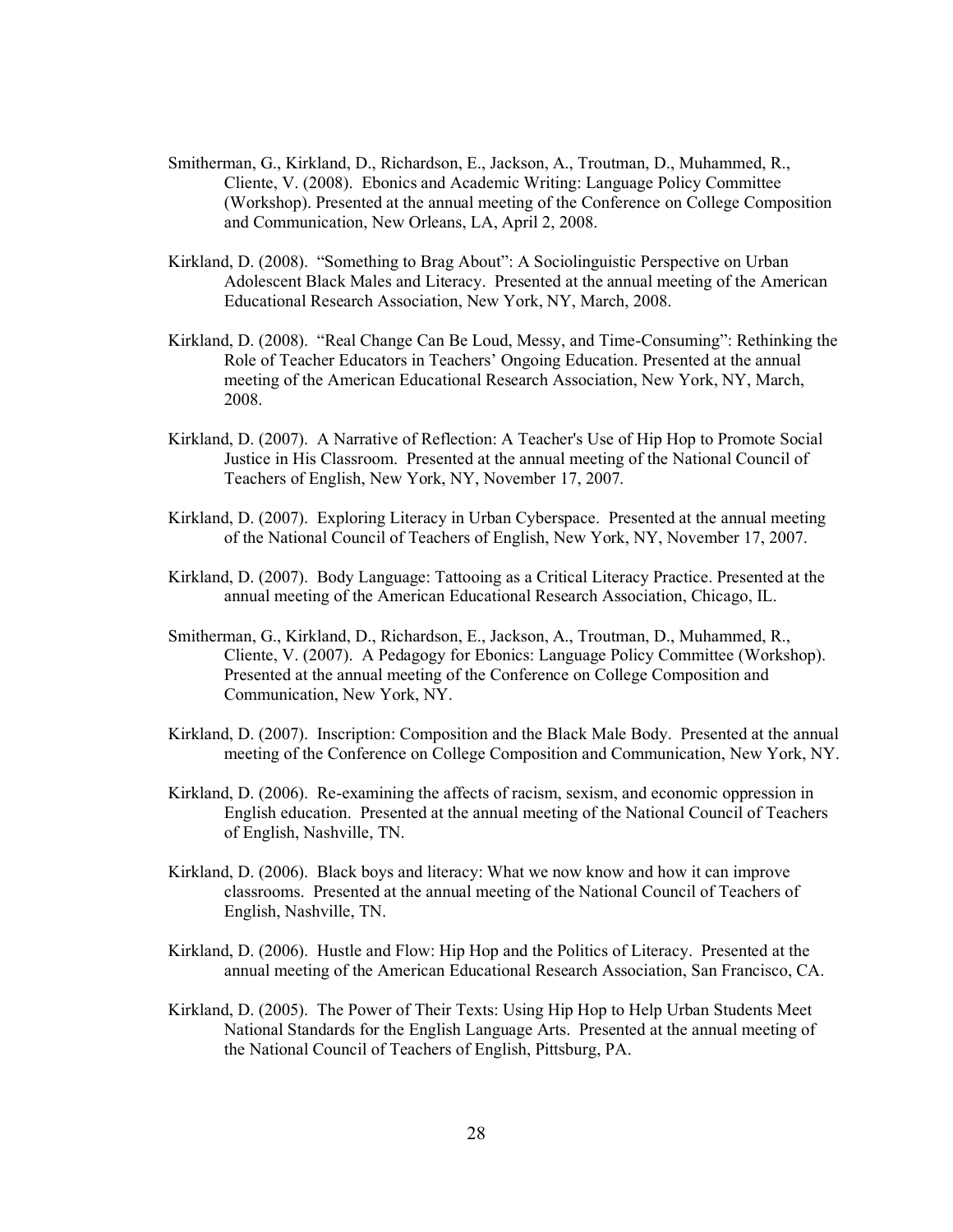- Smitherman, G., Kirkland, D., Richardson, E., Jackson, A., Troutman, D., Muhammed, R., Cliente, V. (2008). Ebonics and Academic Writing: Language Policy Committee (Workshop). Presented at the annual meeting of the Conference on College Composition and Communication, New Orleans, LA, April 2, 2008.
- Kirkland, D. (2008). "Something to Brag About": A Sociolinguistic Perspective on Urban Adolescent Black Males and Literacy. Presented at the annual meeting of the American Educational Research Association, New York, NY, March, 2008.
- Kirkland, D. (2008). "Real Change Can Be Loud, Messy, and Time-Consuming": Rethinking the Role of Teacher Educators in Teachers' Ongoing Education. Presented at the annual meeting of the American Educational Research Association, New York, NY, March, 2008.
- Kirkland, D. (2007). A Narrative of Reflection: A Teacher's Use of Hip Hop to Promote Social Justice in His Classroom. Presented at the annual meeting of the National Council of Teachers of English, New York, NY, November 17, 2007.
- Kirkland, D. (2007). Exploring Literacy in Urban Cyberspace. Presented at the annual meeting of the National Council of Teachers of English, New York, NY, November 17, 2007.
- Kirkland, D. (2007). Body Language: Tattooing as a Critical Literacy Practice. Presented at the annual meeting of the American Educational Research Association, Chicago, IL.
- Smitherman, G., Kirkland, D., Richardson, E., Jackson, A., Troutman, D., Muhammed, R., Cliente, V. (2007). A Pedagogy for Ebonics: Language Policy Committee (Workshop). Presented at the annual meeting of the Conference on College Composition and Communication, New York, NY.
- Kirkland, D. (2007). Inscription: Composition and the Black Male Body. Presented at the annual meeting of the Conference on College Composition and Communication, New York, NY.
- Kirkland, D. (2006). Re-examining the affects of racism, sexism, and economic oppression in English education. Presented at the annual meeting of the National Council of Teachers of English, Nashville, TN.
- Kirkland, D. (2006). Black boys and literacy: What we now know and how it can improve classrooms. Presented at the annual meeting of the National Council of Teachers of English, Nashville, TN.
- Kirkland, D. (2006). Hustle and Flow: Hip Hop and the Politics of Literacy. Presented at the annual meeting of the American Educational Research Association, San Francisco, CA.
- Kirkland, D. (2005). The Power of Their Texts: Using Hip Hop to Help Urban Students Meet National Standards for the English Language Arts. Presented at the annual meeting of the National Council of Teachers of English, Pittsburg, PA.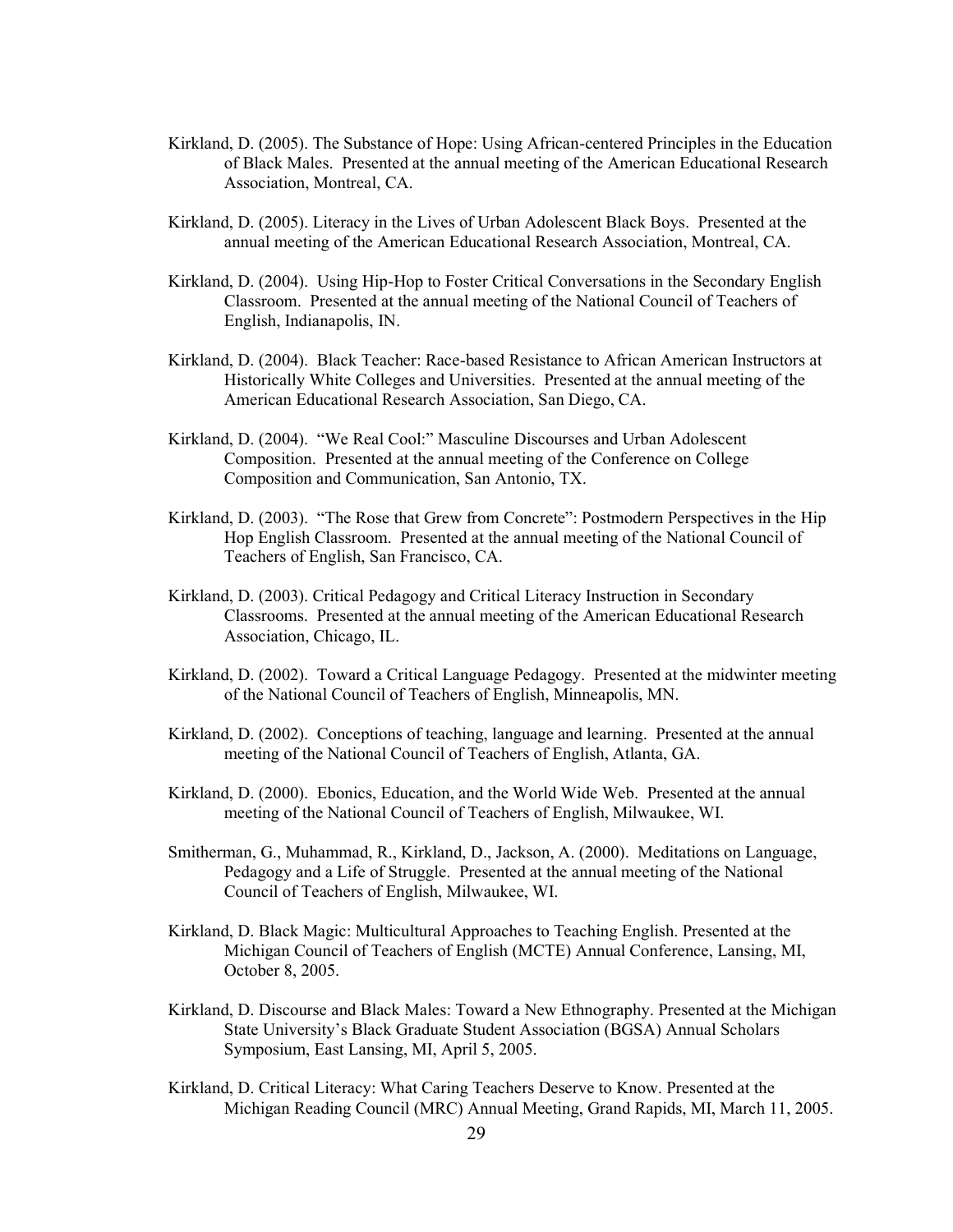- Kirkland, D. (2005). The Substance of Hope: Using African-centered Principles in the Education of Black Males. Presented at the annual meeting of the American Educational Research Association, Montreal, CA.
- Kirkland, D. (2005). Literacy in the Lives of Urban Adolescent Black Boys. Presented at the annual meeting of the American Educational Research Association, Montreal, CA.
- Kirkland, D. (2004). Using Hip-Hop to Foster Critical Conversations in the Secondary English Classroom. Presented at the annual meeting of the National Council of Teachers of English, Indianapolis, IN.
- Kirkland, D. (2004). Black Teacher: Race-based Resistance to African American Instructors at Historically White Colleges and Universities. Presented at the annual meeting of the American Educational Research Association, San Diego, CA.
- Kirkland, D. (2004). "We Real Cool:" Masculine Discourses and Urban Adolescent Composition. Presented at the annual meeting of the Conference on College Composition and Communication, San Antonio, TX.
- Kirkland, D. (2003). "The Rose that Grew from Concrete": Postmodern Perspectives in the Hip Hop English Classroom. Presented at the annual meeting of the National Council of Teachers of English, San Francisco, CA.
- Kirkland, D. (2003). Critical Pedagogy and Critical Literacy Instruction in Secondary Classrooms. Presented at the annual meeting of the American Educational Research Association, Chicago, IL.
- Kirkland, D. (2002). Toward a Critical Language Pedagogy. Presented at the midwinter meeting of the National Council of Teachers of English, Minneapolis, MN.
- Kirkland, D. (2002). Conceptions of teaching, language and learning. Presented at the annual meeting of the National Council of Teachers of English, Atlanta, GA.
- Kirkland, D. (2000). Ebonics, Education, and the World Wide Web. Presented at the annual meeting of the National Council of Teachers of English, Milwaukee, WI.
- Smitherman, G., Muhammad, R., Kirkland, D., Jackson, A. (2000). Meditations on Language, Pedagogy and a Life of Struggle. Presented at the annual meeting of the National Council of Teachers of English, Milwaukee, WI.
- Kirkland, D. Black Magic: Multicultural Approaches to Teaching English. Presented at the Michigan Council of Teachers of English (MCTE) Annual Conference, Lansing, MI, October 8, 2005.
- Kirkland, D. Discourse and Black Males: Toward a New Ethnography. Presented at the Michigan State University's Black Graduate Student Association (BGSA) Annual Scholars Symposium, East Lansing, MI, April 5, 2005.
- Kirkland, D. Critical Literacy: What Caring Teachers Deserve to Know. Presented at the Michigan Reading Council (MRC) Annual Meeting, Grand Rapids, MI, March 11, 2005.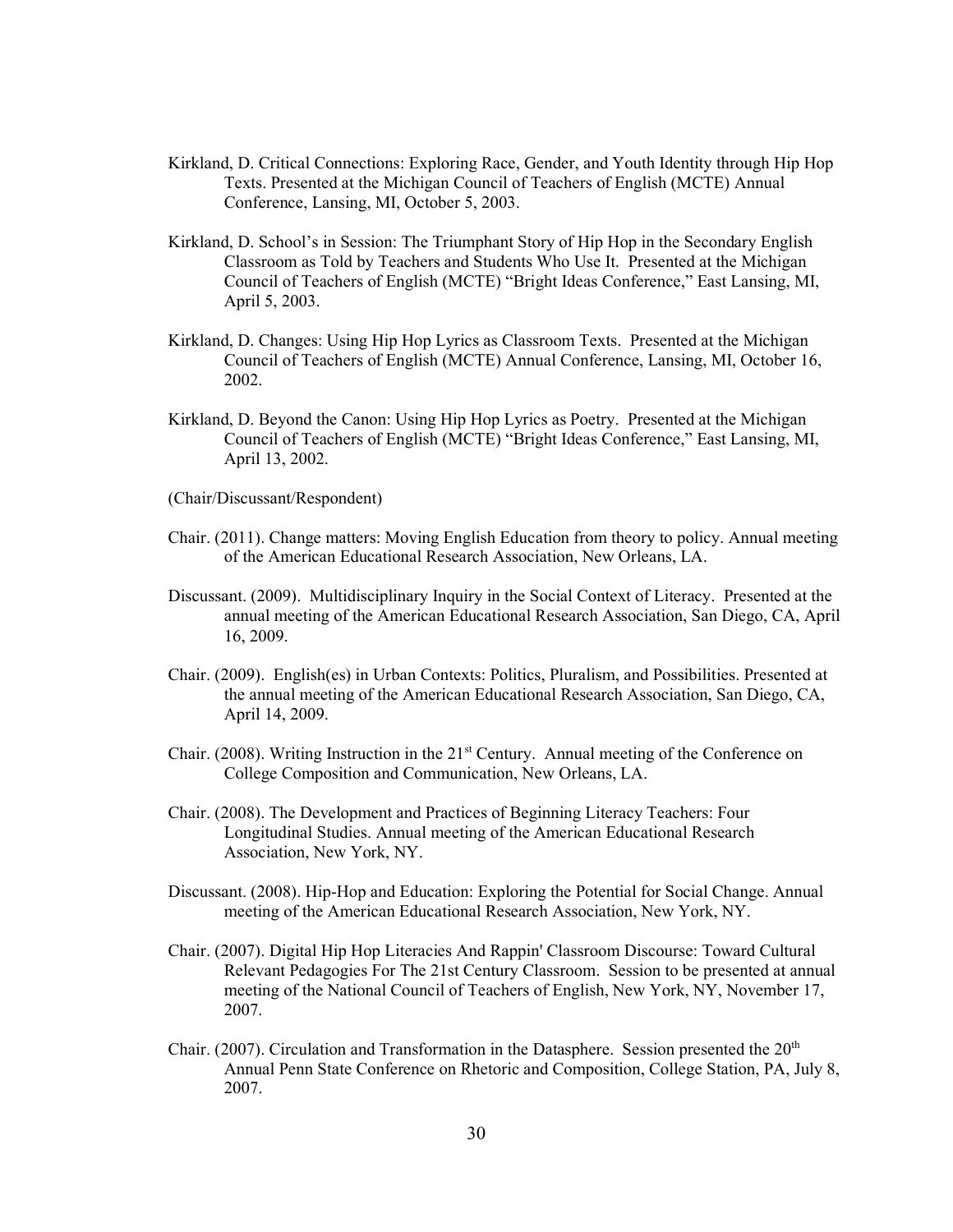- Kirkland, D. Critical Connections: Exploring Race, Gender, and Youth Identity through Hip Hop Texts. Presented at the Michigan Council of Teachers of English (MCTE) Annual Conference, Lansing, MI, October 5, 2003.
- Kirkland, D. School's in Session: The Triumphant Story of Hip Hop in the Secondary English Classroom as Told by Teachers and Students Who Use It. Presented at the Michigan Council of Teachers of English (MCTE) "Bright Ideas Conference," East Lansing, MI, April 5, 2003.
- Kirkland, D. Changes: Using Hip Hop Lyrics as Classroom Texts. Presented at the Michigan Council of Teachers of English (MCTE) Annual Conference, Lansing, MI, October 16, 2002.
- Kirkland, D. Beyond the Canon: Using Hip Hop Lyrics as Poetry. Presented at the Michigan Council of Teachers of English (MCTE) "Bright Ideas Conference," East Lansing, MI, April 13, 2002.
- (Chair/Discussant/Respondent)
- Chair. (2011). Change matters: Moving English Education from theory to policy. Annual meeting of the American Educational Research Association, New Orleans, LA.
- Discussant. (2009). Multidisciplinary Inquiry in the Social Context of Literacy. Presented at the annual meeting of the American Educational Research Association, San Diego, CA, April 16, 2009.
- Chair. (2009). English(es) in Urban Contexts: Politics, Pluralism, and Possibilities. Presented at the annual meeting of the American Educational Research Association, San Diego, CA, April 14, 2009.
- Chair. (2008). Writing Instruction in the  $21<sup>st</sup>$  Century. Annual meeting of the Conference on College Composition and Communication, New Orleans, LA.
- Chair. (2008). The Development and Practices of Beginning Literacy Teachers: Four Longitudinal Studies. Annual meeting of the American Educational Research Association, New York, NY.
- Discussant. (2008). Hip-Hop and Education: Exploring the Potential for Social Change. Annual meeting of the American Educational Research Association, New York, NY.
- Chair. (2007). Digital Hip Hop Literacies And Rappin' Classroom Discourse: Toward Cultural Relevant Pedagogies For The 21st Century Classroom. Session to be presented at annual meeting of the National Council of Teachers of English, New York, NY, November 17, 2007.
- Chair. (2007). Circulation and Transformation in the Datasphere. Session presented the  $20<sup>th</sup>$ Annual Penn State Conference on Rhetoric and Composition, College Station, PA, July 8, 2007.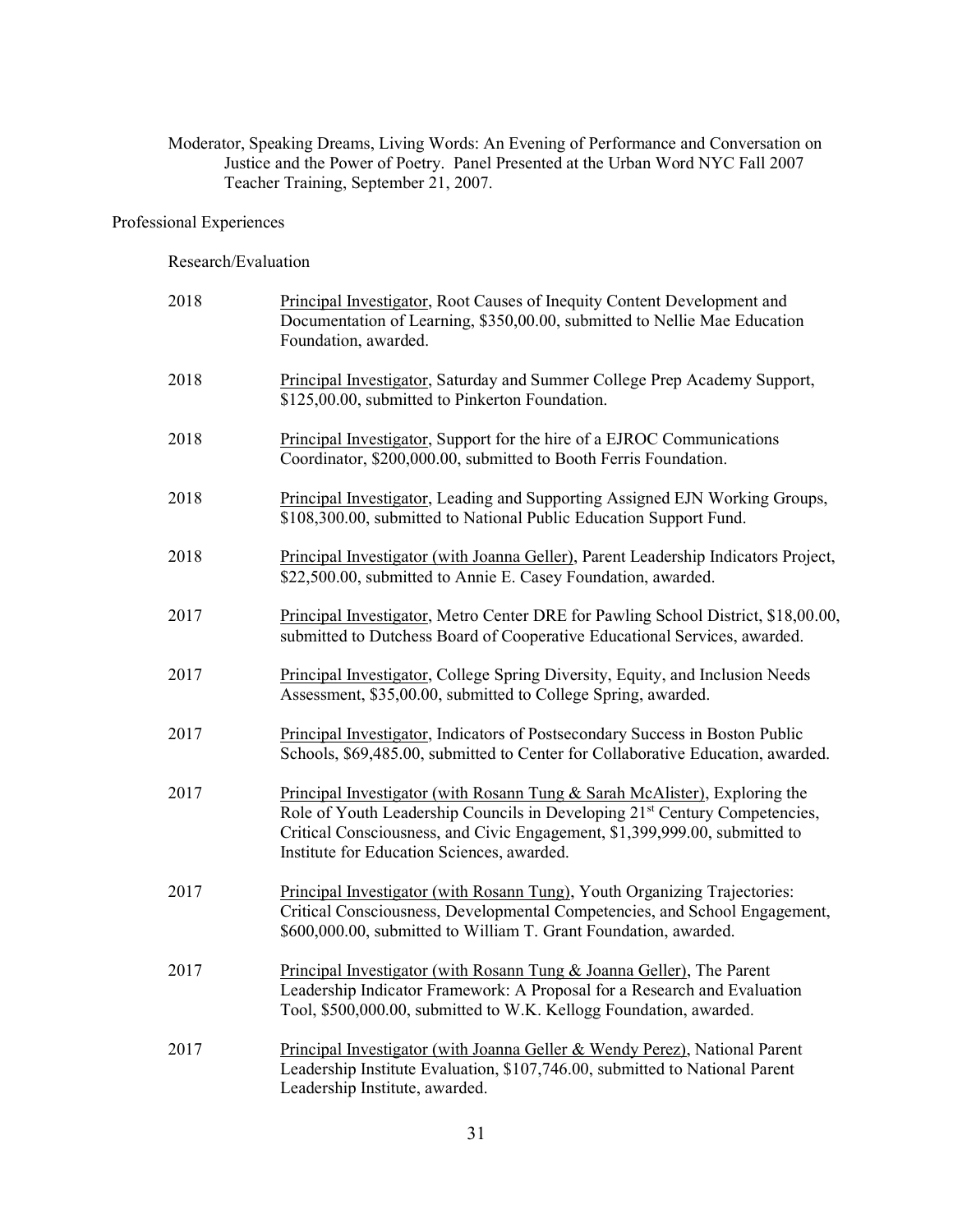Moderator, Speaking Dreams, Living Words: An Evening of Performance and Conversation on Justice and the Power of Poetry. Panel Presented at the Urban Word NYC Fall 2007 Teacher Training, September 21, 2007.

## Professional Experiences

#### Research/Evaluation

| 2018 | Principal Investigator, Root Causes of Inequity Content Development and<br>Documentation of Learning, \$350,00.00, submitted to Nellie Mae Education<br>Foundation, awarded.                                                                                                                     |
|------|--------------------------------------------------------------------------------------------------------------------------------------------------------------------------------------------------------------------------------------------------------------------------------------------------|
| 2018 | Principal Investigator, Saturday and Summer College Prep Academy Support,<br>\$125,00.00, submitted to Pinkerton Foundation.                                                                                                                                                                     |
| 2018 | Principal Investigator, Support for the hire of a EJROC Communications<br>Coordinator, \$200,000.00, submitted to Booth Ferris Foundation.                                                                                                                                                       |
| 2018 | Principal Investigator, Leading and Supporting Assigned EJN Working Groups,<br>\$108,300.00, submitted to National Public Education Support Fund.                                                                                                                                                |
| 2018 | Principal Investigator (with Joanna Geller), Parent Leadership Indicators Project,<br>\$22,500.00, submitted to Annie E. Casey Foundation, awarded.                                                                                                                                              |
| 2017 | Principal Investigator, Metro Center DRE for Pawling School District, \$18,00.00,<br>submitted to Dutchess Board of Cooperative Educational Services, awarded.                                                                                                                                   |
| 2017 | Principal Investigator, College Spring Diversity, Equity, and Inclusion Needs<br>Assessment, \$35,00.00, submitted to College Spring, awarded.                                                                                                                                                   |
| 2017 | Principal Investigator, Indicators of Postsecondary Success in Boston Public<br>Schools, \$69,485.00, submitted to Center for Collaborative Education, awarded.                                                                                                                                  |
| 2017 | Principal Investigator (with Rosann Tung & Sarah McAlister), Exploring the<br>Role of Youth Leadership Councils in Developing 21 <sup>st</sup> Century Competencies,<br>Critical Consciousness, and Civic Engagement, \$1,399,999.00, submitted to<br>Institute for Education Sciences, awarded. |
| 2017 | Principal Investigator (with Rosann Tung), Youth Organizing Trajectories:<br>Critical Consciousness, Developmental Competencies, and School Engagement,<br>\$600,000.00, submitted to William T. Grant Foundation, awarded.                                                                      |
| 2017 | Principal Investigator (with Rosann Tung & Joanna Geller), The Parent<br>Leadership Indicator Framework: A Proposal for a Research and Evaluation<br>Tool, \$500,000.00, submitted to W.K. Kellogg Foundation, awarded.                                                                          |
| 2017 | Principal Investigator (with Joanna Geller & Wendy Perez), National Parent<br>Leadership Institute Evaluation, \$107,746.00, submitted to National Parent<br>Leadership Institute, awarded.                                                                                                      |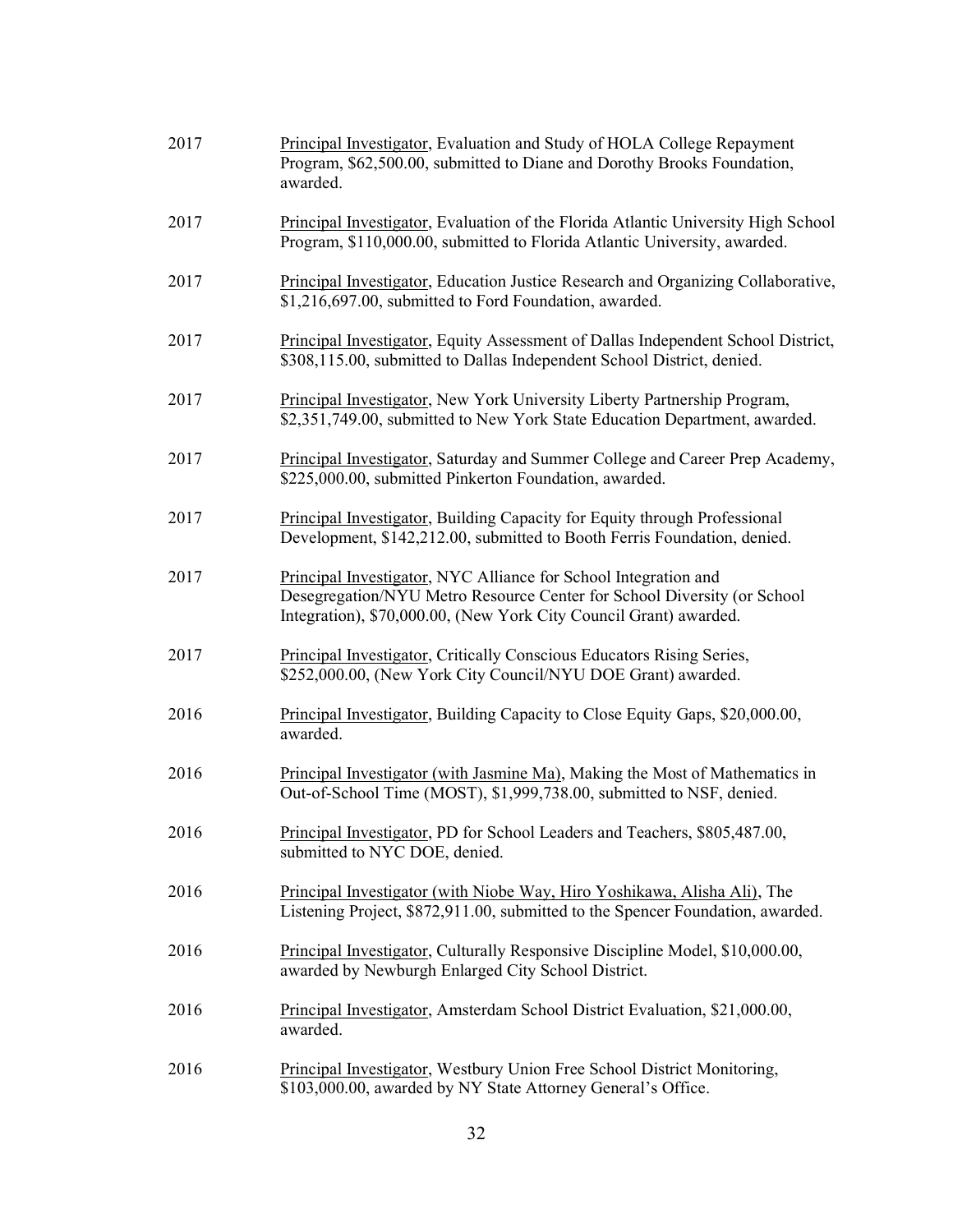| 2017 | Principal Investigator, Evaluation and Study of HOLA College Repayment<br>Program, \$62,500.00, submitted to Diane and Dorothy Brooks Foundation,<br>awarded.                                                   |
|------|-----------------------------------------------------------------------------------------------------------------------------------------------------------------------------------------------------------------|
| 2017 | Principal Investigator, Evaluation of the Florida Atlantic University High School<br>Program, \$110,000.00, submitted to Florida Atlantic University, awarded.                                                  |
| 2017 | Principal Investigator, Education Justice Research and Organizing Collaborative,<br>\$1,216,697.00, submitted to Ford Foundation, awarded.                                                                      |
| 2017 | Principal Investigator, Equity Assessment of Dallas Independent School District,<br>\$308,115.00, submitted to Dallas Independent School District, denied.                                                      |
| 2017 | Principal Investigator, New York University Liberty Partnership Program,<br>\$2,351,749.00, submitted to New York State Education Department, awarded.                                                          |
| 2017 | Principal Investigator, Saturday and Summer College and Career Prep Academy,<br>\$225,000.00, submitted Pinkerton Foundation, awarded.                                                                          |
| 2017 | <b>Principal Investigator, Building Capacity for Equity through Professional</b><br>Development, \$142,212.00, submitted to Booth Ferris Foundation, denied.                                                    |
| 2017 | Principal Investigator, NYC Alliance for School Integration and<br>Desegregation/NYU Metro Resource Center for School Diversity (or School<br>Integration), \$70,000.00, (New York City Council Grant) awarded. |
| 2017 | Principal Investigator, Critically Conscious Educators Rising Series,<br>\$252,000.00, (New York City Council/NYU DOE Grant) awarded.                                                                           |
| 2016 | Principal Investigator, Building Capacity to Close Equity Gaps, \$20,000.00,<br>awarded.                                                                                                                        |
| 2016 | Principal Investigator (with Jasmine Ma), Making the Most of Mathematics in<br>Out-of-School Time (MOST), \$1,999,738.00, submitted to NSF, denied.                                                             |
| 2016 | Principal Investigator, PD for School Leaders and Teachers, \$805,487.00,<br>submitted to NYC DOE, denied.                                                                                                      |
| 2016 | Principal Investigator (with Niobe Way, Hiro Yoshikawa, Alisha Ali), The<br>Listening Project, \$872,911.00, submitted to the Spencer Foundation, awarded.                                                      |
| 2016 | Principal Investigator, Culturally Responsive Discipline Model, \$10,000.00,<br>awarded by Newburgh Enlarged City School District.                                                                              |
| 2016 | Principal Investigator, Amsterdam School District Evaluation, \$21,000.00,<br>awarded.                                                                                                                          |
| 2016 | Principal Investigator, Westbury Union Free School District Monitoring,<br>\$103,000.00, awarded by NY State Attorney General's Office.                                                                         |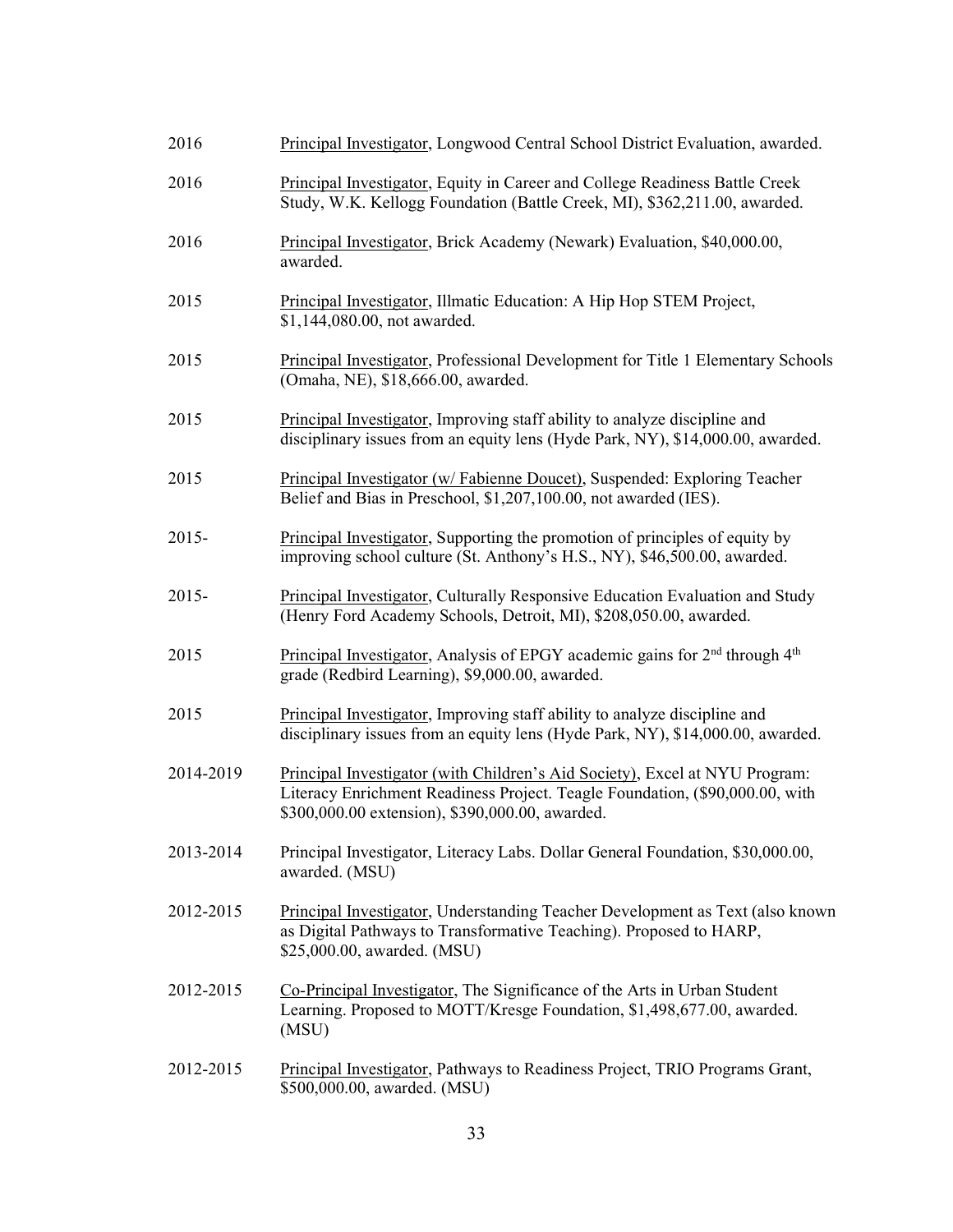| 2016      | Principal Investigator, Longwood Central School District Evaluation, awarded.                                                                                                                                  |
|-----------|----------------------------------------------------------------------------------------------------------------------------------------------------------------------------------------------------------------|
| 2016      | Principal Investigator, Equity in Career and College Readiness Battle Creek<br>Study, W.K. Kellogg Foundation (Battle Creek, MI), \$362,211.00, awarded.                                                       |
| 2016      | Principal Investigator, Brick Academy (Newark) Evaluation, \$40,000.00,<br>awarded.                                                                                                                            |
| 2015      | Principal Investigator, Illmatic Education: A Hip Hop STEM Project,<br>\$1,144,080.00, not awarded.                                                                                                            |
| 2015      | Principal Investigator, Professional Development for Title 1 Elementary Schools<br>(Omaha, NE), \$18,666.00, awarded.                                                                                          |
| 2015      | Principal Investigator, Improving staff ability to analyze discipline and<br>disciplinary issues from an equity lens (Hyde Park, NY), \$14,000.00, awarded.                                                    |
| 2015      | Principal Investigator (w/ Fabienne Doucet), Suspended: Exploring Teacher<br>Belief and Bias in Preschool, \$1,207,100.00, not awarded (IES).                                                                  |
| $2015 -$  | Principal Investigator, Supporting the promotion of principles of equity by<br>improving school culture (St. Anthony's H.S., NY), \$46,500.00, awarded.                                                        |
| $2015 -$  | Principal Investigator, Culturally Responsive Education Evaluation and Study<br>(Henry Ford Academy Schools, Detroit, MI), \$208,050.00, awarded.                                                              |
| 2015      | Principal Investigator, Analysis of EPGY academic gains for 2 <sup>nd</sup> through 4 <sup>th</sup><br>grade (Redbird Learning), \$9,000.00, awarded.                                                          |
| 2015      | Principal Investigator, Improving staff ability to analyze discipline and<br>disciplinary issues from an equity lens (Hyde Park, NY), \$14,000.00, awarded.                                                    |
| 2014-2019 | Principal Investigator (with Children's Aid Society), Excel at NYU Program:<br>Literacy Enrichment Readiness Project. Teagle Foundation, (\$90,000.00, with<br>\$300,000.00 extension), \$390,000.00, awarded. |
| 2013-2014 | Principal Investigator, Literacy Labs. Dollar General Foundation, \$30,000.00,<br>awarded. (MSU)                                                                                                               |
| 2012-2015 | Principal Investigator, Understanding Teacher Development as Text (also known<br>as Digital Pathways to Transformative Teaching). Proposed to HARP,<br>\$25,000.00, awarded. (MSU)                             |
| 2012-2015 | Co-Principal Investigator, The Significance of the Arts in Urban Student<br>Learning. Proposed to MOTT/Kresge Foundation, \$1,498,677.00, awarded.<br>(MSU)                                                    |
| 2012-2015 | Principal Investigator, Pathways to Readiness Project, TRIO Programs Grant,<br>\$500,000.00, awarded. (MSU)                                                                                                    |
|           |                                                                                                                                                                                                                |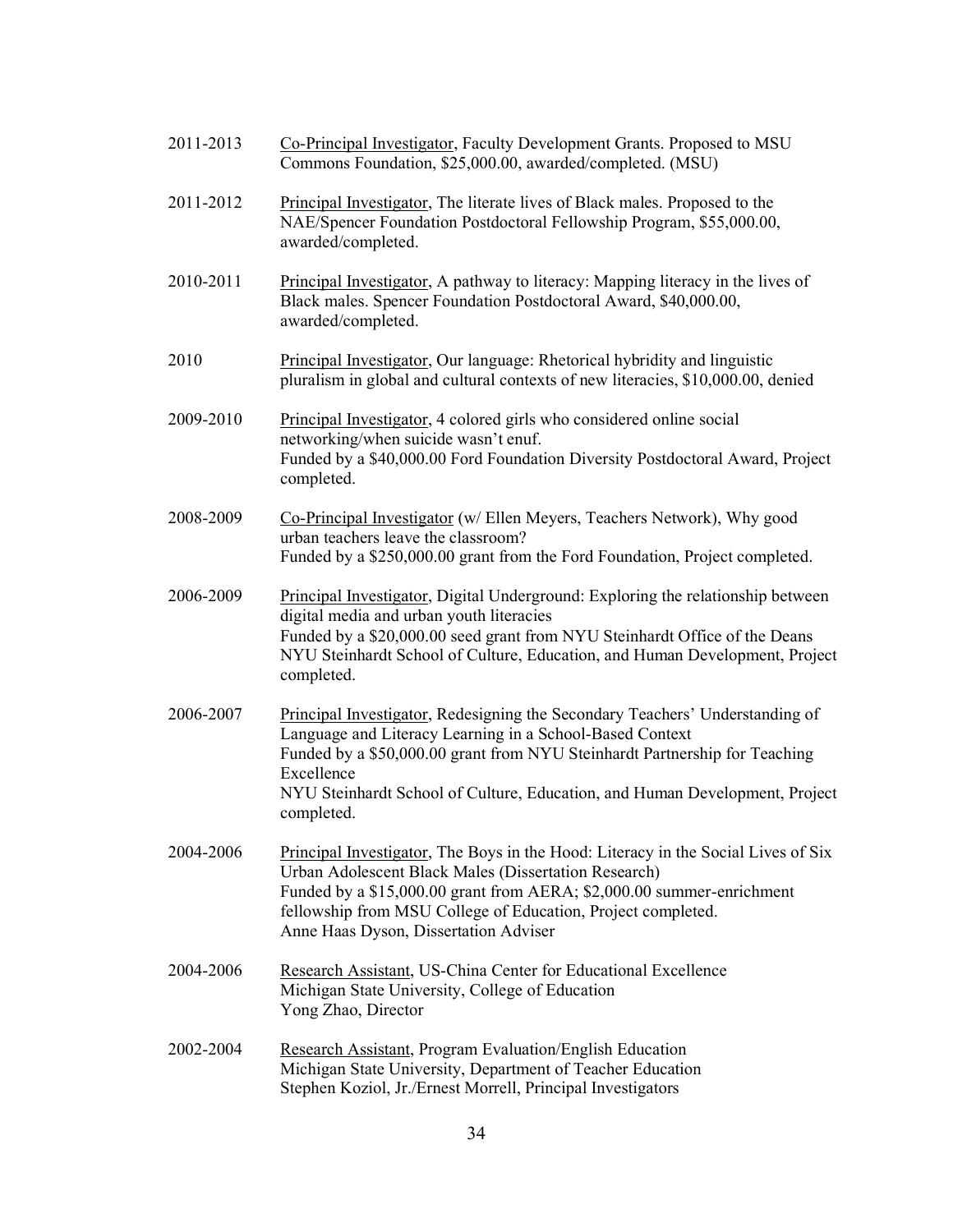| 2011-2013 | Co-Principal Investigator, Faculty Development Grants. Proposed to MSU<br>Commons Foundation, \$25,000.00, awarded/completed. (MSU)                                                                                                                                                                                                 |
|-----------|-------------------------------------------------------------------------------------------------------------------------------------------------------------------------------------------------------------------------------------------------------------------------------------------------------------------------------------|
| 2011-2012 | Principal Investigator, The literate lives of Black males. Proposed to the<br>NAE/Spencer Foundation Postdoctoral Fellowship Program, \$55,000.00,<br>awarded/completed.                                                                                                                                                            |
| 2010-2011 | Principal Investigator, A pathway to literacy: Mapping literacy in the lives of<br>Black males. Spencer Foundation Postdoctoral Award, \$40,000.00,<br>awarded/completed.                                                                                                                                                           |
| 2010      | Principal Investigator, Our language: Rhetorical hybridity and linguistic<br>pluralism in global and cultural contexts of new literacies, \$10,000.00, denied                                                                                                                                                                       |
| 2009-2010 | Principal Investigator, 4 colored girls who considered online social<br>networking/when suicide wasn't enuf.<br>Funded by a \$40,000.00 Ford Foundation Diversity Postdoctoral Award, Project<br>completed.                                                                                                                         |
| 2008-2009 | Co-Principal Investigator (w/ Ellen Meyers, Teachers Network), Why good<br>urban teachers leave the classroom?<br>Funded by a \$250,000.00 grant from the Ford Foundation, Project completed.                                                                                                                                       |
| 2006-2009 | Principal Investigator, Digital Underground: Exploring the relationship between<br>digital media and urban youth literacies<br>Funded by a \$20,000.00 seed grant from NYU Steinhardt Office of the Deans<br>NYU Steinhardt School of Culture, Education, and Human Development, Project<br>completed.                              |
| 2006-2007 | Principal Investigator, Redesigning the Secondary Teachers' Understanding of<br>Language and Literacy Learning in a School-Based Context<br>Funded by a \$50,000.00 grant from NYU Steinhardt Partnership for Teaching<br>Excellence<br>NYU Steinhardt School of Culture, Education, and Human Development, Project<br>completed.   |
| 2004-2006 | <b>Principal Investigator</b> , The Boys in the Hood: Literacy in the Social Lives of Six<br>Urban Adolescent Black Males (Dissertation Research)<br>Funded by a \$15,000.00 grant from AERA; \$2,000.00 summer-enrichment<br>fellowship from MSU College of Education, Project completed.<br>Anne Haas Dyson, Dissertation Adviser |
| 2004-2006 | Research Assistant, US-China Center for Educational Excellence<br>Michigan State University, College of Education<br>Yong Zhao, Director                                                                                                                                                                                            |
| 2002-2004 | Research Assistant, Program Evaluation/English Education<br>Michigan State University, Department of Teacher Education<br>Stephen Koziol, Jr./Ernest Morrell, Principal Investigators                                                                                                                                               |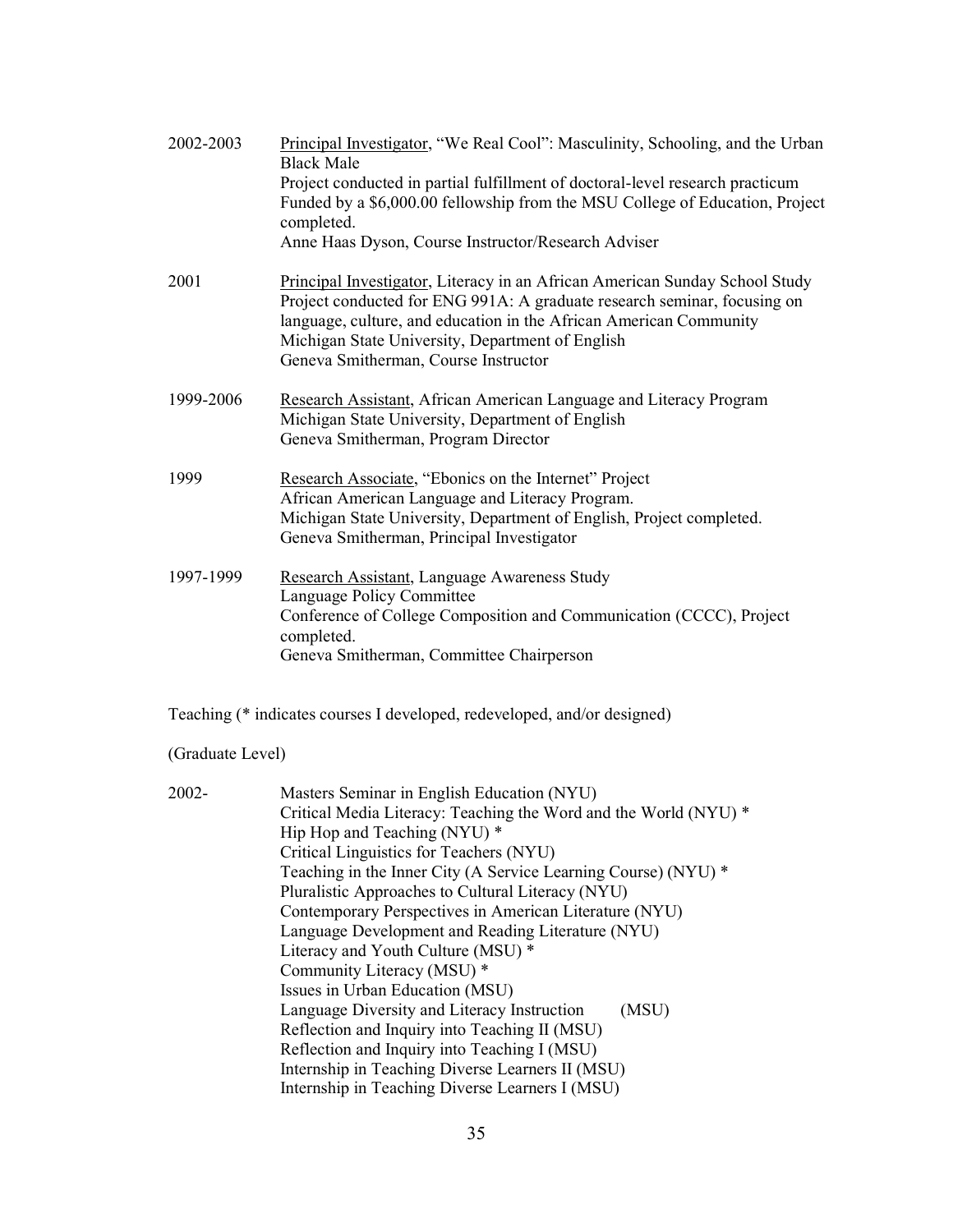| 2002-2003 | Principal Investigator, "We Real Cool": Masculinity, Schooling, and the Urban<br><b>Black Male</b>                                                                                                                            |
|-----------|-------------------------------------------------------------------------------------------------------------------------------------------------------------------------------------------------------------------------------|
|           | Project conducted in partial fulfillment of doctoral-level research practicum<br>Funded by a \$6,000.00 fellowship from the MSU College of Education, Project                                                                 |
|           | completed.<br>Anne Haas Dyson, Course Instructor/Research Adviser                                                                                                                                                             |
|           |                                                                                                                                                                                                                               |
| 2001      | Principal Investigator, Literacy in an African American Sunday School Study<br>Project conducted for ENG 991A: A graduate research seminar, focusing on<br>language, culture, and education in the African American Community |
|           | Michigan State University, Department of English<br>Geneva Smitherman, Course Instructor                                                                                                                                      |
| 1999-2006 | Research Assistant, African American Language and Literacy Program<br>Michigan State University, Department of English<br>Geneva Smitherman, Program Director                                                                 |
| 1999      | Research Associate, "Ebonics on the Internet" Project<br>African American Language and Literacy Program.<br>Michigan State University, Department of English, Project completed.<br>Geneva Smitherman, Principal Investigator |
| 1997-1999 | Research Assistant, Language Awareness Study<br>Language Policy Committee<br>Conference of College Composition and Communication (CCCC), Project                                                                              |
|           | completed.<br>Geneva Smitherman, Committee Chairperson                                                                                                                                                                        |
|           | Teaching (* indicates courses I developed, redeveloped, and/or designed)                                                                                                                                                      |

(Graduate Level)

| 2002- | Masters Seminar in English Education (NYU)                       |
|-------|------------------------------------------------------------------|
|       | Critical Media Literacy: Teaching the Word and the World (NYU) * |
|       | Hip Hop and Teaching (NYU) *                                     |
|       | Critical Linguistics for Teachers (NYU)                          |
|       | Teaching in the Inner City (A Service Learning Course) (NYU) *   |
|       | Pluralistic Approaches to Cultural Literacy (NYU)                |
|       | Contemporary Perspectives in American Literature (NYU)           |
|       | Language Development and Reading Literature (NYU)                |
|       | Literacy and Youth Culture (MSU) *                               |
|       | Community Literacy (MSU) *                                       |
|       | Issues in Urban Education (MSU)                                  |
|       | Language Diversity and Literacy Instruction<br>(MSU)             |
|       | Reflection and Inquiry into Teaching II (MSU)                    |
|       | Reflection and Inquiry into Teaching I (MSU)                     |
|       | Internship in Teaching Diverse Learners II (MSU)                 |
|       | Internship in Teaching Diverse Learners I (MSU)                  |
|       |                                                                  |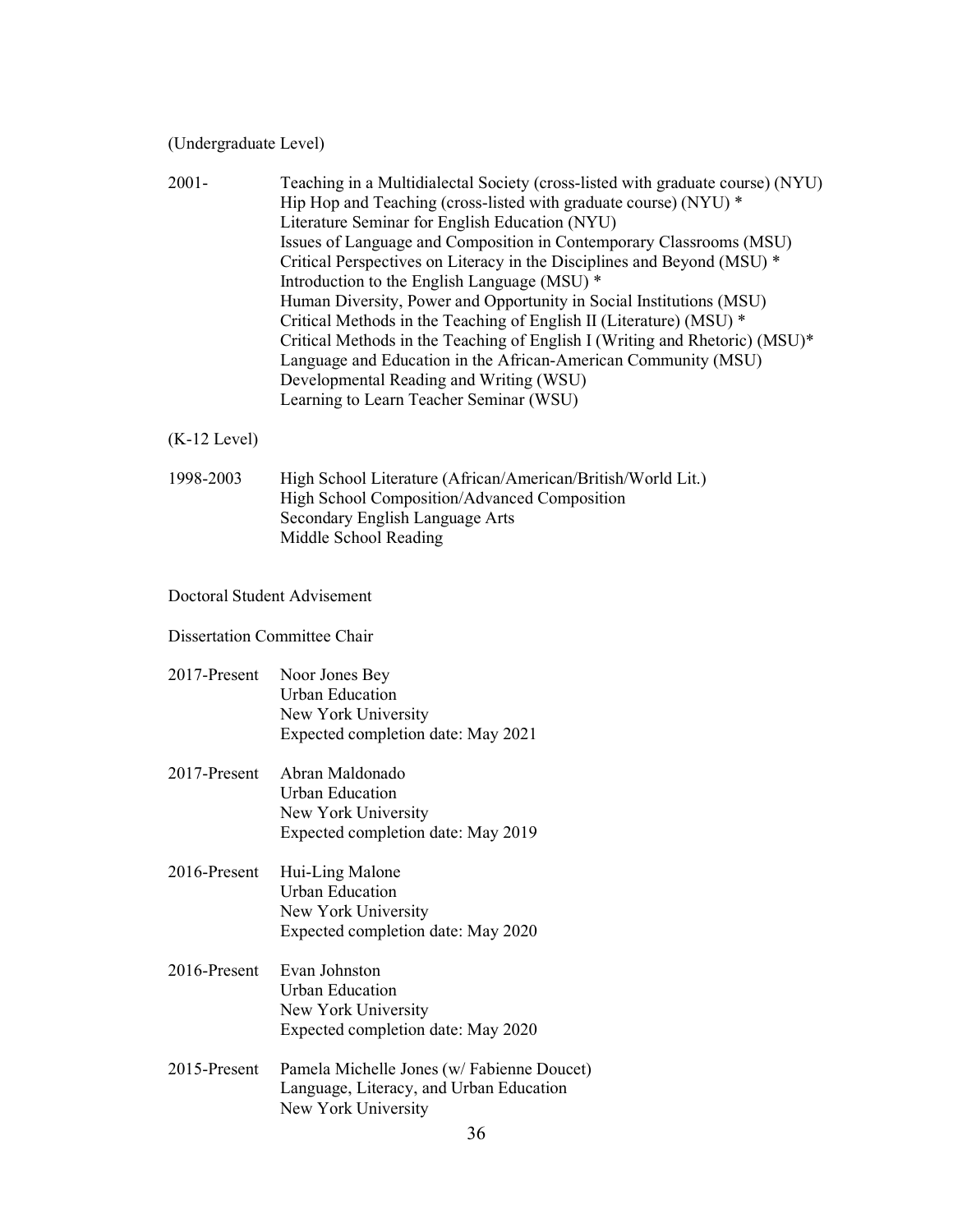(Undergraduate Level)

| $2001 -$ | Teaching in a Multidialectal Society (cross-listed with graduate course) (NYU) |
|----------|--------------------------------------------------------------------------------|
|          | Hip Hop and Teaching (cross-listed with graduate course) (NYU) *               |
|          | Literature Seminar for English Education (NYU)                                 |
|          | Issues of Language and Composition in Contemporary Classrooms (MSU)            |
|          | Critical Perspectives on Literacy in the Disciplines and Beyond (MSU) *        |
|          | Introduction to the English Language (MSU) *                                   |
|          | Human Diversity, Power and Opportunity in Social Institutions (MSU)            |
|          | Critical Methods in the Teaching of English II (Literature) (MSU) *            |
|          | Critical Methods in the Teaching of English I (Writing and Rhetoric) (MSU)*    |
|          | Language and Education in the African-American Community (MSU)                 |
|          | Developmental Reading and Writing (WSU)                                        |
|          | Learning to Learn Teacher Seminar (WSU)                                        |

#### (K-12 Level)

1998-2003 High School Literature (African/American/British/World Lit.) High School Composition/Advanced Composition Secondary English Language Arts Middle School Reading

#### Doctoral Student Advisement

#### Dissertation Committee Chair

- 2017-Present Noor Jones Bey Urban Education New York University Expected completion date: May 2021
- 2017-Present Abran Maldonado Urban Education New York University Expected completion date: May 2019
- 2016-Present Hui-Ling Malone Urban Education New York University Expected completion date: May 2020
- 2016-Present Evan Johnston Urban Education New York University Expected completion date: May 2020
- 2015-Present Pamela Michelle Jones (w/ Fabienne Doucet) Language, Literacy, and Urban Education New York University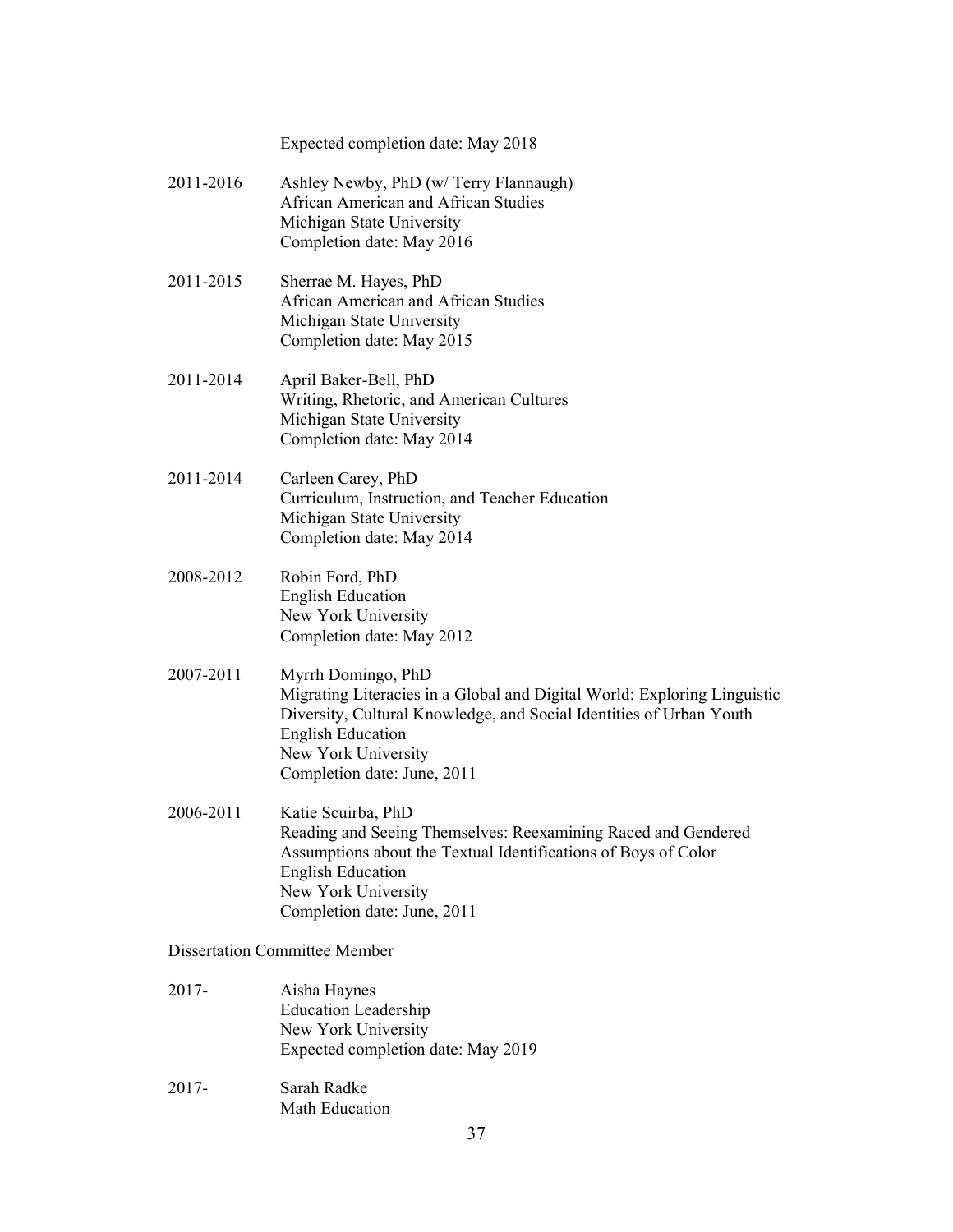#### Expected completion date: May 2018

- 2011-2016 Ashley Newby, PhD (w/ Terry Flannaugh) African American and African Studies Michigan State University Completion date: May 2016
- 2011-2015 Sherrae M. Hayes, PhD African American and African Studies Michigan State University Completion date: May 2015
- 2011-2014 April Baker-Bell, PhD Writing, Rhetoric, and American Cultures Michigan State University Completion date: May 2014
- 2011-2014 Carleen Carey, PhD Curriculum, Instruction, and Teacher Education Michigan State University Completion date: May 2014
- 2008-2012 Robin Ford, PhD English Education New York University Completion date: May 2012
- 2007-2011 Myrrh Domingo, PhD Migrating Literacies in a Global and Digital World: Exploring Linguistic Diversity, Cultural Knowledge, and Social Identities of Urban Youth English Education New York University Completion date: June, 2011
- 2006-2011 Katie Scuirba, PhD Reading and Seeing Themselves: Reexamining Raced and Gendered Assumptions about the Textual Identifications of Boys of Color English Education New York University Completion date: June, 2011

Dissertation Committee Member

- 2017- Aisha Haynes Education Leadership New York University Expected completion date: May 2019
- 2017- Sarah Radke Math Education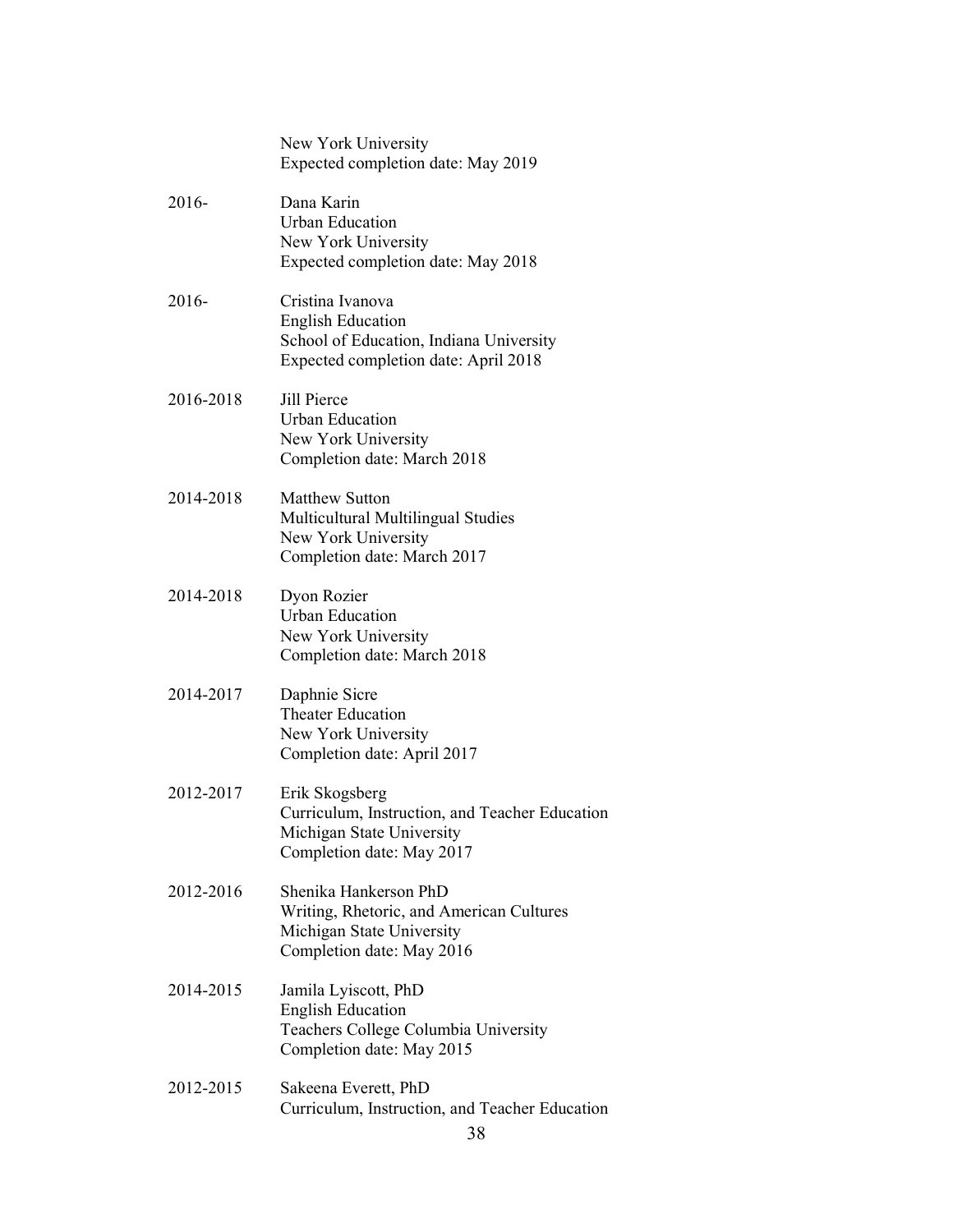|           | New York University<br>Expected completion date: May 2019                                                                       |
|-----------|---------------------------------------------------------------------------------------------------------------------------------|
| 2016-     | Dana Karin<br><b>Urban Education</b><br>New York University<br>Expected completion date: May 2018                               |
| 2016-     | Cristina Ivanova<br><b>English Education</b><br>School of Education, Indiana University<br>Expected completion date: April 2018 |
| 2016-2018 | <b>Jill Pierce</b><br><b>Urban Education</b><br>New York University<br>Completion date: March 2018                              |
| 2014-2018 | <b>Matthew Sutton</b><br>Multicultural Multilingual Studies<br>New York University<br>Completion date: March 2017               |
| 2014-2018 | Dyon Rozier<br><b>Urban Education</b><br>New York University<br>Completion date: March 2018                                     |
| 2014-2017 | Daphnie Sicre<br><b>Theater Education</b><br>New York University<br>Completion date: April 2017                                 |
| 2012-2017 | Erik Skogsberg<br>Curriculum, Instruction, and Teacher Education<br>Michigan State University<br>Completion date: May 2017      |
| 2012-2016 | Shenika Hankerson PhD<br>Writing, Rhetoric, and American Cultures<br>Michigan State University<br>Completion date: May 2016     |
| 2014-2015 | Jamila Lyiscott, PhD<br><b>English Education</b><br>Teachers College Columbia University<br>Completion date: May 2015           |
| 2012-2015 | Sakeena Everett, PhD<br>Curriculum, Instruction, and Teacher Education                                                          |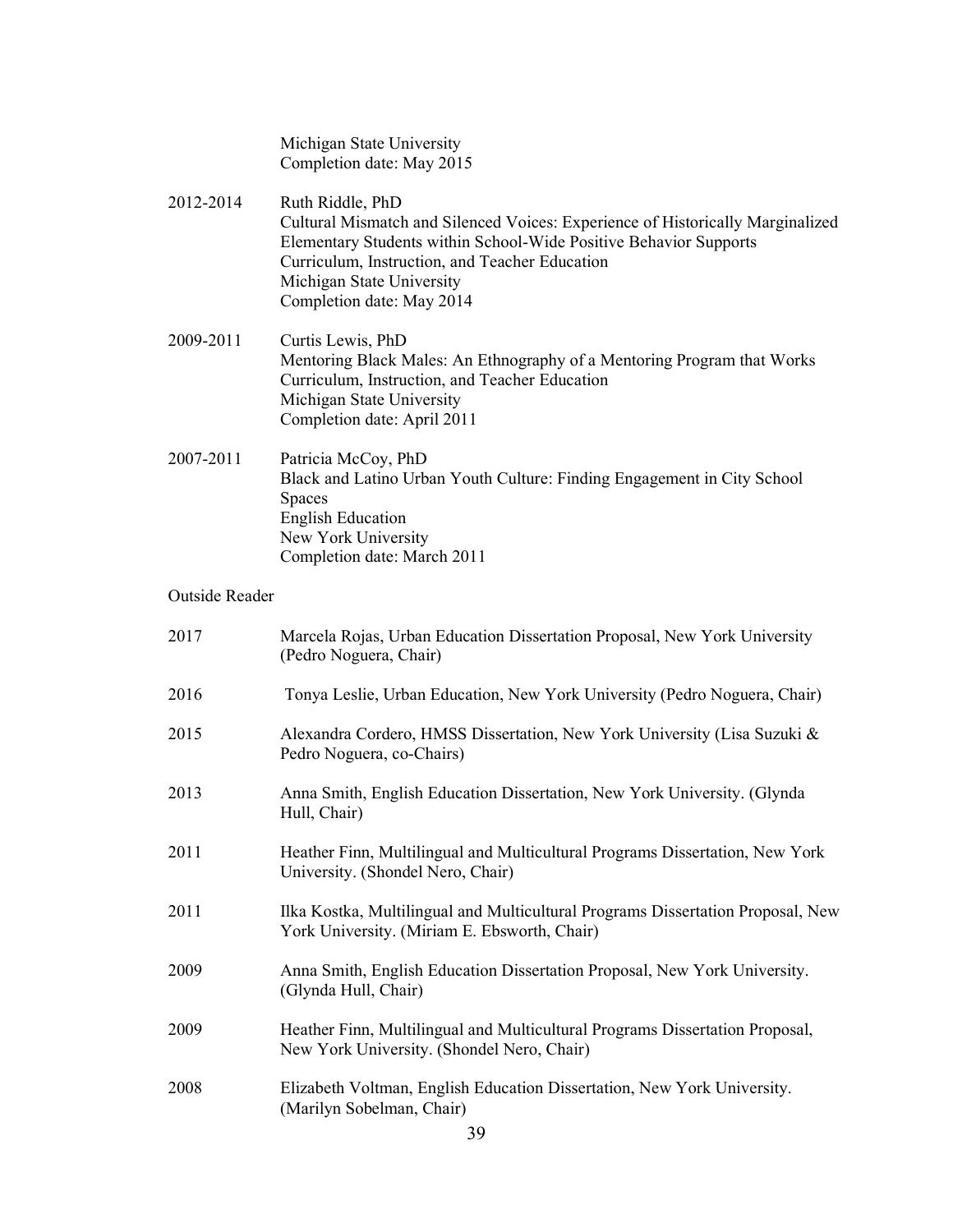Michigan State University Completion date: May 2015

- 2012-2014 Ruth Riddle, PhD Cultural Mismatch and Silenced Voices: Experience of Historically Marginalized Elementary Students within School-Wide Positive Behavior Supports Curriculum, Instruction, and Teacher Education Michigan State University Completion date: May 2014
- 2009-2011 Curtis Lewis, PhD Mentoring Black Males: An Ethnography of a Mentoring Program that Works Curriculum, Instruction, and Teacher Education Michigan State University Completion date: April 2011
- 2007-2011 Patricia McCoy, PhD Black and Latino Urban Youth Culture: Finding Engagement in City School Spaces English Education New York University Completion date: March 2011

#### Outside Reader

| 2017 | Marcela Rojas, Urban Education Dissertation Proposal, New York University<br>(Pedro Noguera, Chair)                             |
|------|---------------------------------------------------------------------------------------------------------------------------------|
| 2016 | Tonya Leslie, Urban Education, New York University (Pedro Noguera, Chair)                                                       |
| 2015 | Alexandra Cordero, HMSS Dissertation, New York University (Lisa Suzuki &<br>Pedro Noguera, co-Chairs)                           |
| 2013 | Anna Smith, English Education Dissertation, New York University. (Glynda<br>Hull, Chair)                                        |
| 2011 | Heather Finn, Multilingual and Multicultural Programs Dissertation, New York<br>University. (Shondel Nero, Chair)               |
| 2011 | Ilka Kostka, Multilingual and Multicultural Programs Dissertation Proposal, New<br>York University. (Miriam E. Ebsworth, Chair) |
| 2009 | Anna Smith, English Education Dissertation Proposal, New York University.<br>(Glynda Hull, Chair)                               |
| 2009 | Heather Finn, Multilingual and Multicultural Programs Dissertation Proposal,<br>New York University. (Shondel Nero, Chair)      |
| 2008 | Elizabeth Voltman, English Education Dissertation, New York University.<br>(Marilyn Sobelman, Chair)                            |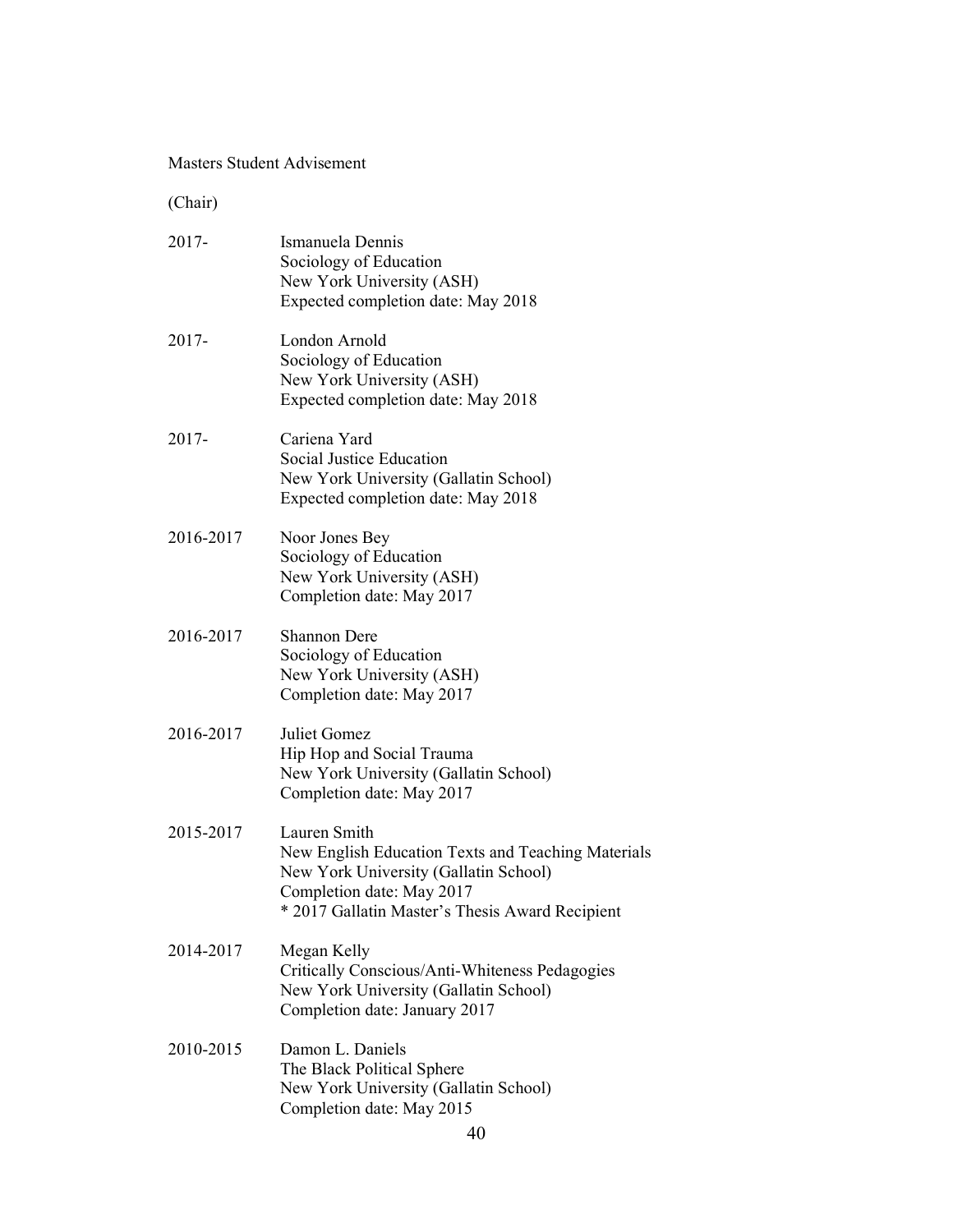#### Masters Student Advisement

(Chair)

| $2017 -$  | Ismanuela Dennis<br>Sociology of Education<br>New York University (ASH)<br>Expected completion date: May 2018                                                                               |
|-----------|---------------------------------------------------------------------------------------------------------------------------------------------------------------------------------------------|
| 2017-     | London Arnold<br>Sociology of Education<br>New York University (ASH)<br>Expected completion date: May 2018                                                                                  |
| 2017-     | Cariena Yard<br>Social Justice Education<br>New York University (Gallatin School)<br>Expected completion date: May 2018                                                                     |
| 2016-2017 | Noor Jones Bey<br>Sociology of Education<br>New York University (ASH)<br>Completion date: May 2017                                                                                          |
| 2016-2017 | <b>Shannon Dere</b><br>Sociology of Education<br>New York University (ASH)<br>Completion date: May 2017                                                                                     |
| 2016-2017 | Juliet Gomez<br>Hip Hop and Social Trauma<br>New York University (Gallatin School)<br>Completion date: May 2017                                                                             |
| 2015-2017 | Lauren Smith<br>New English Education Texts and Teaching Materials<br>New York University (Gallatin School)<br>Completion date: May 2017<br>* 2017 Gallatin Master's Thesis Award Recipient |
| 2014-2017 | Megan Kelly<br>Critically Conscious/Anti-Whiteness Pedagogies<br>New York University (Gallatin School)<br>Completion date: January 2017                                                     |
| 2010-2015 | Damon L. Daniels<br>The Black Political Sphere<br>New York University (Gallatin School)<br>Completion date: May 2015                                                                        |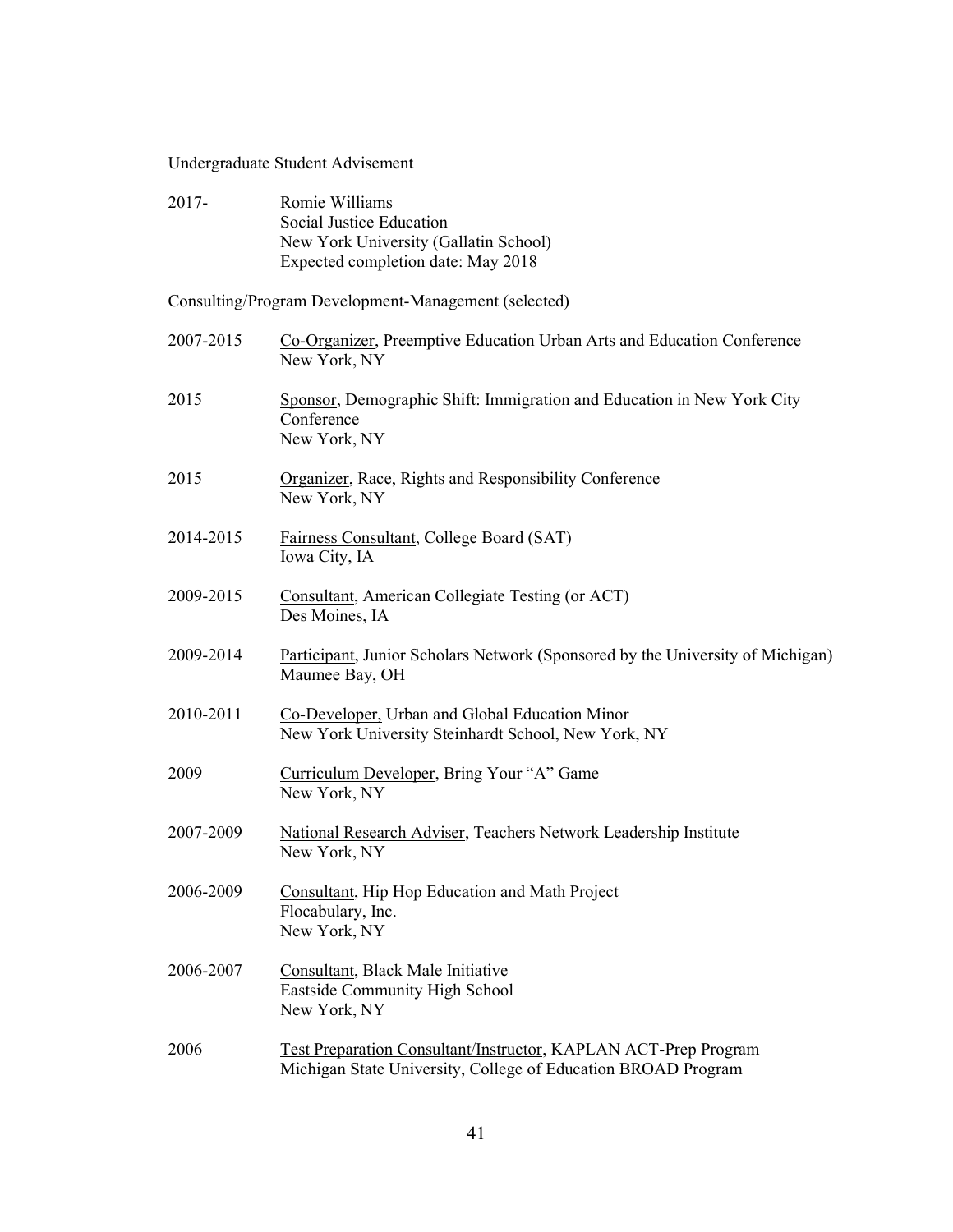## Undergraduate Student Advisement

| 2017-     | Romie Williams<br><b>Social Justice Education</b><br>New York University (Gallatin School)<br>Expected completion date: May 2018        |
|-----------|-----------------------------------------------------------------------------------------------------------------------------------------|
|           | Consulting/Program Development-Management (selected)                                                                                    |
| 2007-2015 | Co-Organizer, Preemptive Education Urban Arts and Education Conference<br>New York, NY                                                  |
| 2015      | Sponsor, Demographic Shift: Immigration and Education in New York City<br>Conference<br>New York, NY                                    |
| 2015      | <b>Organizer, Race, Rights and Responsibility Conference</b><br>New York, NY                                                            |
| 2014-2015 | Fairness Consultant, College Board (SAT)<br>Iowa City, IA                                                                               |
| 2009-2015 | Consultant, American Collegiate Testing (or ACT)<br>Des Moines, IA                                                                      |
| 2009-2014 | <b>Participant</b> , Junior Scholars Network (Sponsored by the University of Michigan)<br>Maumee Bay, OH                                |
| 2010-2011 | Co-Developer, Urban and Global Education Minor<br>New York University Steinhardt School, New York, NY                                   |
| 2009      | Curriculum Developer, Bring Your "A" Game<br>New York, NY                                                                               |
| 2007-2009 | National Research Adviser, Teachers Network Leadership Institute<br>New York, NY                                                        |
| 2006-2009 | Consultant, Hip Hop Education and Math Project<br>Flocabulary, Inc.<br>New York, NY                                                     |
| 2006-2007 | Consultant, Black Male Initiative<br>Eastside Community High School<br>New York, NY                                                     |
| 2006      | <b>Test Preparation Consultant/Instructor, KAPLAN ACT-Prep Program</b><br>Michigan State University, College of Education BROAD Program |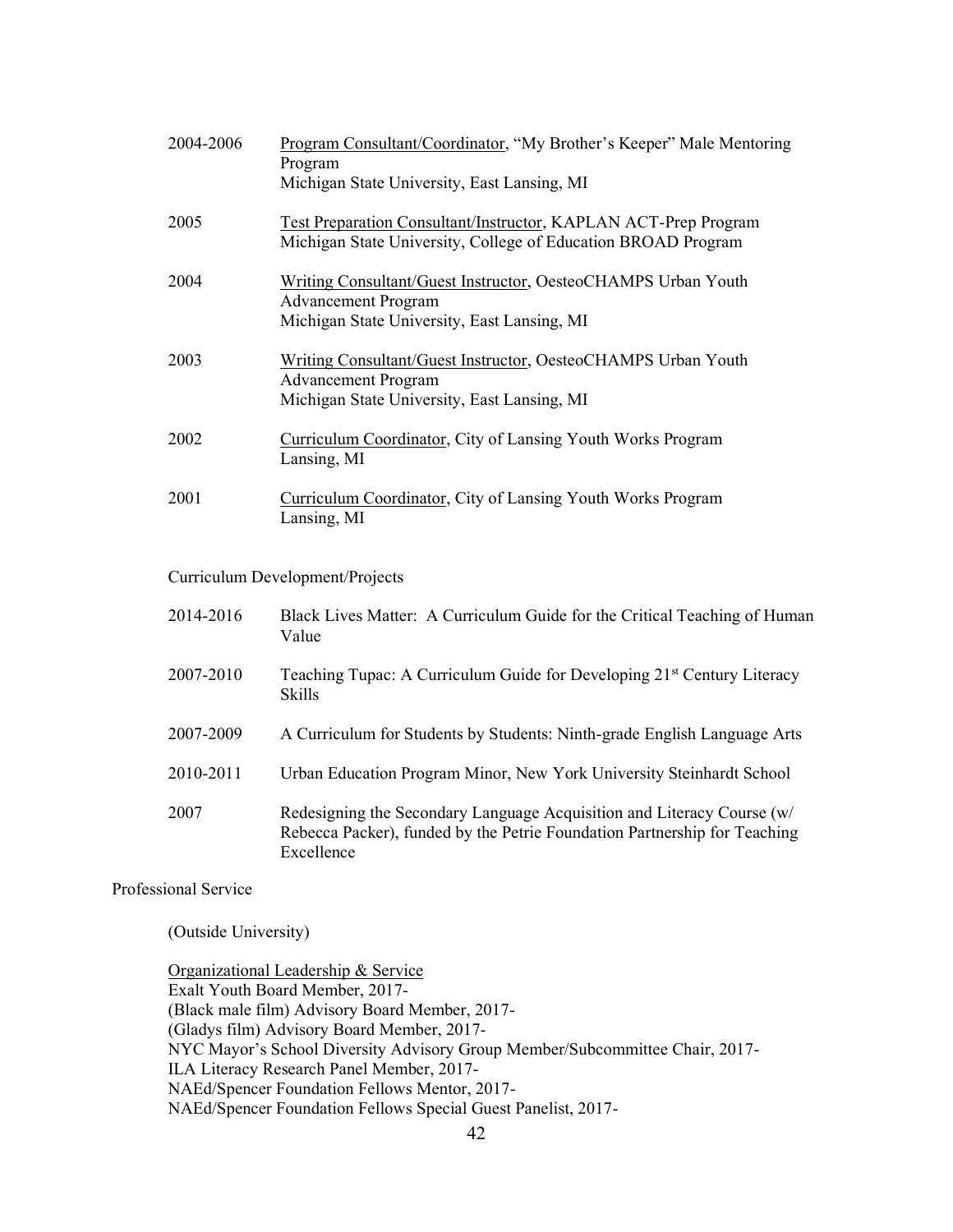| 2004-2006 | Program Consultant/Coordinator, "My Brother's Keeper" Male Mentoring<br>Program                                                  |
|-----------|----------------------------------------------------------------------------------------------------------------------------------|
|           | Michigan State University, East Lansing, MI                                                                                      |
| 2005      | Test Preparation Consultant/Instructor, KAPLAN ACT-Prep Program<br>Michigan State University, College of Education BROAD Program |
| 2004      | Writing Consultant/Guest Instructor, OesteoCHAMPS Urban Youth<br><b>Advancement Program</b>                                      |
|           | Michigan State University, East Lansing, MI                                                                                      |
| 2003      | Writing Consultant/Guest Instructor, OesteoCHAMPS Urban Youth<br><b>Advancement Program</b>                                      |
|           | Michigan State University, East Lansing, MI                                                                                      |
| 2002      | Curriculum Coordinator, City of Lansing Youth Works Program<br>Lansing, MI                                                       |
| 2001      | Curriculum Coordinator, City of Lansing Youth Works Program<br>Lansing, MI                                                       |

Curriculum Development/Projects

| 2014-2016 | Black Lives Matter: A Curriculum Guide for the Critical Teaching of Human<br>Value                                                                                |
|-----------|-------------------------------------------------------------------------------------------------------------------------------------------------------------------|
| 2007-2010 | Teaching Tupac: A Curriculum Guide for Developing 21 <sup>st</sup> Century Literacy<br><b>Skills</b>                                                              |
| 2007-2009 | A Curriculum for Students by Students: Ninth-grade English Language Arts                                                                                          |
| 2010-2011 | Urban Education Program Minor, New York University Steinhardt School                                                                                              |
| 2007      | Redesigning the Secondary Language Acquisition and Literacy Course (w/<br>Rebecca Packer), funded by the Petrie Foundation Partnership for Teaching<br>Excellence |

Professional Service

(Outside University)

Organizational Leadership & Service Exalt Youth Board Member, 2017- (Black male film) Advisory Board Member, 2017- (Gladys film) Advisory Board Member, 2017- NYC Mayor's School Diversity Advisory Group Member/Subcommittee Chair, 2017-ILA Literacy Research Panel Member, 2017- NAEd/Spencer Foundation Fellows Mentor, 2017- NAEd/Spencer Foundation Fellows Special Guest Panelist, 2017-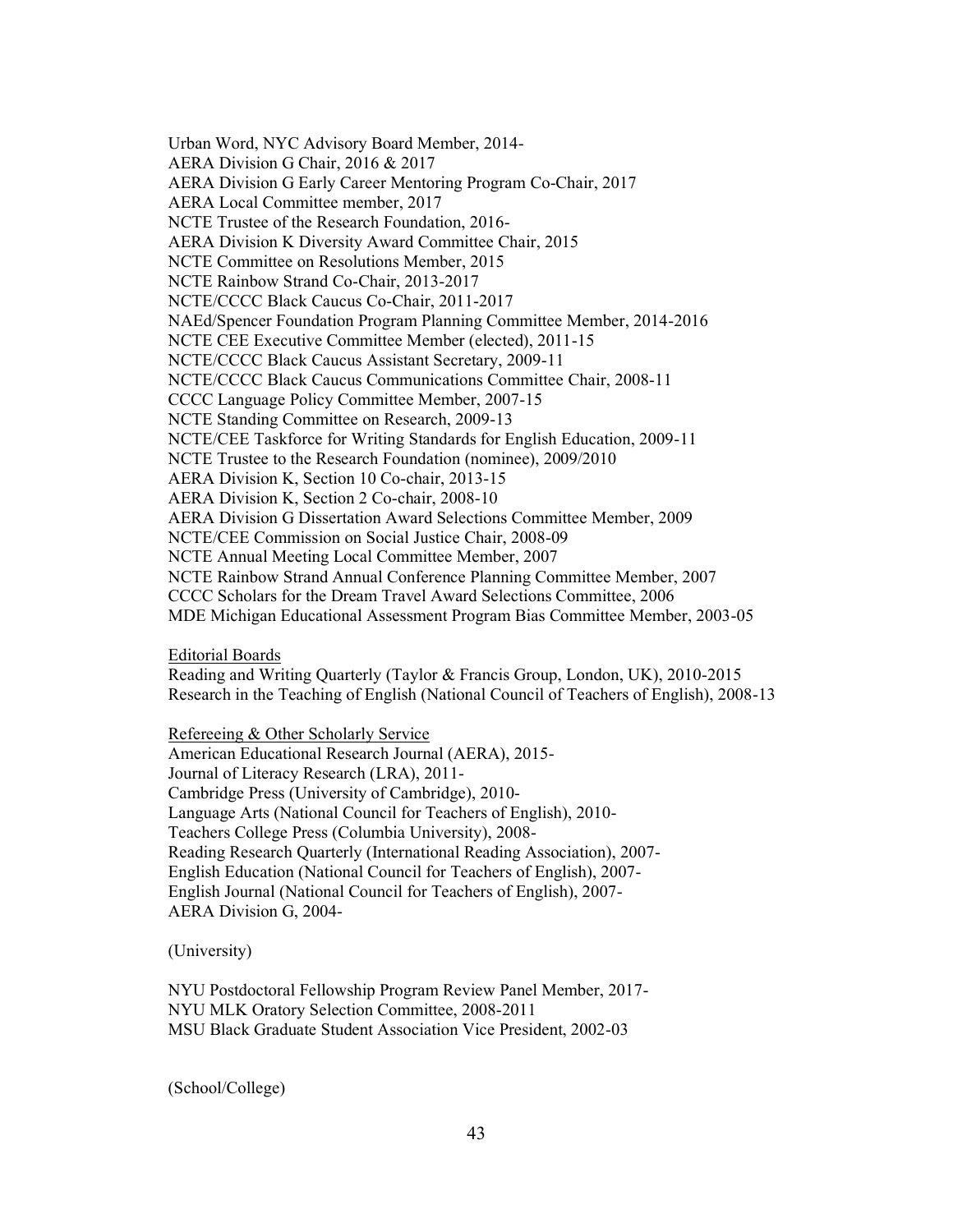Urban Word, NYC Advisory Board Member, 2014- AERA Division G Chair, 2016 & 2017 AERA Division G Early Career Mentoring Program Co-Chair, 2017 AERA Local Committee member, 2017 NCTE Trustee of the Research Foundation, 2016- AERA Division K Diversity Award Committee Chair, 2015 NCTE Committee on Resolutions Member, 2015 NCTE Rainbow Strand Co-Chair, 2013-2017 NCTE/CCCC Black Caucus Co-Chair, 2011-2017 NAEd/Spencer Foundation Program Planning Committee Member, 2014-2016 NCTE CEE Executive Committee Member (elected), 2011-15 NCTE/CCCC Black Caucus Assistant Secretary, 2009-11 NCTE/CCCC Black Caucus Communications Committee Chair, 2008-11 CCCC Language Policy Committee Member, 2007-15 NCTE Standing Committee on Research, 2009-13 NCTE/CEE Taskforce for Writing Standards for English Education, 2009-11 NCTE Trustee to the Research Foundation (nominee), 2009/2010 AERA Division K, Section 10 Co-chair, 2013-15 AERA Division K, Section 2 Co-chair, 2008-10 AERA Division G Dissertation Award Selections Committee Member, 2009 NCTE/CEE Commission on Social Justice Chair, 2008-09 NCTE Annual Meeting Local Committee Member, 2007 NCTE Rainbow Strand Annual Conference Planning Committee Member, 2007 CCCC Scholars for the Dream Travel Award Selections Committee, 2006 MDE Michigan Educational Assessment Program Bias Committee Member, 2003-05

Editorial Boards

Reading and Writing Quarterly (Taylor & Francis Group, London, UK), 2010-2015 Research in the Teaching of English (National Council of Teachers of English), 2008-13

Refereeing & Other Scholarly Service

American Educational Research Journal (AERA), 2015- Journal of Literacy Research (LRA), 2011- Cambridge Press (University of Cambridge), 2010- Language Arts (National Council for Teachers of English), 2010- Teachers College Press (Columbia University), 2008- Reading Research Quarterly (International Reading Association), 2007- English Education (National Council for Teachers of English), 2007- English Journal (National Council for Teachers of English), 2007- AERA Division G, 2004-

(University)

NYU Postdoctoral Fellowship Program Review Panel Member, 2017- NYU MLK Oratory Selection Committee, 2008-2011 MSU Black Graduate Student Association Vice President, 2002-03

(School/College)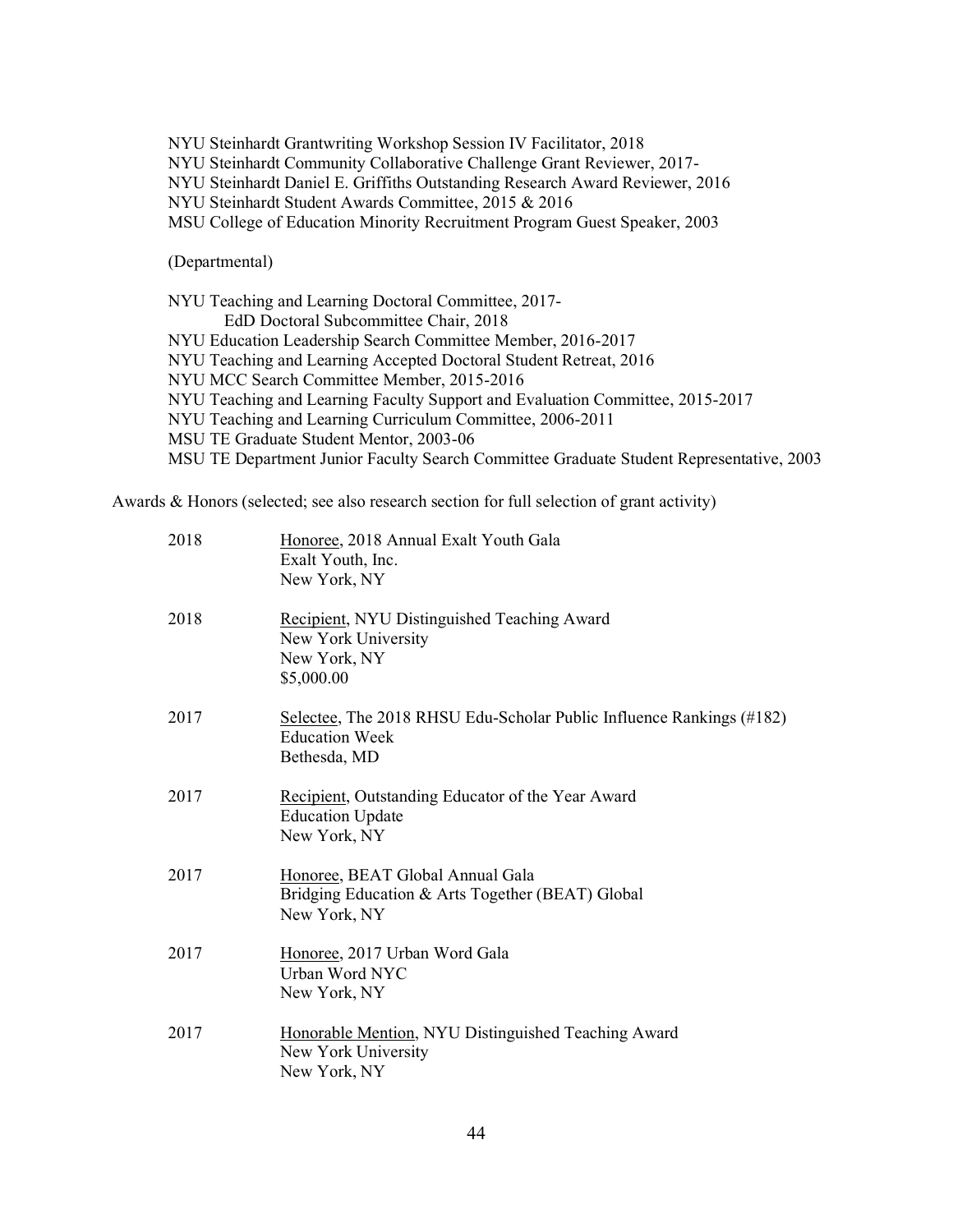NYU Steinhardt Grantwriting Workshop Session IV Facilitator, 2018

NYU Steinhardt Community Collaborative Challenge Grant Reviewer, 2017-

NYU Steinhardt Daniel E. Griffiths Outstanding Research Award Reviewer, 2016

NYU Steinhardt Student Awards Committee, 2015 & 2016

MSU College of Education Minority Recruitment Program Guest Speaker, 2003

(Departmental)

NYU Teaching and Learning Doctoral Committee, 2017- EdD Doctoral Subcommittee Chair, 2018 NYU Education Leadership Search Committee Member, 2016-2017 NYU Teaching and Learning Accepted Doctoral Student Retreat, 2016 NYU MCC Search Committee Member, 2015-2016 NYU Teaching and Learning Faculty Support and Evaluation Committee, 2015-2017 NYU Teaching and Learning Curriculum Committee, 2006-2011 MSU TE Graduate Student Mentor, 2003-06 MSU TE Department Junior Faculty Search Committee Graduate Student Representative, 2003

Awards & Honors (selected; see also research section for full selection of grant activity)

| 2018 | Honoree, 2018 Annual Exalt Youth Gala<br>Exalt Youth, Inc.<br>New York, NY                                    |
|------|---------------------------------------------------------------------------------------------------------------|
| 2018 | Recipient, NYU Distinguished Teaching Award<br>New York University<br>New York, NY<br>\$5,000.00              |
| 2017 | Selectee, The 2018 RHSU Edu-Scholar Public Influence Rankings (#182)<br><b>Education Week</b><br>Bethesda, MD |
| 2017 | Recipient, Outstanding Educator of the Year Award<br><b>Education Update</b><br>New York, NY                  |
| 2017 | Honoree, BEAT Global Annual Gala<br>Bridging Education & Arts Together (BEAT) Global<br>New York, NY          |
| 2017 | Honoree, 2017 Urban Word Gala<br>Urban Word NYC<br>New York, NY                                               |
| 2017 | Honorable Mention, NYU Distinguished Teaching Award<br>New York University<br>New York, NY                    |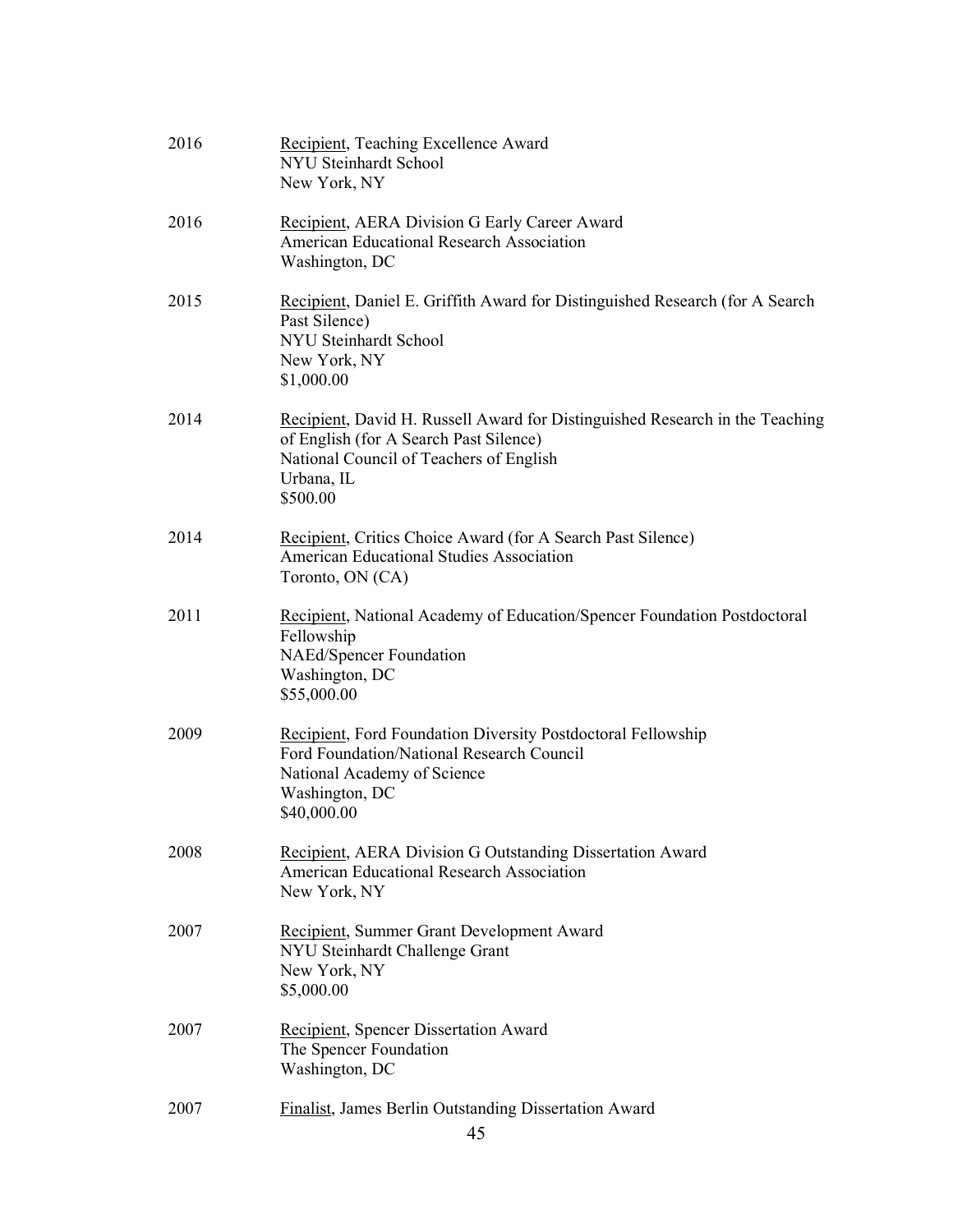| 2016 | Recipient, Teaching Excellence Award<br>NYU Steinhardt School<br>New York, NY                                                                                                               |
|------|---------------------------------------------------------------------------------------------------------------------------------------------------------------------------------------------|
| 2016 | <b>Recipient, AERA Division G Early Career Award</b><br><b>American Educational Research Association</b><br>Washington, DC                                                                  |
| 2015 | Recipient, Daniel E. Griffith Award for Distinguished Research (for A Search<br>Past Silence)<br><b>NYU Steinhardt School</b><br>New York, NY<br>\$1,000.00                                 |
| 2014 | Recipient, David H. Russell Award for Distinguished Research in the Teaching<br>of English (for A Search Past Silence)<br>National Council of Teachers of English<br>Urbana, IL<br>\$500.00 |
| 2014 | Recipient, Critics Choice Award (for A Search Past Silence)<br><b>American Educational Studies Association</b><br>Toronto, ON (CA)                                                          |
| 2011 | Recipient, National Academy of Education/Spencer Foundation Postdoctoral<br>Fellowship<br>NAEd/Spencer Foundation<br>Washington, DC<br>\$55,000.00                                          |
| 2009 | <b>Recipient, Ford Foundation Diversity Postdoctoral Fellowship</b><br>Ford Foundation/National Research Council<br>National Academy of Science<br>Washington, DC<br>\$40,000.00            |
| 2008 | <b>Recipient, AERA Division G Outstanding Dissertation Award</b><br><b>American Educational Research Association</b><br>New York, NY                                                        |
| 2007 | Recipient, Summer Grant Development Award<br>NYU Steinhardt Challenge Grant<br>New York, NY<br>\$5,000.00                                                                                   |
| 2007 | <b>Recipient, Spencer Dissertation Award</b><br>The Spencer Foundation<br>Washington, DC                                                                                                    |
| 2007 | <b>Finalist, James Berlin Outstanding Dissertation Award</b><br>45                                                                                                                          |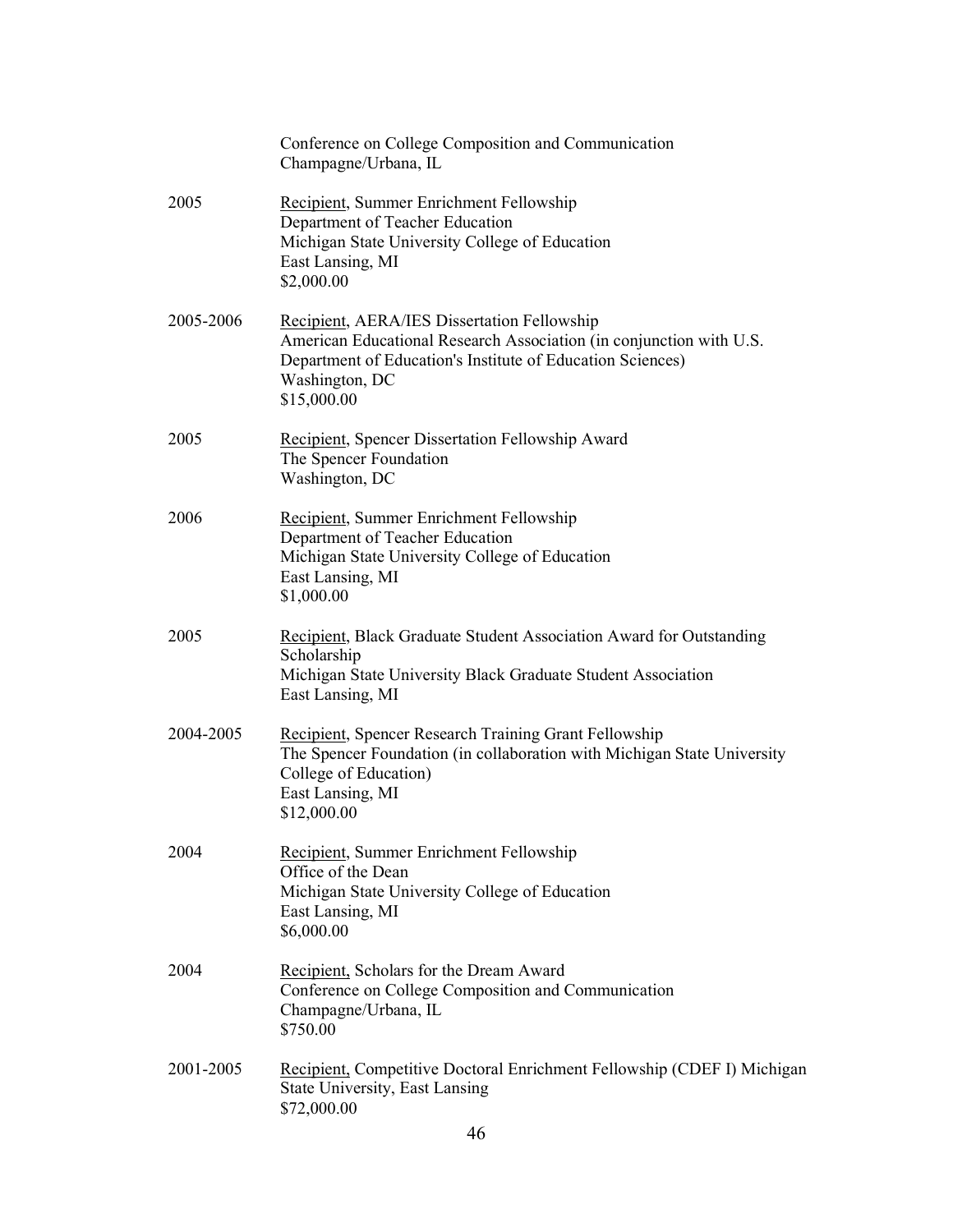|           | Conference on College Composition and Communication<br>Champagne/Urbana, IL                                                                                                                                              |
|-----------|--------------------------------------------------------------------------------------------------------------------------------------------------------------------------------------------------------------------------|
| 2005      | Recipient, Summer Enrichment Fellowship<br>Department of Teacher Education<br>Michigan State University College of Education<br>East Lansing, MI<br>\$2,000.00                                                           |
| 2005-2006 | <b>Recipient, AERA/IES Dissertation Fellowship</b><br>American Educational Research Association (in conjunction with U.S.<br>Department of Education's Institute of Education Sciences)<br>Washington, DC<br>\$15,000.00 |
| 2005      | Recipient, Spencer Dissertation Fellowship Award<br>The Spencer Foundation<br>Washington, DC                                                                                                                             |
| 2006      | Recipient, Summer Enrichment Fellowship<br>Department of Teacher Education<br>Michigan State University College of Education<br>East Lansing, MI<br>\$1,000.00                                                           |
| 2005      | Recipient, Black Graduate Student Association Award for Outstanding<br>Scholarship<br>Michigan State University Black Graduate Student Association<br>East Lansing, MI                                                   |
| 2004-2005 | <b>Recipient, Spencer Research Training Grant Fellowship</b><br>The Spencer Foundation (in collaboration with Michigan State University<br>College of Education)<br>East Lansing, MI<br>\$12,000.00                      |
| 2004      | Recipient, Summer Enrichment Fellowship<br>Office of the Dean<br>Michigan State University College of Education<br>East Lansing, MI<br>\$6,000.00                                                                        |
| 2004      | Recipient, Scholars for the Dream Award<br>Conference on College Composition and Communication<br>Champagne/Urbana, IL<br>\$750.00                                                                                       |
| 2001-2005 | Recipient, Competitive Doctoral Enrichment Fellowship (CDEF I) Michigan<br><b>State University, East Lansing</b><br>\$72,000.00                                                                                          |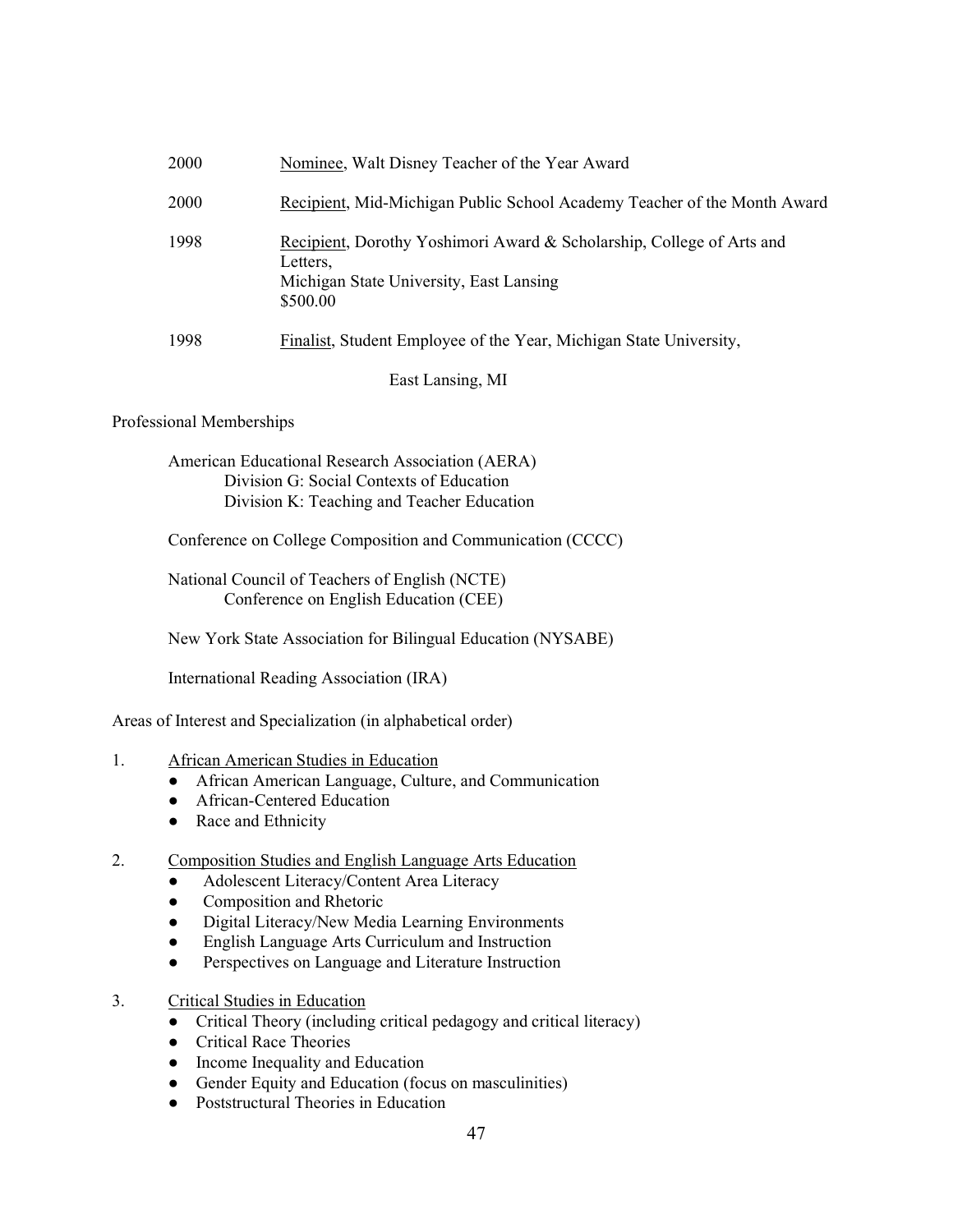| <b>2000</b> | Nominee, Walt Disney Teacher of the Year Award                                                                                           |
|-------------|------------------------------------------------------------------------------------------------------------------------------------------|
| <b>2000</b> | Recipient, Mid-Michigan Public School Academy Teacher of the Month Award                                                                 |
| 1998        | Recipient, Dorothy Yoshimori Award & Scholarship, College of Arts and<br>Letters.<br>Michigan State University, East Lansing<br>\$500.00 |
| 1998        | Finalist, Student Employee of the Year, Michigan State University,                                                                       |
|             | East Lansing, MI                                                                                                                         |

#### Professional Memberships

American Educational Research Association (AERA) Division G: Social Contexts of Education Division K: Teaching and Teacher Education

Conference on College Composition and Communication (CCCC)

National Council of Teachers of English (NCTE) Conference on English Education (CEE)

New York State Association for Bilingual Education (NYSABE)

International Reading Association (IRA)

Areas of Interest and Specialization (in alphabetical order)

#### 1. African American Studies in Education

- African American Language, Culture, and Communication
- African-Centered Education
- Race and Ethnicity

#### 2. Composition Studies and English Language Arts Education

- Adolescent Literacy/Content Area Literacy
- Composition and Rhetoric
- Digital Literacy/New Media Learning Environments
- English Language Arts Curriculum and Instruction
- Perspectives on Language and Literature Instruction
- 3. Critical Studies in Education
	- Critical Theory (including critical pedagogy and critical literacy)
	- Critical Race Theories
	- Income Inequality and Education
	- Gender Equity and Education (focus on masculinities)
	- Poststructural Theories in Education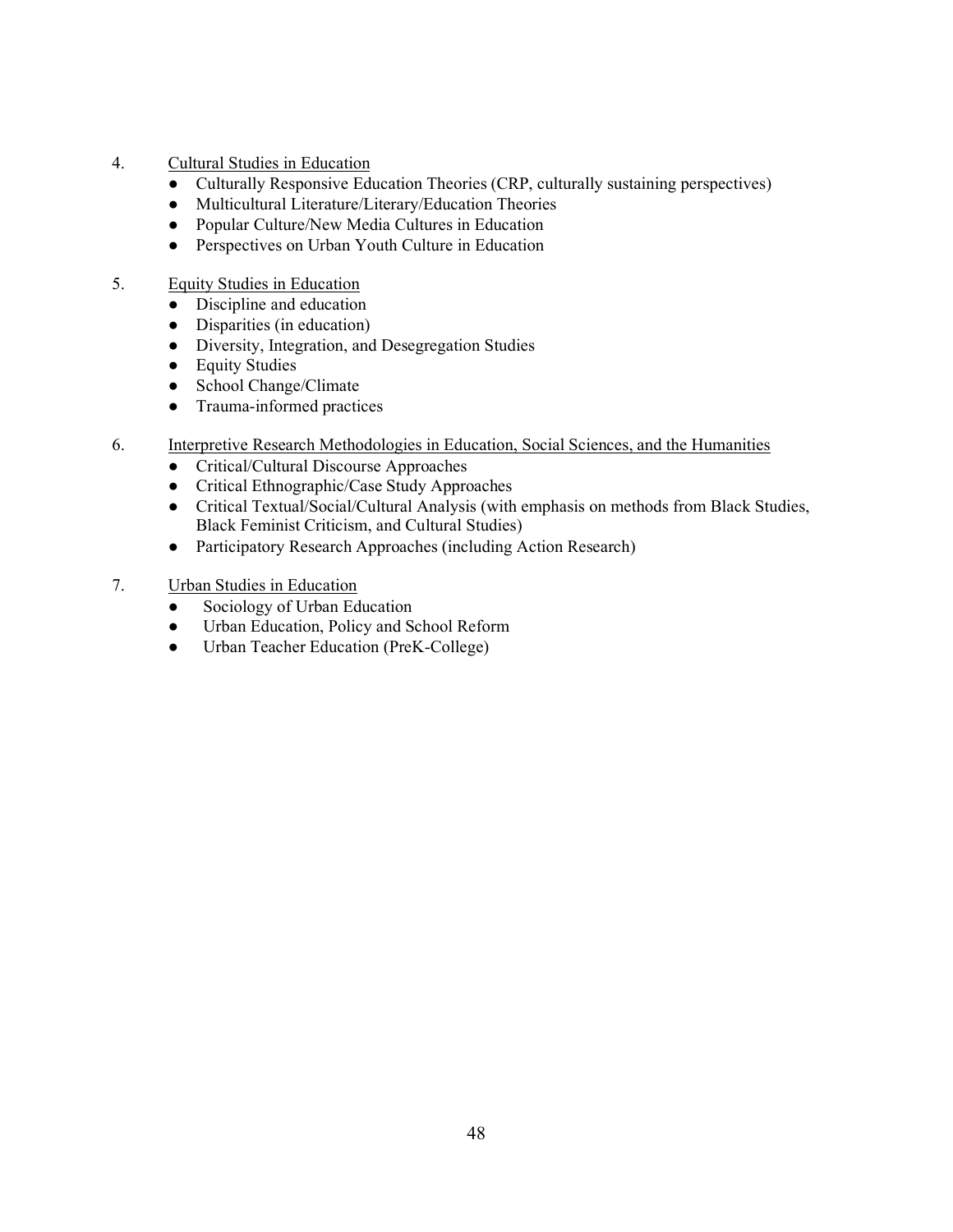- 4. Cultural Studies in Education
	- Culturally Responsive Education Theories (CRP, culturally sustaining perspectives)
	- Multicultural Literature/Literary/Education Theories
	- Popular Culture/New Media Cultures in Education
	- Perspectives on Urban Youth Culture in Education
- 5. Equity Studies in Education
	- Discipline and education
	- Disparities (in education)
	- Diversity, Integration, and Desegregation Studies
	- Equity Studies
	- School Change/Climate
	- Trauma-informed practices
- 6. Interpretive Research Methodologies in Education, Social Sciences, and the Humanities
	- Critical/Cultural Discourse Approaches
	- Critical Ethnographic/Case Study Approaches
	- Critical Textual/Social/Cultural Analysis (with emphasis on methods from Black Studies, Black Feminist Criticism, and Cultural Studies)
	- Participatory Research Approaches (including Action Research)
- 7. Urban Studies in Education
	- Sociology of Urban Education
	- Urban Education, Policy and School Reform
	- Urban Teacher Education (PreK-College)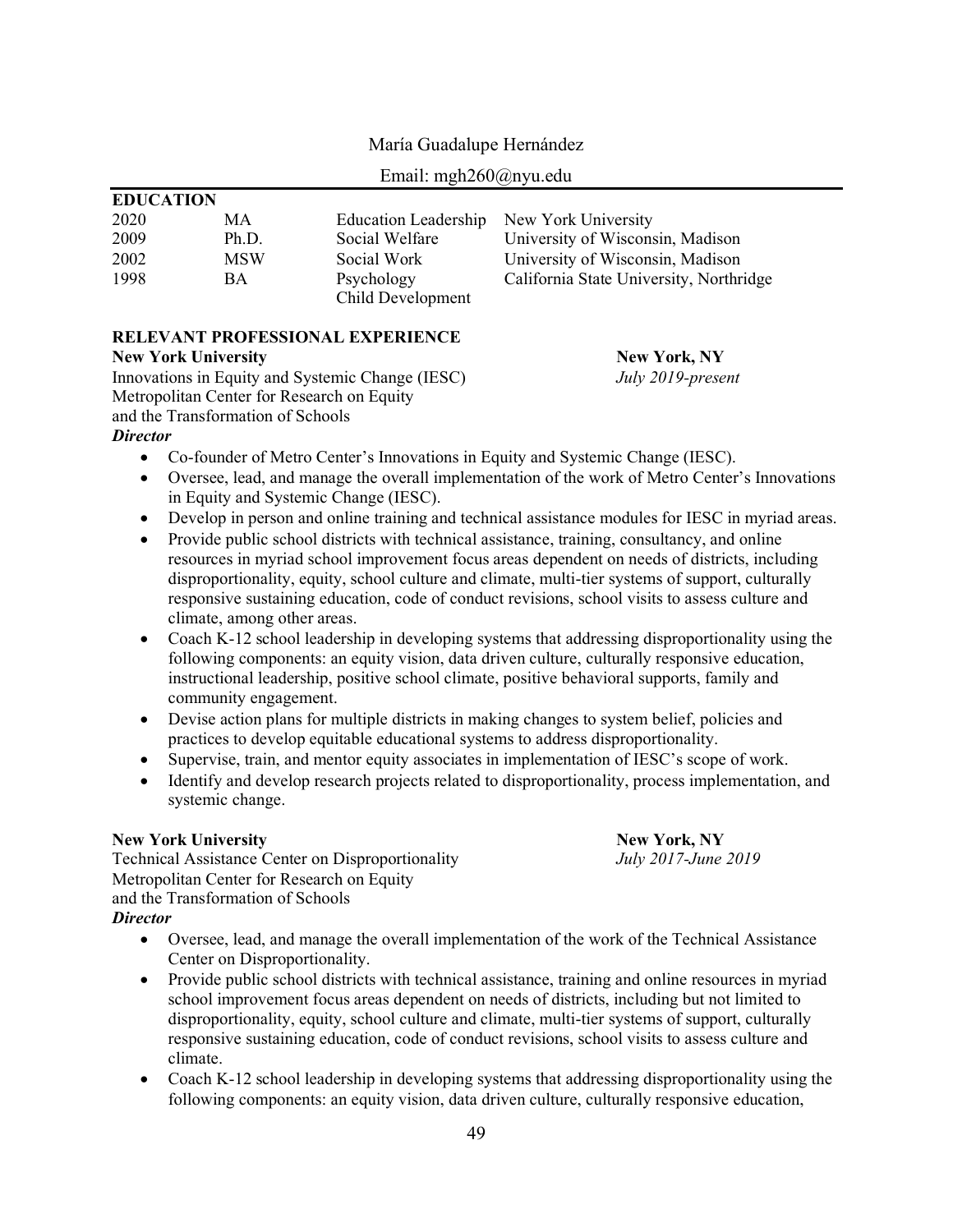| Email: mgh $260$ @nyu.edu |            |                             |                                         |  |  |
|---------------------------|------------|-----------------------------|-----------------------------------------|--|--|
| <b>EDUCATION</b>          |            |                             |                                         |  |  |
| 2020                      | MA.        | <b>Education Leadership</b> | New York University                     |  |  |
| 2009                      | Ph.D.      | Social Welfare              | University of Wisconsin, Madison        |  |  |
| 2002                      | <b>MSW</b> | Social Work                 | University of Wisconsin, Madison        |  |  |
| 1998                      | <b>BA</b>  | Psychology                  | California State University, Northridge |  |  |
|                           |            | Child Development           |                                         |  |  |

## María Guadalupe Hernández

#### **RELEVANT PROFESSIONAL EXPERIENCE**

#### **New York University New York, NY**

Innovations in Equity and Systemic Change (IESC) *July 2019-present* Metropolitan Center for Research on Equity and the Transformation of Schools *Director*

- Co-founder of Metro Center's Innovations in Equity and Systemic Change (IESC).
- Oversee, lead, and manage the overall implementation of the work of Metro Center's Innovations in Equity and Systemic Change (IESC).
- Develop in person and online training and technical assistance modules for IESC in myriad areas.
- Provide public school districts with technical assistance, training, consultancy, and online resources in myriad school improvement focus areas dependent on needs of districts, including disproportionality, equity, school culture and climate, multi-tier systems of support, culturally responsive sustaining education, code of conduct revisions, school visits to assess culture and climate, among other areas.
- $\bullet$  Coach K-12 school leadership in developing systems that addressing disproportionality using the following components: an equity vision, data driven culture, culturally responsive education, instructional leadership, positive school climate, positive behavioral supports, family and community engagement.
- Devise action plans for multiple districts in making changes to system belief, policies and practices to develop equitable educational systems to address disproportionality.
- Supervise, train, and mentor equity associates in implementation of IESC's scope of work.
- Identify and develop research projects related to disproportionality, process implementation, and systemic change.

#### **New York University New York, NY**

Technical Assistance Center on Disproportionality *July 2017-June 2019* Metropolitan Center for Research on Equity and the Transformation of Schools *Director*

- Oversee, lead, and manage the overall implementation of the work of the Technical Assistance Center on Disproportionality.
- Provide public school districts with technical assistance, training and online resources in myriad school improvement focus areas dependent on needs of districts, including but not limited to disproportionality, equity, school culture and climate, multi-tier systems of support, culturally responsive sustaining education, code of conduct revisions, school visits to assess culture and climate.
- Coach K-12 school leadership in developing systems that addressing disproportionality using the following components: an equity vision, data driven culture, culturally responsive education,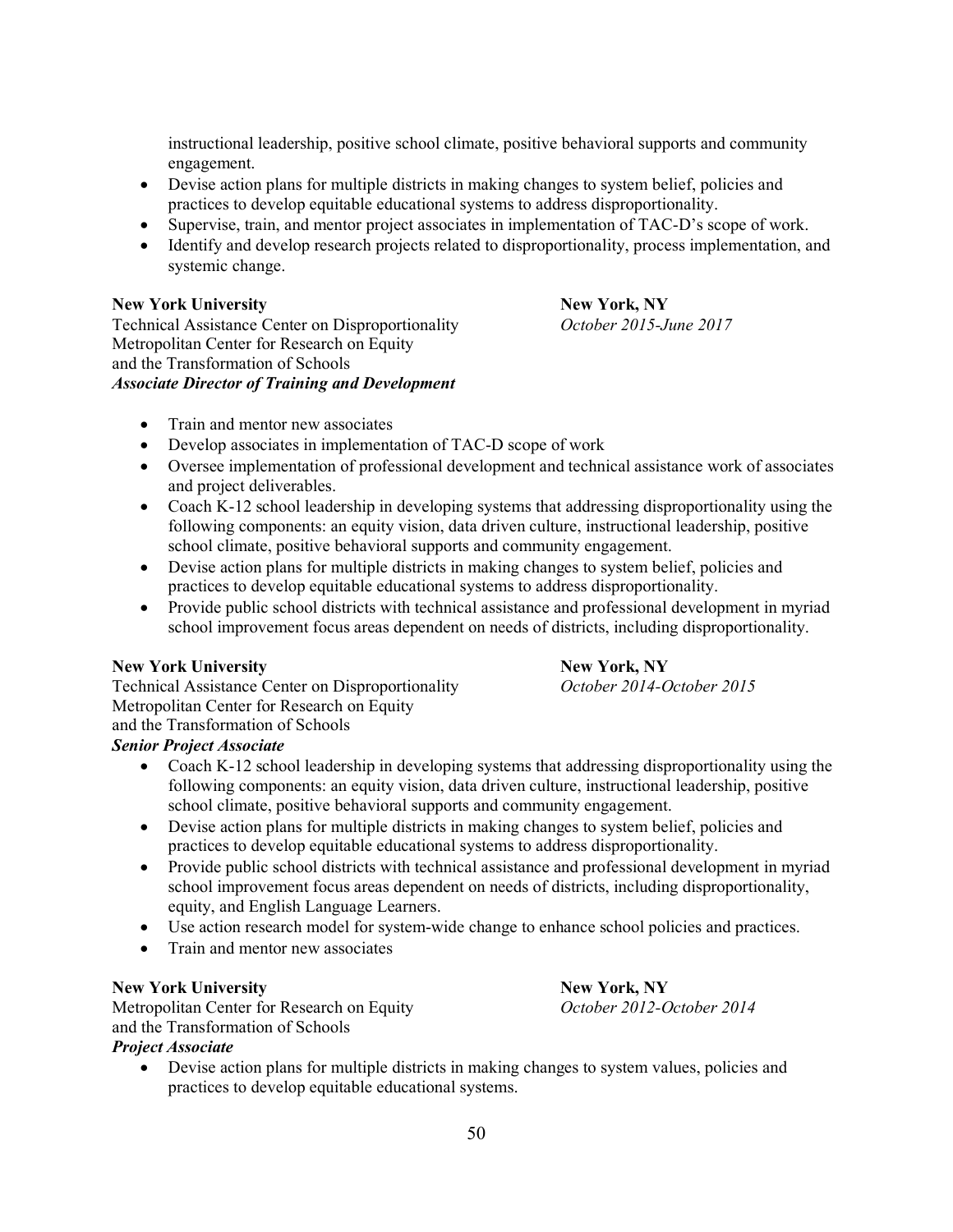instructional leadership, positive school climate, positive behavioral supports and community engagement.

- Devise action plans for multiple districts in making changes to system belief, policies and practices to develop equitable educational systems to address disproportionality.
- Supervise, train, and mentor project associates in implementation of TAC-D's scope of work.
- Identify and develop research projects related to disproportionality, process implementation, and systemic change.

#### **New York University New York, NY**

Technical Assistance Center on Disproportionality *October 2015-June 2017* Metropolitan Center for Research on Equity and the Transformation of Schools *Associate Director of Training and Development*

- $\bullet$  Train and mentor new associates
- $\bullet$  Develop associates in implementation of TAC-D scope of work
- Oversee implementation of professional development and technical assistance work of associates and project deliverables.
- Coach K-12 school leadership in developing systems that addressing disproportionality using the following components: an equity vision, data driven culture, instructional leadership, positive school climate, positive behavioral supports and community engagement.
- Devise action plans for multiple districts in making changes to system belief, policies and practices to develop equitable educational systems to address disproportionality.
- Provide public school districts with technical assistance and professional development in myriad school improvement focus areas dependent on needs of districts, including disproportionality.

**New York University**<br> **New York, NY**<br> **New York, NY**<br> **New York, NY**<br> *October 2014-October 2015* **Technical Assistance Center on Disproportionality** Metropolitan Center for Research on Equity and the Transformation of Schools

## *Senior Project Associate*

- Coach K-12 school leadership in developing systems that addressing disproportionality using the following components: an equity vision, data driven culture, instructional leadership, positive school climate, positive behavioral supports and community engagement.
- Devise action plans for multiple districts in making changes to system belief, policies and practices to develop equitable educational systems to address disproportionality.
- Provide public school districts with technical assistance and professional development in myriad school improvement focus areas dependent on needs of districts, including disproportionality, equity, and English Language Learners.
- Use action research model for system-wide change to enhance school policies and practices.
- Train and mentor new associates

## **New York University New York, NY**

Metropolitan Center for Research on Equity *October 2012-October 2014* and the Transformation of Schools

#### *Project Associate*

• Devise action plans for multiple districts in making changes to system values, policies and practices to develop equitable educational systems.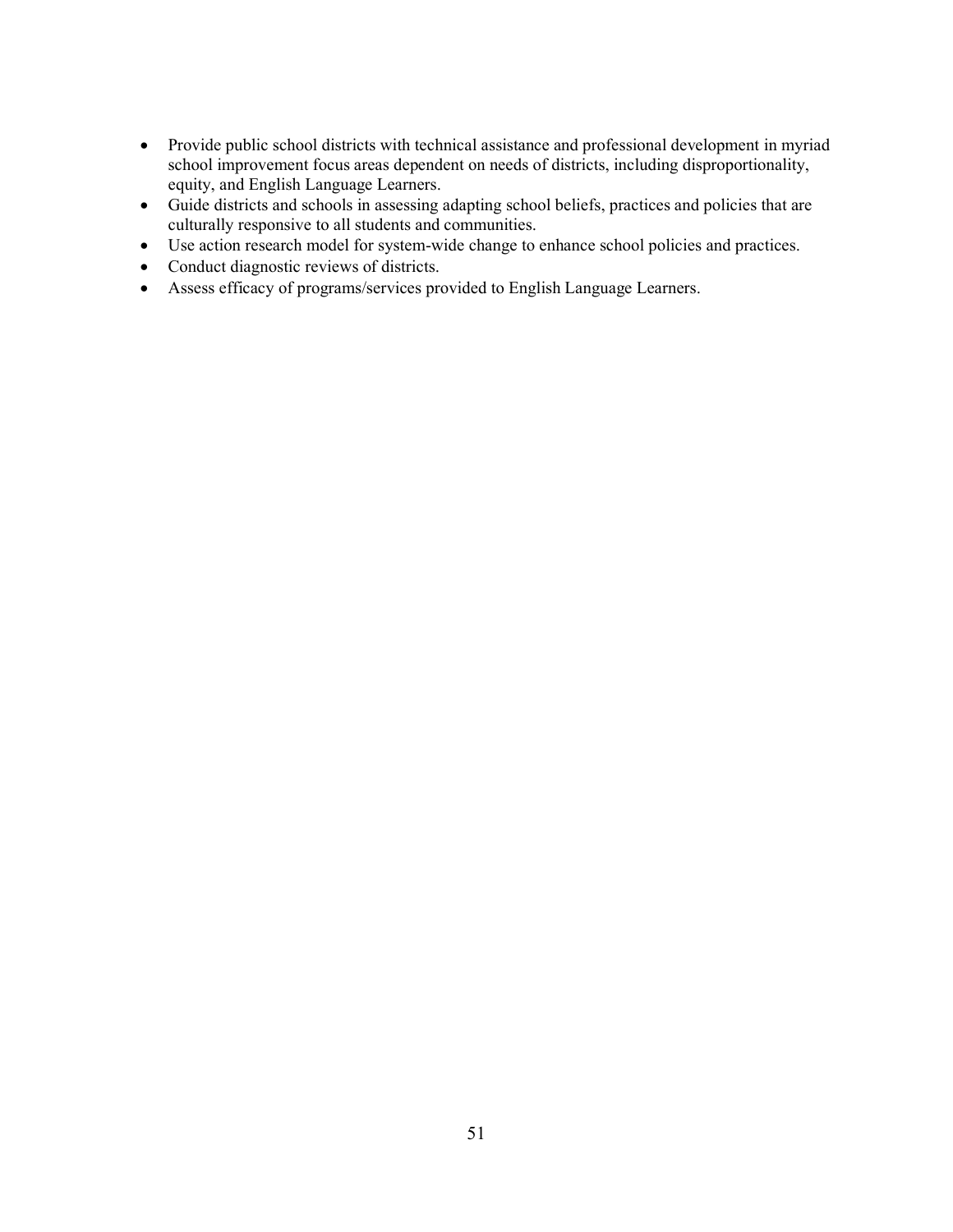- Provide public school districts with technical assistance and professional development in myriad school improvement focus areas dependent on needs of districts, including disproportionality, equity, and English Language Learners.
- Guide districts and schools in assessing adapting school beliefs, practices and policies that are culturally responsive to all students and communities.
- Use action research model for system-wide change to enhance school policies and practices.
- Conduct diagnostic reviews of districts.
- x Assess efficacy of programs/services provided to English Language Learners.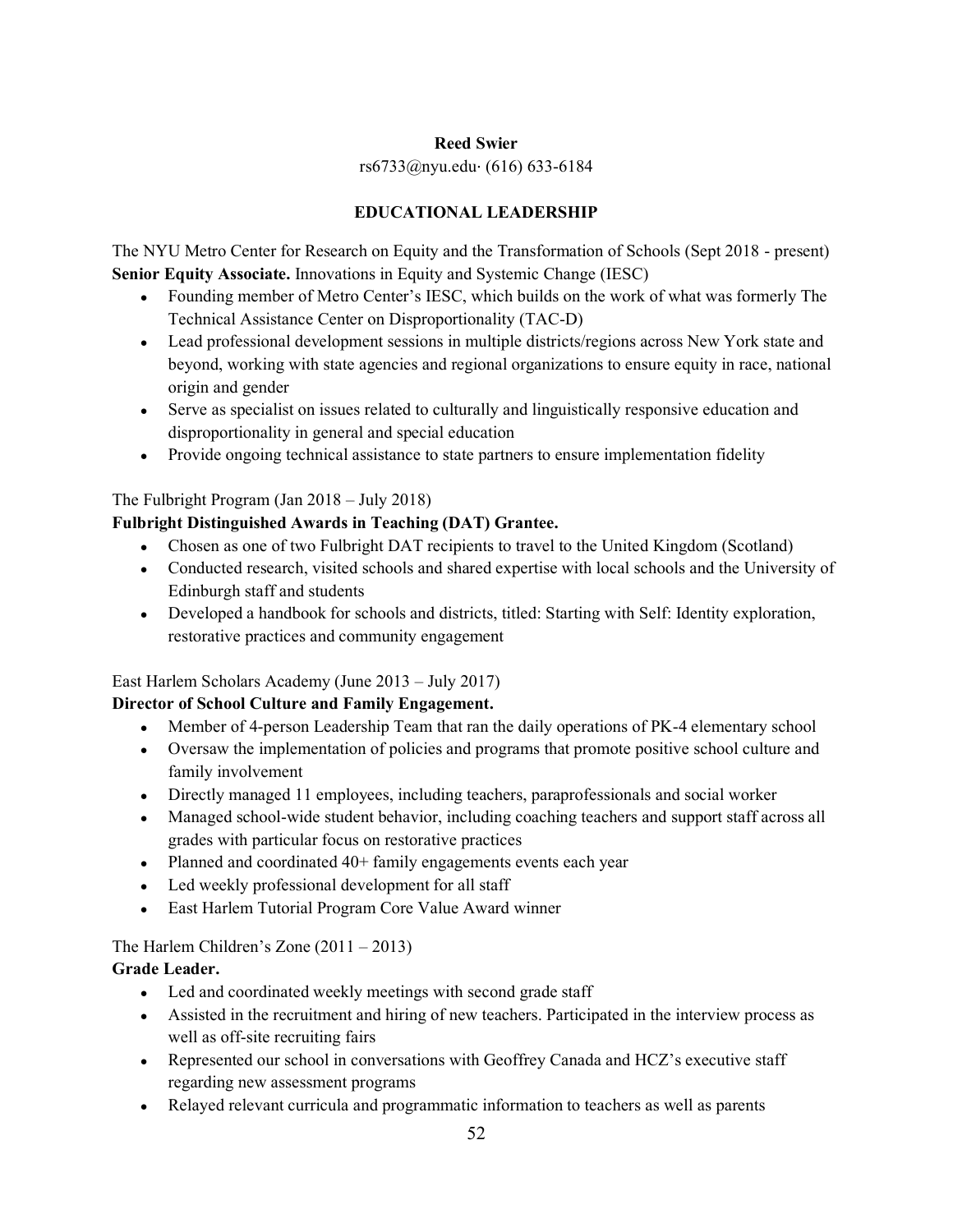## **Reed Swier**

## rs6733@nyu.edu⋅ (616) 633-6184

## **EDUCATIONAL LEADERSHIP**

The NYU Metro Center for Research on Equity and the Transformation of Schools (Sept 2018 - present) **Senior Equity Associate.** Innovations in Equity and Systemic Change (IESC)

- Founding member of Metro Center's IESC, which builds on the work of what was formerly The Technical Assistance Center on Disproportionality (TAC-D)
- Lead professional development sessions in multiple districts/regions across New York state and beyond, working with state agencies and regional organizations to ensure equity in race, national origin and gender
- Serve as specialist on issues related to culturally and linguistically responsive education and disproportionality in general and special education
- Provide ongoing technical assistance to state partners to ensure implementation fidelity

## The Fulbright Program (Jan  $2018 - \text{July } 2018$ )

## **Fulbright Distinguished Awards in Teaching (DAT) Grantee.**

- Chosen as one of two Fulbright DAT recipients to travel to the United Kingdom (Scotland)
- Conducted research, visited schools and shared expertise with local schools and the University of Edinburgh staff and students
- Developed a handbook for schools and districts, titled: Starting with Self: Identity exploration, restorative practices and community engagement

## East Harlem Scholars Academy (June  $2013 - \text{July } 2017$ )

## **Director of School Culture and Family Engagement.**

- Member of 4-person Leadership Team that ran the daily operations of PK-4 elementary school
- Ɣ Oversaw the implementation of policies and programs that promote positive school culture and family involvement
- Directly managed 11 employees, including teachers, paraprofessionals and social worker
- Managed school-wide student behavior, including coaching teachers and support staff across all grades with particular focus on restorative practices
- Planned and coordinated 40+ family engagements events each year
- Led weekly professional development for all staff
- East Harlem Tutorial Program Core Value Award winner

The Harlem Children's Zone  $(2011 - 2013)$ 

## **Grade Leader.**

- Led and coordinated weekly meetings with second grade staff
- Assisted in the recruitment and hiring of new teachers. Participated in the interview process as well as off-site recruiting fairs
- Represented our school in conversations with Geoffrey Canada and HCZ's executive staff regarding new assessment programs
- Relayed relevant curricula and programmatic information to teachers as well as parents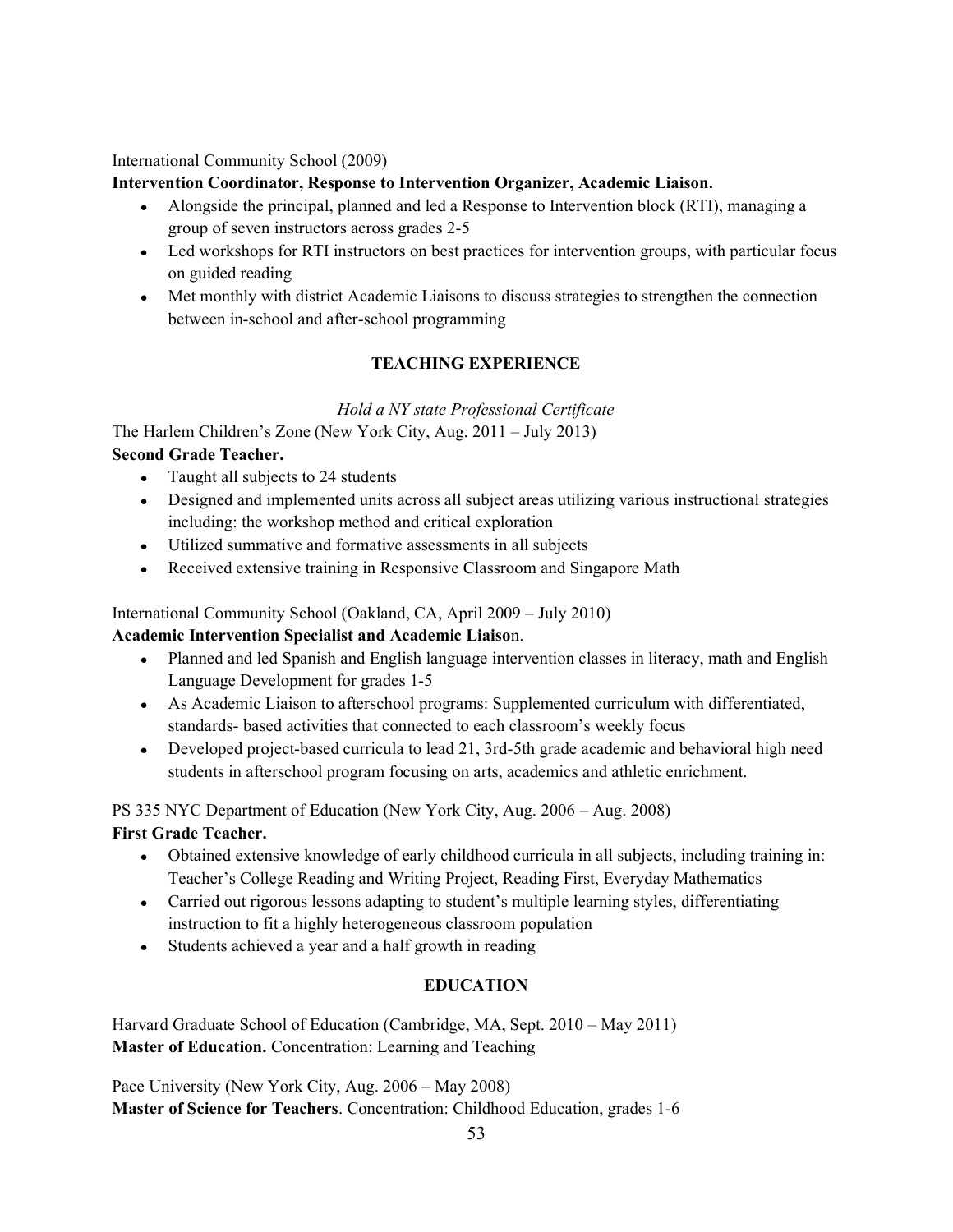International Community School (2009)

## **Intervention Coordinator, Response to Intervention Organizer, Academic Liaison.**

- Alongside the principal, planned and led a Response to Intervention block (RTI), managing a group of seven instructors across grades 2-5
- Led workshops for RTI instructors on best practices for intervention groups, with particular focus on guided reading
- Met monthly with district Academic Liaisons to discuss strategies to strengthen the connection between in-school and after-school programming

## **TEACHING EXPERIENCE**

*Hold a NY state Professional Certificate*

The Harlem Children's Zone (New York City, Aug.  $2011 - \text{July } 2013$ ) **Second Grade Teacher.**

- Taught all subjects to 24 students
- Designed and implemented units across all subject areas utilizing various instructional strategies including: the workshop method and critical exploration
- Ɣ Utilized summative and formative assessments in all subjects
- Received extensive training in Responsive Classroom and Singapore Math

International Community School (Oakland, CA, April 2009 - July 2010)

## **Academic Intervention Specialist and Academic Liaiso**n.

- Planned and led Spanish and English language intervention classes in literacy, math and English Language Development for grades 1-5
- As Academic Liaison to afterschool programs: Supplemented curriculum with differentiated, standards- based activities that connected to each classroom's weekly focus
- Developed project-based curricula to lead 21, 3rd-5th grade academic and behavioral high need students in afterschool program focusing on arts, academics and athletic enrichment.

PS 335 NYC Department of Education (New York City, Aug. 2006 – Aug. 2008)

## **First Grade Teacher.**

- Ɣ Obtained extensive knowledge of early childhood curricula in all subjects, including training in: Teacher's College Reading and Writing Project, Reading First, Everyday Mathematics
- Carried out rigorous lessons adapting to student's multiple learning styles, differentiating instruction to fit a highly heterogeneous classroom population
- Students achieved a year and a half growth in reading

## **EDUCATION**

Harvard Graduate School of Education (Cambridge, MA, Sept. 2010 – May 2011) **Master of Education.** Concentration: Learning and Teaching

Pace University (New York City, Aug. 2006 – May 2008) **Master of Science for Teachers**. Concentration: Childhood Education, grades 1-6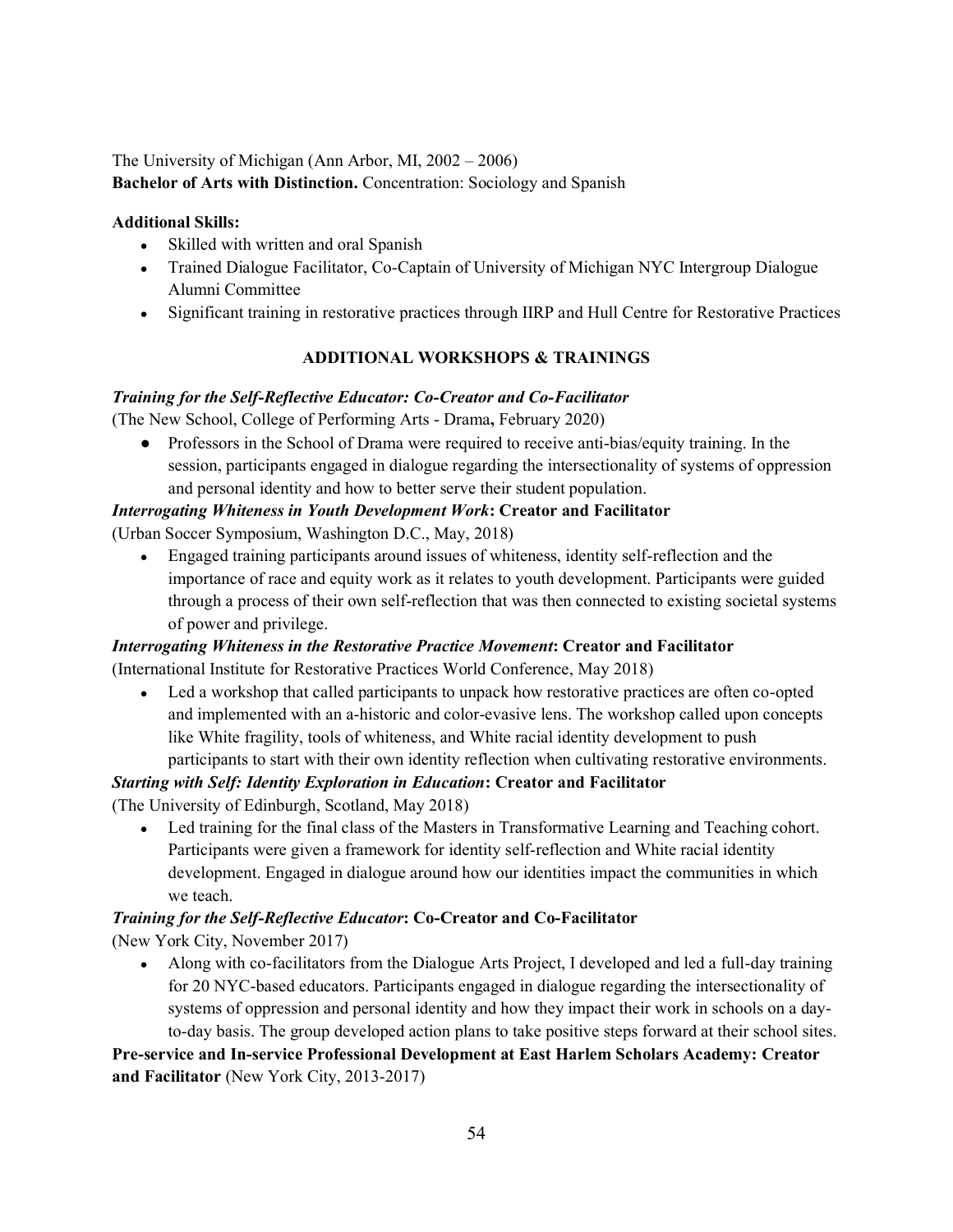The University of Michigan (Ann Arbor, MI,  $2002 - 2006$ )

**Bachelor of Arts with Distinction.** Concentration: Sociology and Spanish

## **Additional Skills:**

- Skilled with written and oral Spanish
- Trained Dialogue Facilitator, Co-Captain of University of Michigan NYC Intergroup Dialogue Alumni Committee
- Significant training in restorative practices through IIRP and Hull Centre for Restorative Practices

## **ADDITIONAL WORKSHOPS & TRAININGS**

## *Training for the Self-Reflective Educator: Co-Creator and Co-Facilitator*

(The New School, College of Performing Arts - Drama**,** February 2020)

● Professors in the School of Drama were required to receive anti-bias/equity training. In the session, participants engaged in dialogue regarding the intersectionality of systems of oppression and personal identity and how to better serve their student population.

## *Interrogating Whiteness in Youth Development Work***: Creator and Facilitator**

(Urban Soccer Symposium, Washington D.C., May, 2018)

• Engaged training participants around issues of whiteness, identity self-reflection and the importance of race and equity work as it relates to youth development. Participants were guided through a process of their own self-reflection that was then connected to existing societal systems of power and privilege.

## *Interrogating Whiteness in the Restorative Practice Movement***: Creator and Facilitator**

(International Institute for Restorative Practices World Conference, May 2018)

• Led a workshop that called participants to unpack how restorative practices are often co-opted and implemented with an a-historic and color-evasive lens. The workshop called upon concepts like White fragility, tools of whiteness, and White racial identity development to push participants to start with their own identity reflection when cultivating restorative environments.

## *Starting with Self: Identity Exploration in Education***: Creator and Facilitator**

(The University of Edinburgh, Scotland, May 2018)

• Led training for the final class of the Masters in Transformative Learning and Teaching cohort. Participants were given a framework for identity self-reflection and White racial identity development. Engaged in dialogue around how our identities impact the communities in which we teach.

## *Training for the Self-Reflective Educator***: Co-Creator and Co-Facilitator**

(New York City, November 2017)

• Along with co-facilitators from the Dialogue Arts Project, I developed and led a full-day training for 20 NYC-based educators. Participants engaged in dialogue regarding the intersectionality of systems of oppression and personal identity and how they impact their work in schools on a dayto-day basis. The group developed action plans to take positive steps forward at their school sites.

**Pre-service and In-service Professional Development at East Harlem Scholars Academy: Creator and Facilitator** (New York City, 2013-2017)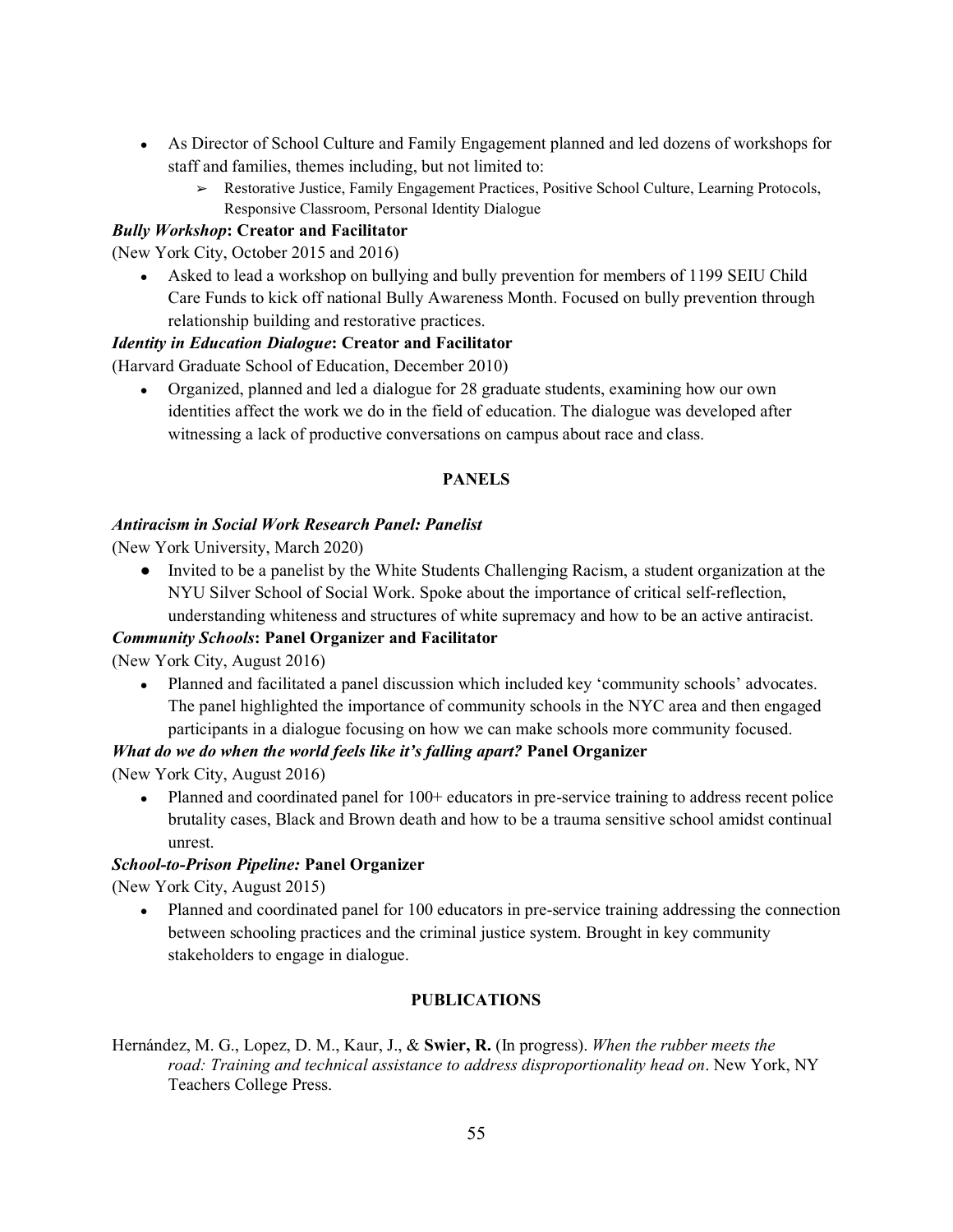- As Director of School Culture and Family Engagement planned and led dozens of workshops for staff and families, themes including, but not limited to:
	- ➢ Restorative Justice, Family Engagement Practices, Positive School Culture, Learning Protocols, Responsive Classroom, Personal Identity Dialogue

## *Bully Workshop***: Creator and Facilitator**

(New York City, October 2015 and 2016)

• Asked to lead a workshop on bullying and bully prevention for members of 1199 SEIU Child Care Funds to kick off national Bully Awareness Month. Focused on bully prevention through relationship building and restorative practices.

## *Identity in Education Dialogue***: Creator and Facilitator**

(Harvard Graduate School of Education, December 2010)

• Organized, planned and led a dialogue for 28 graduate students, examining how our own identities affect the work we do in the field of education. The dialogue was developed after witnessing a lack of productive conversations on campus about race and class.

## **PANELS**

#### *Antiracism in Social Work Research Panel: Panelist*

(New York University, March 2020)

● Invited to be a panelist by the White Students Challenging Racism, a student organization at the NYU Silver School of Social Work. Spoke about the importance of critical self-reflection, understanding whiteness and structures of white supremacy and how to be an active antiracist.

#### *Community Schools***: Panel Organizer and Facilitator**

(New York City, August 2016)

• Planned and facilitated a panel discussion which included key 'community schools' advocates. The panel highlighted the importance of community schools in the NYC area and then engaged participants in a dialogue focusing on how we can make schools more community focused.

#### *What do we do when the world feels like it's falling apart?* Panel Organizer

(New York City, August 2016)

• Planned and coordinated panel for 100+ educators in pre-service training to address recent police brutality cases, Black and Brown death and how to be a trauma sensitive school amidst continual unrest.

#### *School-to-Prison Pipeline:* **Panel Organizer**

(New York City, August 2015)

• Planned and coordinated panel for 100 educators in pre-service training addressing the connection between schooling practices and the criminal justice system. Brought in key community stakeholders to engage in dialogue.

## **PUBLICATIONS**

Hernández, M. G., Lopez, D. M., Kaur, J., & **Swier, R.** (In progress). *When the rubber meets the road: Training and technical assistance to address disproportionality head on*. New York, NY Teachers College Press.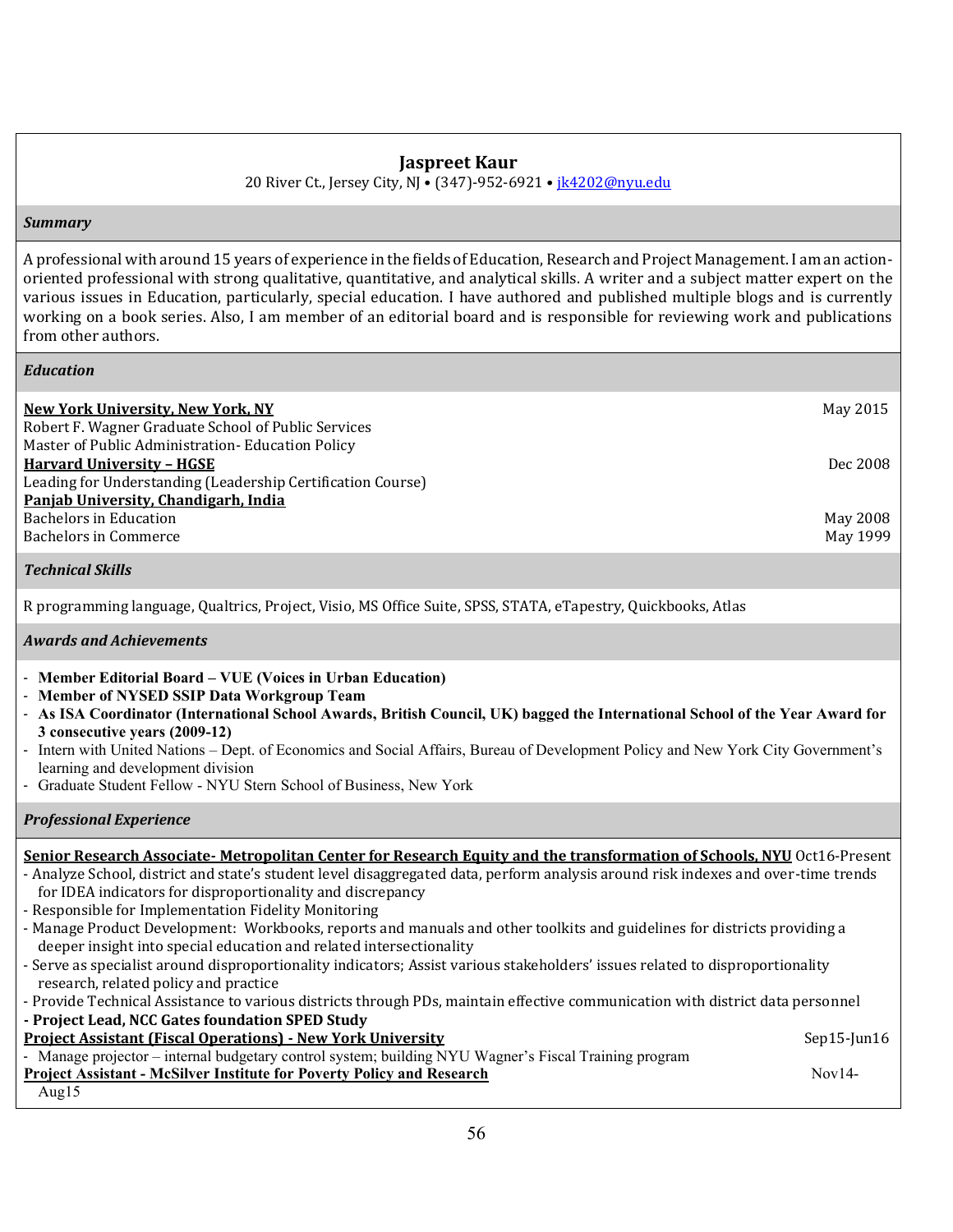## **Jaspreet Kaur**

20 River Ct., Jersey City, NJ • (347)-952-6921 • ik4202@nyu.edu

#### *Summary*

A professional with around 15 years of experience in the fields of Education, Research and Project Management. I am an actionoriented professional with strong qualitative, quantitative, and analytical skills. A writer and a subject matter expert on the various issues in Education, particularly, special education. I have authored and published multiple blogs and is currently working on a book series. Also, I am member of an editorial board and is responsible for reviewing work and publications from other authors.

#### *Education*

| New York University, New York, NY                           | May 2015 |
|-------------------------------------------------------------|----------|
| Robert F. Wagner Graduate School of Public Services         |          |
| Master of Public Administration-Education Policy            |          |
| <b>Harvard University - HGSE</b>                            | Dec 2008 |
| Leading for Understanding (Leadership Certification Course) |          |
| Panjab University, Chandigarh, India                        |          |
| <b>Bachelors in Education</b>                               | May 2008 |
| Bachelors in Commerce                                       | May 1999 |

#### *Technical Skills*

R programming language, Qualtrics, Project, Visio, MS Office Suite, SPSS, STATA, eTapestry, Quickbooks, Atlas

#### *Awards and Achievements*

- **Member Editorial Board – VUE (Voices in Urban Education)**
- **Member of NYSED SSIP Data Workgroup Team**
- **As ISA Coordinator (International School Awards, British Council, UK) bagged the International School of the Year Award for 3 consecutive years (2009-12)**
- Intern with United Nations Dept. of Economics and Social Affairs, Bureau of Development Policy and New York City Government's learning and development division
- Graduate Student Fellow NYU Stern School of Business, New York

#### *Professional Experience*

#### **Senior Research Associate- Metropolitan Center for Research Equity and the transformation of Schools, NYU** Oct16-Present - Analyze School, district and state's student level disaggregated data, perform analysis around risk indexes and over-time trends for IDEA indicators for disproportionality and discrepancy - Responsible for Implementation Fidelity Monitoring - Manage Product Development: Workbooks, reports and manuals and other toolkits and guidelines for districts providing a deeper insight into special education and related intersectionality - Serve as specialist around disproportionality indicators; Assist various stakeholders' issues related to disproportionality research, related policy and practice - Provide Technical Assistance to various districts through PDs, maintain effective communication with district data personnel **- Project Lead, NCC Gates foundation SPED Study Project Assistant (Fiscal Operations) - New York University <b>Separations** Sep15-Jun16 - Manage projector – internal budgetary control system; building NYU Wagner's Fiscal Training program **Project Assistant - McSilver Institute for Poverty Policy and Research**  Nov14-

Aug15